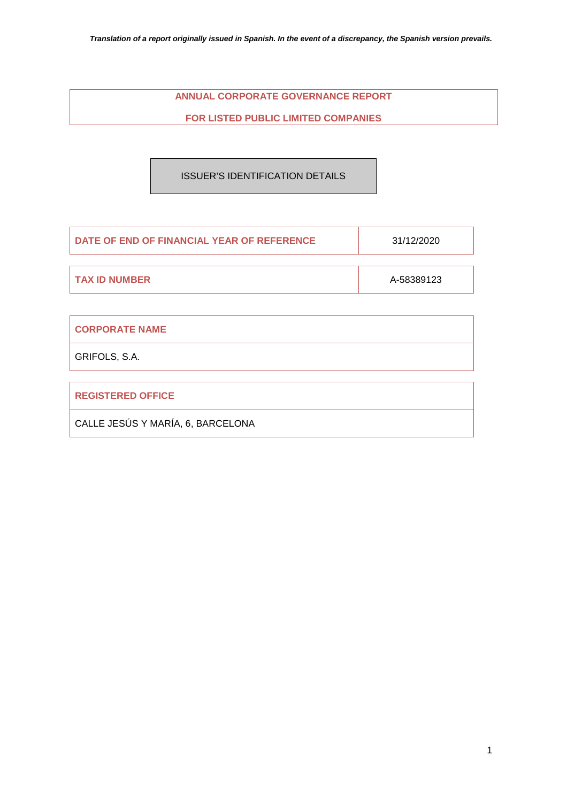## **ANNUAL CORPORATE GOVERNANCE REPORT**

## **FOR LISTED PUBLIC LIMITED COMPANIES**

## ISSUER'S IDENTIFICATION DETAILS

| DATE OF END OF FINANCIAL YEAR OF REFERENCE | 31/12/2020 |
|--------------------------------------------|------------|
|                                            |            |
| I TAX ID NUMBER                            | A-58389123 |

| <b>CORPORATE NAME</b>             |
|-----------------------------------|
| GRIFOLS, S.A.                     |
|                                   |
| <b>REGISTERED OFFICE</b>          |
| CALLE JESÚS Y MARÍA, 6, BARCELONA |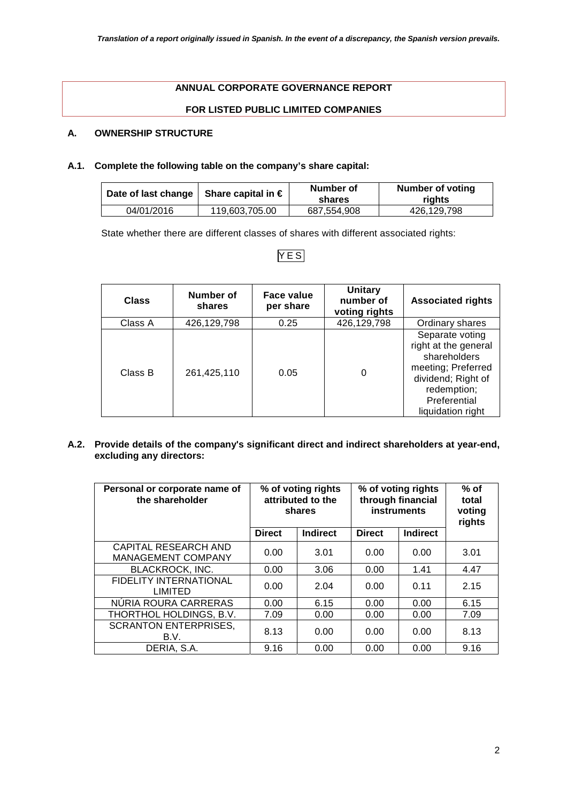## **ANNUAL CORPORATE GOVERNANCE REPORT**

## **FOR LISTED PUBLIC LIMITED COMPANIES**

## **A. OWNERSHIP STRUCTURE**

### **A.1. Complete the following table on the company's share capital:**

| Date of last change   Share capital in $\in$ |                | Number of<br>shares | Number of voting<br>riahts |
|----------------------------------------------|----------------|---------------------|----------------------------|
| 04/01/2016                                   | 119.603.705.00 | 687.554.908         | 426.129.798                |

State whether there are different classes of shares with different associated rights:

## YES

| <b>Class</b> | Number of<br>shares | Face value<br>per share | <b>Unitary</b><br>number of<br>voting rights | <b>Associated rights</b>                                                                                                                                |
|--------------|---------------------|-------------------------|----------------------------------------------|---------------------------------------------------------------------------------------------------------------------------------------------------------|
| Class A      | 426,129,798         | 0.25                    | 426,129,798                                  | Ordinary shares                                                                                                                                         |
| Class B      | 261,425,110         | 0.05                    |                                              | Separate voting<br>right at the general<br>shareholders<br>meeting; Preferred<br>dividend; Right of<br>redemption;<br>Preferential<br>liquidation right |

**A.2. Provide details of the company's significant direct and indirect shareholders at year-end, excluding any directors:** 

| Personal or corporate name of<br>the shareholder         | % of voting rights<br>attributed to the<br>shares |                 | % of voting rights<br>through financial<br><b>instruments</b> |                 | $%$ of<br>total<br>voting<br>rights |
|----------------------------------------------------------|---------------------------------------------------|-----------------|---------------------------------------------------------------|-----------------|-------------------------------------|
|                                                          | <b>Direct</b>                                     | <b>Indirect</b> | <b>Direct</b>                                                 | <b>Indirect</b> |                                     |
| <b>CAPITAL RESEARCH AND</b><br><b>MANAGEMENT COMPANY</b> | 0.00                                              | 3.01            | 0.00                                                          | 0.00            | 3.01                                |
| <b>BLACKROCK, INC.</b>                                   | 0.00                                              | 3.06            | 0.00                                                          | 1.41            | 4.47                                |
| <b>FIDELITY INTERNATIONAL</b><br>LIMITED                 | 0.00                                              | 2.04            | 0.00                                                          | 0.11            | 2.15                                |
| NÚRIA ROURA CARRERAS                                     | 0.00                                              | 6.15            | 0.00                                                          | 0.00            | 6.15                                |
| THORTHOL HOLDINGS, B.V.                                  | 7.09                                              | 0.00            | 0.00                                                          | 0.00            | 7.09                                |
| <b>SCRANTON ENTERPRISES,</b><br>B.V.                     | 8.13                                              | 0.00            | 0.00                                                          | 0.00            | 8.13                                |
| DERIA, S.A.                                              | 9.16                                              | 0.00            | 0.00                                                          | 0.00            | 9.16                                |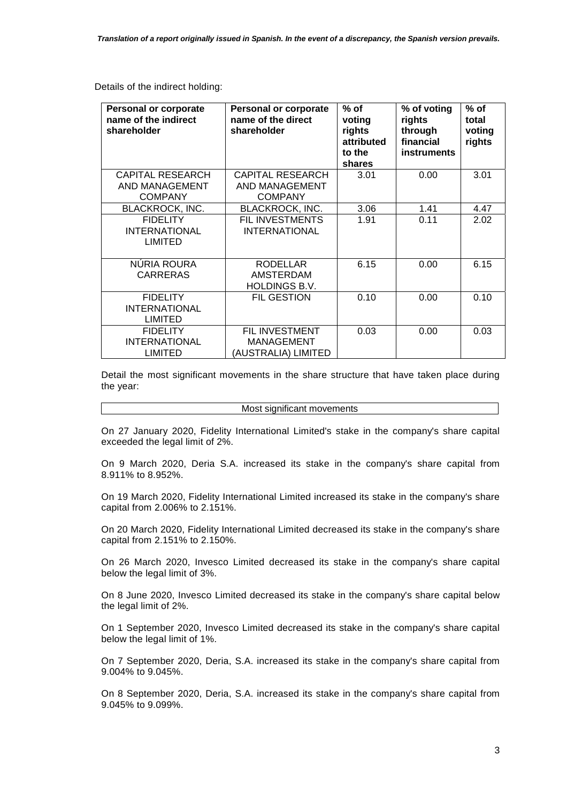Details of the indirect holding:

| <b>Personal or corporate</b><br>name of the indirect<br>shareholder | <b>Personal or corporate</b><br>name of the direct<br>shareholder | $%$ of<br>voting<br>rights<br>attributed<br>to the<br>shares | % of voting<br>rights<br>through<br>financial<br><b>instruments</b> | $%$ of<br>total<br>voting<br>rights |
|---------------------------------------------------------------------|-------------------------------------------------------------------|--------------------------------------------------------------|---------------------------------------------------------------------|-------------------------------------|
| <b>CAPITAL RESEARCH</b><br>AND MANAGEMENT<br><b>COMPANY</b>         | <b>CAPITAL RESEARCH</b><br>AND MANAGEMENT<br><b>COMPANY</b>       | 3.01                                                         | 0.00                                                                | 3.01                                |
| <b>BLACKROCK, INC.</b>                                              | <b>BLACKROCK, INC.</b>                                            | 3.06                                                         | 1.41                                                                | 4.47                                |
| <b>FIDELITY</b><br><b>INTERNATIONAL</b><br><b>LIMITED</b>           | FIL INVESTMENTS<br><b>INTERNATIONAL</b>                           | 1.91                                                         | 0.11                                                                | 2.02                                |
| NÚRIA ROURA<br><b>CARRERAS</b>                                      | <b>RODELLAR</b><br><b>AMSTERDAM</b><br><b>HOLDINGS B.V.</b>       | 6.15                                                         | 0.00                                                                | 6.15                                |
| <b>FIDELITY</b><br><b>INTERNATIONAL</b><br><b>LIMITED</b>           | <b>FIL GESTION</b>                                                | 0.10                                                         | 0.00                                                                | 0.10                                |
| <b>FIDELITY</b><br><b>INTERNATIONAL</b><br>LIMITED                  | FIL INVESTMENT<br><b>MANAGEMENT</b><br>(AUSTRALIA) LIMITED        | 0.03                                                         | 0.00                                                                | 0.03                                |

Detail the most significant movements in the share structure that have taken place during the year:

#### Most significant movements

On 27 January 2020, Fidelity International Limited's stake in the company's share capital exceeded the legal limit of 2%.

On 9 March 2020, Deria S.A. increased its stake in the company's share capital from 8.911% to 8.952%.

On 19 March 2020, Fidelity International Limited increased its stake in the company's share capital from 2.006% to 2.151%.

On 20 March 2020, Fidelity International Limited decreased its stake in the company's share capital from 2.151% to 2.150%.

On 26 March 2020, Invesco Limited decreased its stake in the company's share capital below the legal limit of 3%.

On 8 June 2020, Invesco Limited decreased its stake in the company's share capital below the legal limit of 2%.

On 1 September 2020, Invesco Limited decreased its stake in the company's share capital below the legal limit of 1%.

On 7 September 2020, Deria, S.A. increased its stake in the company's share capital from 9.004% to 9.045%.

On 8 September 2020, Deria, S.A. increased its stake in the company's share capital from 9.045% to 9.099%.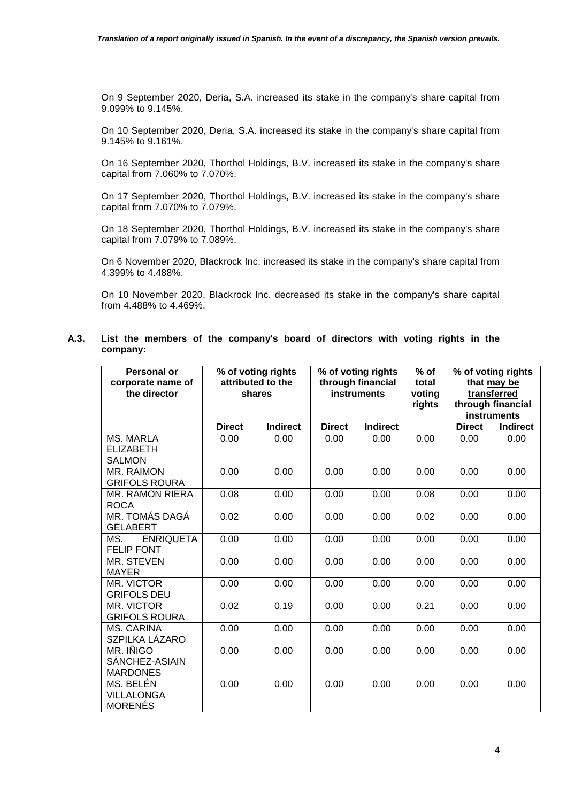On 9 September 2020, Deria, S.A. increased its stake in the company's share capital from 9.099% to 9.145%.

On 10 September 2020, Deria, S.A. increased its stake in the company's share capital from 9.145% to 9.161%.

On 16 September 2020, Thorthol Holdings, B.V. increased its stake in the company's share capital from 7.060% to 7.070%.

On 17 September 2020, Thorthol Holdings, B.V. increased its stake in the company's share capital from 7.070% to 7.079%.

On 18 September 2020, Thorthol Holdings, B.V. increased its stake in the company's share capital from 7.079% to 7.089%.

On 6 November 2020, Blackrock Inc. increased its stake in the company's share capital from 4.399% to 4.488%.

On 10 November 2020, Blackrock Inc. decreased its stake in the company's share capital from 4.488% to 4.469%.

### **A.3. List the members of the company's board of directors with voting rights in the company:**

| <b>Personal or</b><br>corporate name of<br>the director |               | % of voting rights<br>attributed to the<br>shares |               | % of voting rights<br>through financial<br><b>instruments</b> |      |               | % of voting rights<br>that may be<br>transferred<br>through financial<br>instruments |
|---------------------------------------------------------|---------------|---------------------------------------------------|---------------|---------------------------------------------------------------|------|---------------|--------------------------------------------------------------------------------------|
|                                                         | <b>Direct</b> | <b>Indirect</b>                                   | <b>Direct</b> | <b>Indirect</b>                                               |      | <b>Direct</b> | <b>Indirect</b>                                                                      |
| <b>MS. MARLA</b><br><b>ELIZABETH</b><br><b>SALMON</b>   | 0.00          | 0.00                                              | 0.00          | 0.00                                                          | 0.00 | 0.00          | 0.00                                                                                 |
| MR. RAIMON<br><b>GRIFOLS ROURA</b>                      | 0.00          | 0.00                                              | 0.00          | 0.00                                                          | 0.00 | 0.00          | 0.00                                                                                 |
| <b>MR. RAMON RIERA</b><br><b>ROCA</b>                   | 0.08          | 0.00                                              | 0.00          | 0.00                                                          | 0.08 | 0.00          | 0.00                                                                                 |
| MR. TOMÁS DAGÁ<br><b>GELABERT</b>                       | 0.02          | 0.00                                              | 0.00          | 0.00                                                          | 0.02 | 0.00          | 0.00                                                                                 |
| <b>ENRIQUETA</b><br>MS.<br><b>FELIP FONT</b>            | 0.00          | 0.00                                              | 0.00          | 0.00                                                          | 0.00 | 0.00          | 0.00                                                                                 |
| MR. STEVEN<br><b>MAYER</b>                              | 0.00          | 0.00                                              | 0.00          | 0.00                                                          | 0.00 | 0.00          | 0.00                                                                                 |
| MR. VICTOR<br><b>GRIFOLS DEU</b>                        | 0.00          | 0.00                                              | 0.00          | 0.00                                                          | 0.00 | 0.00          | 0.00                                                                                 |
| MR. VICTOR<br><b>GRIFOLS ROURA</b>                      | 0.02          | 0.19                                              | 0.00          | 0.00                                                          | 0.21 | 0.00          | 0.00                                                                                 |
| <b>MS. CARINA</b><br>SZPILKA LÁZARO                     | 0.00          | 0.00                                              | 0.00          | 0.00                                                          | 0.00 | 0.00          | 0.00                                                                                 |
| MR. IÑIGO<br>SÁNCHEZ-ASIAIN<br><b>MARDONES</b>          | 0.00          | 0.00                                              | 0.00          | 0.00                                                          | 0.00 | 0.00          | 0.00                                                                                 |
| MS. BELÉN<br><b>VILLALONGA</b><br><b>MORENÉS</b>        | 0.00          | 0.00                                              | 0.00          | 0.00                                                          | 0.00 | 0.00          | 0.00                                                                                 |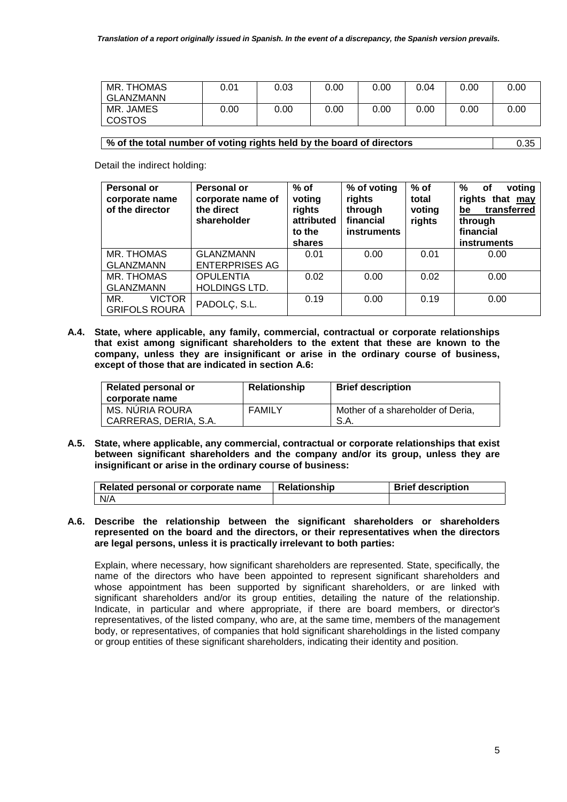| MR. THOMAS<br>GLANZMANN    | 0.01 | 0.03 | 0.00 | 0.00 | 0.04 | 0.00 | 0.00 |
|----------------------------|------|------|------|------|------|------|------|
| MR. JAMES<br><b>COSTOS</b> | 0.00 | 0.00 | 0.00 | 0.00 | 0.00 | 0.00 | 0.00 |

#### **% of the total number of voting rights held by the board of directors** 0.35

Detail the indirect holding:

| <b>Personal or</b><br>corporate name<br>of the director | Personal or<br>corporate name of<br>the direct<br>shareholder | $%$ of<br>voting<br>rights<br>attributed<br>to the<br>shares | % of voting<br>rights<br>through<br>financial<br>instruments | $%$ of<br>total<br>voting<br>rights | %<br>voting<br>оf<br>rights that may<br>transferred<br>be<br>through<br>financial<br>instruments |
|---------------------------------------------------------|---------------------------------------------------------------|--------------------------------------------------------------|--------------------------------------------------------------|-------------------------------------|--------------------------------------------------------------------------------------------------|
| MR. THOMAS                                              | <b>GLANZMANN</b>                                              | 0.01                                                         | 0.00                                                         | 0.01                                | 0.00                                                                                             |
| <b>GLANZMANN</b>                                        | <b>ENTERPRISES AG</b>                                         |                                                              |                                                              |                                     |                                                                                                  |
| MR. THOMAS                                              | <b>OPULENTIA</b>                                              | 0.02                                                         | 0.00                                                         | 0.02                                | 0.00                                                                                             |
| <b>GLANZMANN</b>                                        | <b>HOLDINGS LTD.</b>                                          |                                                              |                                                              |                                     |                                                                                                  |
| <b>VICTOR</b><br>MR.<br><b>GRIFOLS ROURA</b>            | PADOLÇ, S.L.                                                  | 0.19                                                         | 0.00                                                         | 0.19                                | 0.00                                                                                             |

**A.4. State, where applicable, any family, commercial, contractual or corporate relationships that exist among significant shareholders to the extent that these are known to the company, unless they are insignificant or arise in the ordinary course of business, except of those that are indicated in section A.6:** 

| <b>Related personal or</b><br>corporate name | <b>Relationship</b> | <b>Brief description</b>          |
|----------------------------------------------|---------------------|-----------------------------------|
| MS. NÚRIA ROURA                              | FAMILY              | Mother of a shareholder of Deria, |
| CARRERAS, DERIA, S.A.                        |                     | S.A.                              |

**A.5. State, where applicable, any commercial, contractual or corporate relationships that exist between significant shareholders and the company and/or its group, unless they are insignificant or arise in the ordinary course of business:** 

| Related personal or corporate name | <b>Relationship</b> | <b>Brief description</b> |
|------------------------------------|---------------------|--------------------------|
| N/A                                |                     |                          |

**A.6. Describe the relationship between the significant shareholders or shareholders represented on the board and the directors, or their representatives when the directors are legal persons, unless it is practically irrelevant to both parties:** 

Explain, where necessary, how significant shareholders are represented. State, specifically, the name of the directors who have been appointed to represent significant shareholders and whose appointment has been supported by significant shareholders, or are linked with significant shareholders and/or its group entities, detailing the nature of the relationship. Indicate, in particular and where appropriate, if there are board members, or director's representatives, of the listed company, who are, at the same time, members of the management body, or representatives, of companies that hold significant shareholdings in the listed company or group entities of these significant shareholders, indicating their identity and position.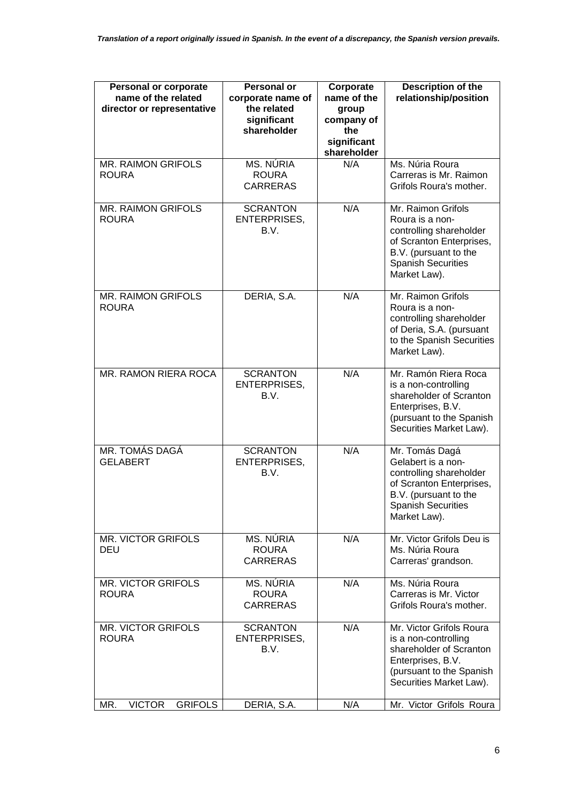| <b>Personal or corporate</b><br>name of the related<br>director or representative | <b>Personal or</b><br>corporate name of<br>the related<br>significant<br>shareholder | Corporate<br>name of the<br>group<br>company of<br>the<br>significant<br>shareholder | Description of the<br>relationship/position                                                                                                                        |
|-----------------------------------------------------------------------------------|--------------------------------------------------------------------------------------|--------------------------------------------------------------------------------------|--------------------------------------------------------------------------------------------------------------------------------------------------------------------|
| MR. RAIMON GRIFOLS<br><b>ROURA</b>                                                | MS. NÚRIA<br><b>ROURA</b><br><b>CARRERAS</b>                                         | N/A                                                                                  | Ms. Núria Roura<br>Carreras is Mr. Raimon<br>Grifols Roura's mother.                                                                                               |
| <b>MR. RAIMON GRIFOLS</b><br><b>ROURA</b>                                         | <b>SCRANTON</b><br><b>ENTERPRISES,</b><br>B.V.                                       | N/A                                                                                  | Mr. Raimon Grifols<br>Roura is a non-<br>controlling shareholder<br>of Scranton Enterprises,<br>B.V. (pursuant to the<br><b>Spanish Securities</b><br>Market Law). |
| <b>MR. RAIMON GRIFOLS</b><br><b>ROURA</b>                                         | DERIA, S.A.                                                                          | N/A                                                                                  | Mr. Raimon Grifols<br>Roura is a non-<br>controlling shareholder<br>of Deria, S.A. (pursuant<br>to the Spanish Securities<br>Market Law).                          |
| MR. RAMON RIERA ROCA                                                              | <b>SCRANTON</b><br><b>ENTERPRISES,</b><br>B.V.                                       | N/A                                                                                  | Mr. Ramón Riera Roca<br>is a non-controlling<br>shareholder of Scranton<br>Enterprises, B.V.<br>(pursuant to the Spanish<br>Securities Market Law).                |
| MR. TOMÁS DAGÁ<br><b>GELABERT</b>                                                 | <b>SCRANTON</b><br>ENTERPRISES,<br>B.V.                                              | N/A                                                                                  | Mr. Tomás Dagá<br>Gelabert is a non-<br>controlling shareholder<br>of Scranton Enterprises,<br>B.V. (pursuant to the<br><b>Spanish Securities</b><br>Market Law).  |
| <b>MR. VICTOR GRIFOLS</b><br>DEU                                                  | MS. NÚRIA<br><b>ROURA</b><br><b>CARRERAS</b>                                         | N/A                                                                                  | Mr. Victor Grifols Deu is<br>Ms. Núria Roura<br>Carreras' grandson.                                                                                                |
| <b>MR. VICTOR GRIFOLS</b><br><b>ROURA</b>                                         | MS. NÚRIA<br><b>ROURA</b><br><b>CARRERAS</b>                                         | N/A                                                                                  | Ms. Núria Roura<br>Carreras is Mr. Victor<br>Grifols Roura's mother.                                                                                               |
| <b>MR. VICTOR GRIFOLS</b><br><b>ROURA</b>                                         | <b>SCRANTON</b><br><b>ENTERPRISES,</b><br>B.V.                                       | N/A                                                                                  | Mr. Victor Grifols Roura<br>is a non-controlling<br>shareholder of Scranton<br>Enterprises, B.V.<br>(pursuant to the Spanish<br>Securities Market Law).            |
| <b>GRIFOLS</b><br><b>VICTOR</b><br>MR.                                            | DERIA, S.A.                                                                          | N/A                                                                                  | Mr. Victor Grifols Roura                                                                                                                                           |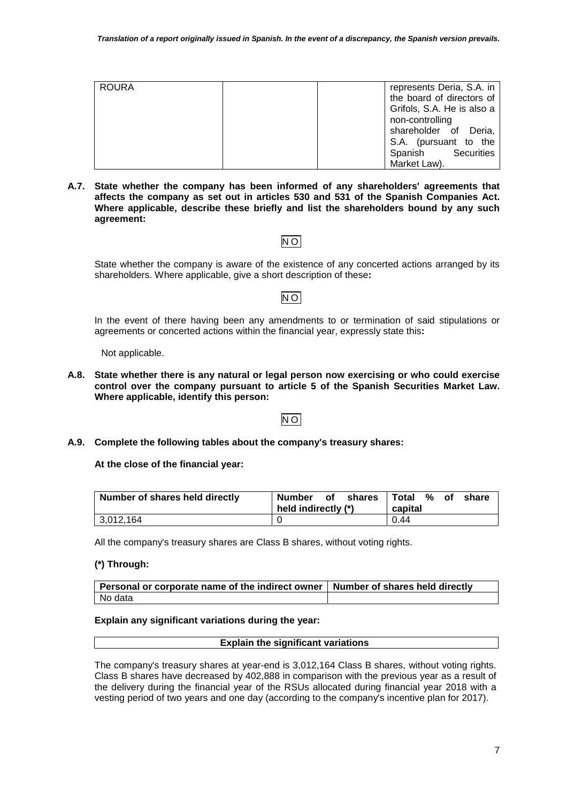| <b>ROURA</b> | represents Deria, S.A. in  |
|--------------|----------------------------|
|              | the board of directors of  |
|              | Grifols, S.A. He is also a |
|              | non-controlling            |
|              | shareholder of Deria,      |
|              | S.A. (pursuant to the      |
|              | Securities<br>Spanish      |
|              | Market Law).               |

**A.7. State whether the company has been informed of any shareholders' agreements that affects the company as set out in articles 530 and 531 of the Spanish Companies Act. Where applicable, describe these briefly and list the shareholders bound by any such agreement:** 

## NO

State whether the company is aware of the existence of any concerted actions arranged by its shareholders. Where applicable, give a short description of these**:**

# NO

In the event of there having been any amendments to or termination of said stipulations or agreements or concerted actions within the financial year, expressly state this**:**

Not applicable.

**A.8. State whether there is any natural or legal person now exercising or who could exercise control over the company pursuant to article 5 of the Spanish Securities Market Law. Where applicable, identify this person:** 

## NO

**A.9. Complete the following tables about the company's treasury shares:** 

**At the close of the financial year:** 

| Number of shares held directly | Number<br>held indirectly (*) | shares<br>0f | Total %<br>capital | of. | share |
|--------------------------------|-------------------------------|--------------|--------------------|-----|-------|
| 13,012,164                     |                               |              | 0.44               |     |       |

All the company's treasury shares are Class B shares, without voting rights.

## **(\*) Through:**

| Personal or corporate name of the indirect owner   Number of shares held directly |  |
|-----------------------------------------------------------------------------------|--|
| No data                                                                           |  |

#### **Explain any significant variations during the year:**

#### **Explain the significant variations**

The company's treasury shares at year-end is 3,012,164 Class B shares, without voting rights. Class B shares have decreased by 402,888 in comparison with the previous year as a result of the delivery during the financial year of the RSUs allocated during financial year 2018 with a vesting period of two years and one day (according to the company's incentive plan for 2017).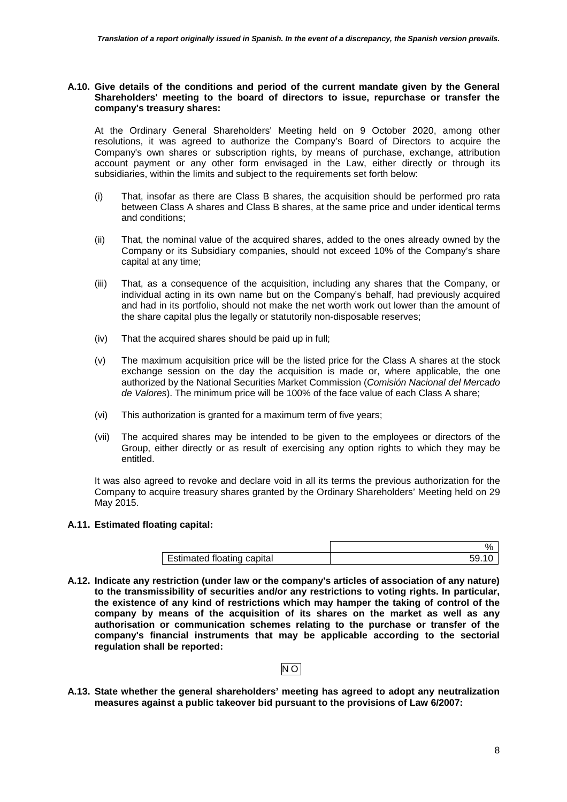#### **A.10. Give details of the conditions and period of the current mandate given by the General Shareholders' meeting to the board of directors to issue, repurchase or transfer the company's treasury shares:**

At the Ordinary General Shareholders' Meeting held on 9 October 2020, among other resolutions, it was agreed to authorize the Company's Board of Directors to acquire the Company's own shares or subscription rights, by means of purchase, exchange, attribution account payment or any other form envisaged in the Law, either directly or through its subsidiaries, within the limits and subject to the requirements set forth below:

- (i) That, insofar as there are Class B shares, the acquisition should be performed pro rata between Class A shares and Class B shares, at the same price and under identical terms and conditions;
- (ii) That, the nominal value of the acquired shares, added to the ones already owned by the Company or its Subsidiary companies, should not exceed 10% of the Company's share capital at any time;
- (iii) That, as a consequence of the acquisition, including any shares that the Company, or individual acting in its own name but on the Company's behalf, had previously acquired and had in its portfolio, should not make the net worth work out lower than the amount of the share capital plus the legally or statutorily non-disposable reserves;
- (iv) That the acquired shares should be paid up in full;
- (v) The maximum acquisition price will be the listed price for the Class A shares at the stock exchange session on the day the acquisition is made or, where applicable, the one authorized by the National Securities Market Commission (*Comisión Nacional del Mercado de Valores*). The minimum price will be 100% of the face value of each Class A share;
- (vi) This authorization is granted for a maximum term of five years;
- (vii) The acquired shares may be intended to be given to the employees or directors of the Group, either directly or as result of exercising any option rights to which they may be entitled.

It was also agreed to revoke and declare void in all its terms the previous authorization for the Company to acquire treasury shares granted by the Ordinary Shareholders' Meeting held on 29 May 2015.

#### **A.11. Estimated floating capital:**

|                                   | $\mathsf{U}_L$ |
|-----------------------------------|----------------|
| <b>Estimated floating capital</b> |                |

**A.12. Indicate any restriction (under law or the company's articles of association of any nature) to the transmissibility of securities and/or any restrictions to voting rights. In particular, the existence of any kind of restrictions which may hamper the taking of control of the company by means of the acquisition of its shares on the market as well as any authorisation or communication schemes relating to the purchase or transfer of the company's financial instruments that may be applicable according to the sectorial regulation shall be reported:** 

### NO

**A.13. State whether the general shareholders' meeting has agreed to adopt any neutralization measures against a public takeover bid pursuant to the provisions of Law 6/2007:**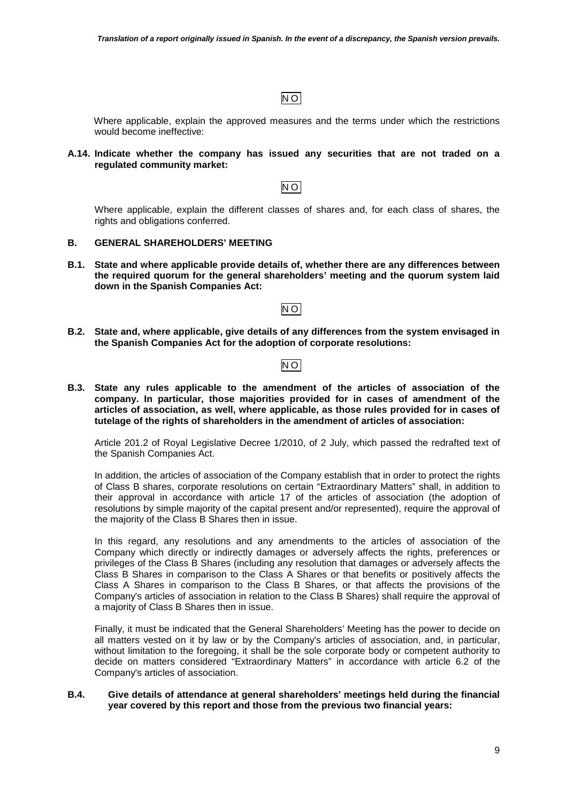## NO

Where applicable, explain the approved measures and the terms under which the restrictions would become ineffective:

### **A.14. Indicate whether the company has issued any securities that are not traded on a regulated community market:**

Where applicable, explain the different classes of shares and, for each class of shares, the rights and obligations conferred.

 $\overline{NO}$ 

#### **B. GENERAL SHAREHOLDERS' MEETING**

**B.1. State and where applicable provide details of, whether there are any differences between the required quorum for the general shareholders' meeting and the quorum system laid down in the Spanish Companies Act:** 

NO

**B.2. State and, where applicable, give details of any differences from the system envisaged in the Spanish Companies Act for the adoption of corporate resolutions:** 

## NO

**B.3. State any rules applicable to the amendment of the articles of association of the company. In particular, those majorities provided for in cases of amendment of the articles of association, as well, where applicable, as those rules provided for in cases of tutelage of the rights of shareholders in the amendment of articles of association:** 

Article 201.2 of Royal Legislative Decree 1/2010, of 2 July, which passed the redrafted text of the Spanish Companies Act.

In addition, the articles of association of the Company establish that in order to protect the rights of Class B shares, corporate resolutions on certain "Extraordinary Matters" shall, in addition to their approval in accordance with article 17 of the articles of association (the adoption of resolutions by simple majority of the capital present and/or represented), require the approval of the majority of the Class B Shares then in issue.

In this regard, any resolutions and any amendments to the articles of association of the Company which directly or indirectly damages or adversely affects the rights, preferences or privileges of the Class B Shares (including any resolution that damages or adversely affects the Class B Shares in comparison to the Class A Shares or that benefits or positively affects the Class A Shares in comparison to the Class B Shares, or that affects the provisions of the Company's articles of association in relation to the Class B Shares) shall require the approval of a majority of Class B Shares then in issue.

Finally, it must be indicated that the General Shareholders' Meeting has the power to decide on all matters vested on it by law or by the Company's articles of association, and, in particular, without limitation to the foregoing, it shall be the sole corporate body or competent authority to decide on matters considered "Extraordinary Matters" in accordance with article 6.2 of the Company's articles of association.

#### **B.4. Give details of attendance at general shareholders' meetings held during the financial year covered by this report and those from the previous two financial years:**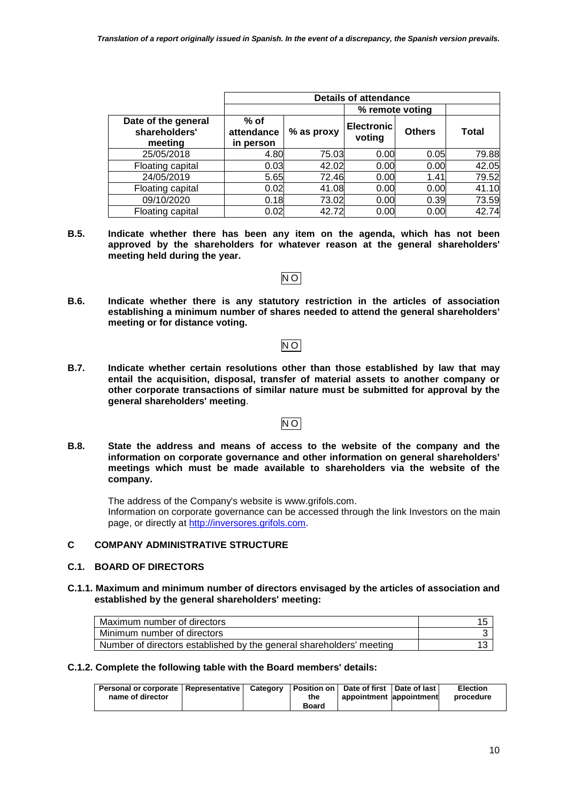|                                                 | <b>Details of attendance</b>      |            |                             |               |              |  |
|-------------------------------------------------|-----------------------------------|------------|-----------------------------|---------------|--------------|--|
|                                                 |                                   |            | % remote voting             |               |              |  |
| Date of the general<br>shareholders'<br>meeting | $%$ of<br>attendance<br>in person | % as proxy | <b>Electronic</b><br>voting | <b>Others</b> | <b>Total</b> |  |
| 25/05/2018                                      | 4.80                              | 75.03      | 0.00                        | 0.05          | 79.88        |  |
| Floating capital                                | 0.03                              | 42.02      | 0.00                        | 0.00          | 42.05        |  |
| 24/05/2019                                      | 5.65                              | 72.46      | 0.00                        | 1.41          | 79.52        |  |
| Floating capital                                | 0.02                              | 41.08      | 0.00                        | 0.00          | 41.10        |  |
| 09/10/2020                                      | 0.18                              | 73.02      | 0.00                        | 0.39          | 73.59        |  |
| Floating capital                                | 0.02                              | 42.72      | 0.00                        | 0.00          | 42.74        |  |

**B.5. Indicate whether there has been any item on the agenda, which has not been approved by the shareholders for whatever reason at the general shareholders' meeting held during the year.** 

NO

**B.6. Indicate whether there is any statutory restriction in the articles of association establishing a minimum number of shares needed to attend the general shareholders' meeting or for distance voting.**

# NO

**B.7. Indicate whether certain resolutions other than those established by law that may entail the acquisition, disposal, transfer of material assets to another company or other corporate transactions of similar nature must be submitted for approval by the general shareholders' meeting**.

## NO

**B.8. State the address and means of access to the website of the company and the information on corporate governance and other information on general shareholders' meetings which must be made available to shareholders via the website of the company.**

The address of the Company's website is www.grifols.com. Information on corporate governance can be accessed through the link Investors on the main page, or directly at http://inversores.grifols.com.

## **C COMPANY ADMINISTRATIVE STRUCTURE**

## **C.1. BOARD OF DIRECTORS**

**C.1.1. Maximum and minimum number of directors envisaged by the articles of association and established by the general shareholders' meeting:** 

| Maximum number of directors                                          |  |
|----------------------------------------------------------------------|--|
| Minimum number of directors                                          |  |
| Number of directors established by the general shareholders' meeting |  |

**C.1.2. Complete the following table with the Board members' details:** 

| Personal or corporate   Representative   Category   Position on   Date of first   Date of last |  |              |                          | <b>Election</b> |
|------------------------------------------------------------------------------------------------|--|--------------|--------------------------|-----------------|
| name of director                                                                               |  | the          | appointment lappointment | procedure       |
|                                                                                                |  | <b>Board</b> |                          |                 |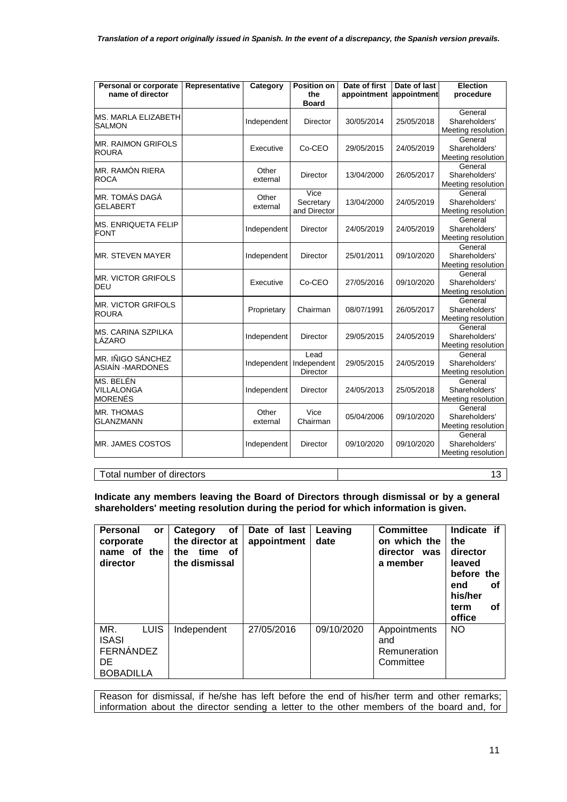| Personal or corporate                       | Representative | Category          | <b>Position on</b>                     | Date of first | Date of last | <b>Election</b>                                |
|---------------------------------------------|----------------|-------------------|----------------------------------------|---------------|--------------|------------------------------------------------|
| name of director                            |                |                   | the<br><b>Board</b>                    | appointment   | appointment  | procedure                                      |
| <b>MS. MARLA ELIZABETH</b><br><b>SALMON</b> |                | Independent       | <b>Director</b>                        | 30/05/2014    | 25/05/2018   | General<br>Shareholders'<br>Meeting resolution |
| <b>MR. RAIMON GRIFOLS</b><br><b>ROURA</b>   |                | Executive         | Co-CEO                                 | 29/05/2015    | 24/05/2019   | General<br>Shareholders'<br>Meeting resolution |
| MR. RAMÓN RIERA<br><b>ROCA</b>              |                | Other<br>external | Director                               | 13/04/2000    | 26/05/2017   | General<br>Shareholders'<br>Meeting resolution |
| MR. TOMÁS DAGÁ<br><b>GELABERT</b>           |                | Other<br>external | Vice<br>Secretary<br>and Director      | 13/04/2000    | 24/05/2019   | General<br>Shareholders'<br>Meeting resolution |
| <b>MS. ENRIQUETA FELIP</b><br><b>FONT</b>   |                | Independent       | Director                               | 24/05/2019    | 24/05/2019   | General<br>Shareholders'<br>Meeting resolution |
| <b>MR. STEVEN MAYER</b>                     |                | Independent       | <b>Director</b>                        | 25/01/2011    | 09/10/2020   | General<br>Shareholders'<br>Meeting resolution |
| <b>MR. VICTOR GRIFOLS</b><br>DEU            |                | Executive         | Co-CEO                                 | 27/05/2016    | 09/10/2020   | General<br>Shareholders'<br>Meeting resolution |
| <b>MR. VICTOR GRIFOLS</b><br><b>ROURA</b>   |                | Proprietary       | Chairman                               | 08/07/1991    | 26/05/2017   | General<br>Shareholders'<br>Meeting resolution |
| <b>MS. CARINA SZPILKA</b><br>LÁZARO         |                | Independent       | Director                               | 29/05/2015    | 24/05/2019   | General<br>Shareholders'<br>Meeting resolution |
| MR. IÑIGO SÁNCHEZ<br>ASIAÍN - MARDONES      |                | Independent       | Lead<br>Independent<br><b>Director</b> | 29/05/2015    | 24/05/2019   | General<br>Shareholders'<br>Meeting resolution |
| MS. BELÉN<br>VILLALONGA<br><b>MORENÉS</b>   |                | Independent       | Director                               | 24/05/2013    | 25/05/2018   | General<br>Shareholders'<br>Meeting resolution |
| <b>MR. THOMAS</b><br><b>GLANZMANN</b>       |                | Other<br>external | Vice<br>Chairman                       | 05/04/2006    | 09/10/2020   | General<br>Shareholders'<br>Meeting resolution |
| MR. JAMES COSTOS                            |                | Independent       | Director                               | 09/10/2020    | 09/10/2020   | General<br>Shareholders'<br>Meeting resolution |

## Total number of directors 13

**Indicate any members leaving the Board of Directors through dismissal or by a general shareholders' meeting resolution during the period for which information is given.**

| <b>Personal</b><br><b>or</b><br>corporate<br>name of the<br>director      | οf<br>Category<br>the director at<br>the time<br>of<br>the dismissal | Date of last<br>appointment | Leaving<br>date | Committee<br>on which the<br>director was<br>a member | Indicate if<br>the<br>director<br>leaved<br>before the<br>οf<br>end<br>his/her<br>οf<br>term<br>office |
|---------------------------------------------------------------------------|----------------------------------------------------------------------|-----------------------------|-----------------|-------------------------------------------------------|--------------------------------------------------------------------------------------------------------|
| MR.<br><b>LUIS</b><br><b>ISASI</b><br>FERNÁNDEZ<br>DE<br><b>BOBADILLA</b> | Independent                                                          | 27/05/2016                  | 09/10/2020      | Appointments<br>and<br>Remuneration<br>Committee      | <b>NO</b>                                                                                              |

Reason for dismissal, if he/she has left before the end of his/her term and other remarks; information about the director sending a letter to the other members of the board and, for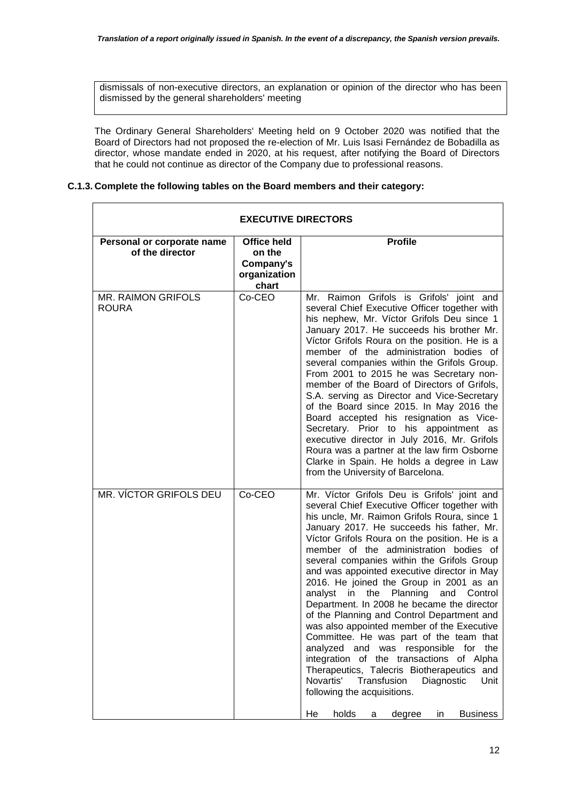dismissals of non-executive directors, an explanation or opinion of the director who has been dismissed by the general shareholders' meeting

The Ordinary General Shareholders' Meeting held on 9 October 2020 was notified that the Board of Directors had not proposed the re-election of Mr. Luis Isasi Fernández de Bobadilla as director, whose mandate ended in 2020, at his request, after notifying the Board of Directors that he could not continue as director of the Company due to professional reasons.

### **C.1.3. Complete the following tables on the Board members and their category:**

| <b>EXECUTIVE DIRECTORS</b>                    |                                                                    |                                                                                                                                                                                                                                                                                                                                                                                                                                                                                                                                                                                                                                                                                                                                                                                                                                                                                                                                                       |  |  |  |  |
|-----------------------------------------------|--------------------------------------------------------------------|-------------------------------------------------------------------------------------------------------------------------------------------------------------------------------------------------------------------------------------------------------------------------------------------------------------------------------------------------------------------------------------------------------------------------------------------------------------------------------------------------------------------------------------------------------------------------------------------------------------------------------------------------------------------------------------------------------------------------------------------------------------------------------------------------------------------------------------------------------------------------------------------------------------------------------------------------------|--|--|--|--|
| Personal or corporate name<br>of the director | <b>Office held</b><br>on the<br>Company's<br>organization<br>chart | <b>Profile</b>                                                                                                                                                                                                                                                                                                                                                                                                                                                                                                                                                                                                                                                                                                                                                                                                                                                                                                                                        |  |  |  |  |
| <b>MR. RAIMON GRIFOLS</b><br><b>ROURA</b>     | Co-CEO                                                             | Mr. Raimon Grifols is Grifols' joint and<br>several Chief Executive Officer together with<br>his nephew, Mr. Víctor Grifols Deu since 1<br>January 2017. He succeeds his brother Mr.<br>Víctor Grifols Roura on the position. He is a<br>member of the administration bodies of<br>several companies within the Grifols Group.<br>From 2001 to 2015 he was Secretary non-<br>member of the Board of Directors of Grifols,<br>S.A. serving as Director and Vice-Secretary<br>of the Board since 2015. In May 2016 the<br>Board accepted his resignation as Vice-<br>Secretary. Prior to his appointment as<br>executive director in July 2016, Mr. Grifols<br>Roura was a partner at the law firm Osborne<br>Clarke in Spain. He holds a degree in Law<br>from the University of Barcelona.                                                                                                                                                            |  |  |  |  |
| MR. VÍCTOR GRIFOLS DEU                        | Co-CEO                                                             | Mr. Víctor Grifols Deu is Grifols' joint and<br>several Chief Executive Officer together with<br>his uncle, Mr. Raimon Grifols Roura, since 1<br>January 2017. He succeeds his father, Mr.<br>Víctor Grifols Roura on the position. He is a<br>member of the administration bodies of<br>several companies within the Grifols Group<br>and was appointed executive director in May<br>2016. He joined the Group in 2001 as an<br>Planning<br>analyst<br>in<br>the<br>and<br>Control<br>Department. In 2008 he became the director<br>of the Planning and Control Department and<br>was also appointed member of the Executive<br>Committee. He was part of the team that<br>analyzed and was responsible for<br>the<br>integration of the transactions of Alpha<br>Therapeutics, Talecris Biotherapeutics and<br>Novartis'<br>Diagnostic<br>Transfusion<br>Unit<br>following the acquisitions.<br>holds<br>He<br>degree<br><b>Business</b><br>in<br>a |  |  |  |  |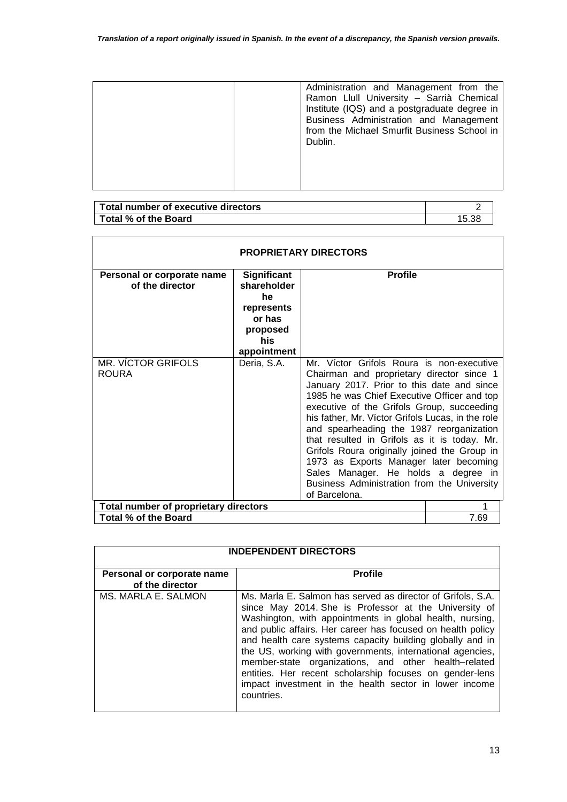|  | Administration and Management from the<br>Ramon Llull University - Sarrià Chemical<br>Institute (IQS) and a postgraduate degree in<br>Business Administration and Management<br>from the Michael Smurfit Business School in<br>Dublin. |
|--|----------------------------------------------------------------------------------------------------------------------------------------------------------------------------------------------------------------------------------------|
|--|----------------------------------------------------------------------------------------------------------------------------------------------------------------------------------------------------------------------------------------|

| Total number of executive directors |       |
|-------------------------------------|-------|
| Total % of the Board                | 15.38 |

r

| <b>PROPRIETARY DIRECTORS</b>                  |                                                                                                    |                                                                                                                                                                                                                                                                                                                                                                                                                                                                                                                                                                                     |      |  |
|-----------------------------------------------|----------------------------------------------------------------------------------------------------|-------------------------------------------------------------------------------------------------------------------------------------------------------------------------------------------------------------------------------------------------------------------------------------------------------------------------------------------------------------------------------------------------------------------------------------------------------------------------------------------------------------------------------------------------------------------------------------|------|--|
| Personal or corporate name<br>of the director | <b>Significant</b><br>shareholder<br>he.<br>represents<br>or has<br>proposed<br>his<br>appointment | <b>Profile</b>                                                                                                                                                                                                                                                                                                                                                                                                                                                                                                                                                                      |      |  |
| MR. VÍCTOR GRIFOLS<br><b>ROURA</b>            | Deria, S.A.                                                                                        | Mr. Víctor Grifols Roura is non-executive<br>Chairman and proprietary director since 1<br>January 2017. Prior to this date and since<br>1985 he was Chief Executive Officer and top<br>executive of the Grifols Group, succeeding<br>his father, Mr. Víctor Grifols Lucas, in the role<br>and spearheading the 1987 reorganization<br>that resulted in Grifols as it is today. Mr.<br>Grifols Roura originally joined the Group in<br>1973 as Exports Manager later becoming<br>Sales Manager. He holds a degree in<br>Business Administration from the University<br>of Barcelona. |      |  |
| Total number of proprietary directors         |                                                                                                    |                                                                                                                                                                                                                                                                                                                                                                                                                                                                                                                                                                                     |      |  |
| Total % of the Board                          |                                                                                                    |                                                                                                                                                                                                                                                                                                                                                                                                                                                                                                                                                                                     | 7.69 |  |

| <b>INDEPENDENT DIRECTORS</b>                  |                                                                                                                                                                                                                                                                                                                                                                                                                                                                                                                                                                      |  |  |
|-----------------------------------------------|----------------------------------------------------------------------------------------------------------------------------------------------------------------------------------------------------------------------------------------------------------------------------------------------------------------------------------------------------------------------------------------------------------------------------------------------------------------------------------------------------------------------------------------------------------------------|--|--|
| Personal or corporate name<br>of the director | <b>Profile</b>                                                                                                                                                                                                                                                                                                                                                                                                                                                                                                                                                       |  |  |
| MS. MARLA E. SALMON                           | Ms. Marla E. Salmon has served as director of Grifols, S.A.<br>since May 2014. She is Professor at the University of<br>Washington, with appointments in global health, nursing,<br>and public affairs. Her career has focused on health policy<br>and health care systems capacity building globally and in<br>the US, working with governments, international agencies,<br>member-state organizations, and other health-related<br>entities. Her recent scholarship focuses on gender-lens<br>impact investment in the health sector in lower income<br>countries. |  |  |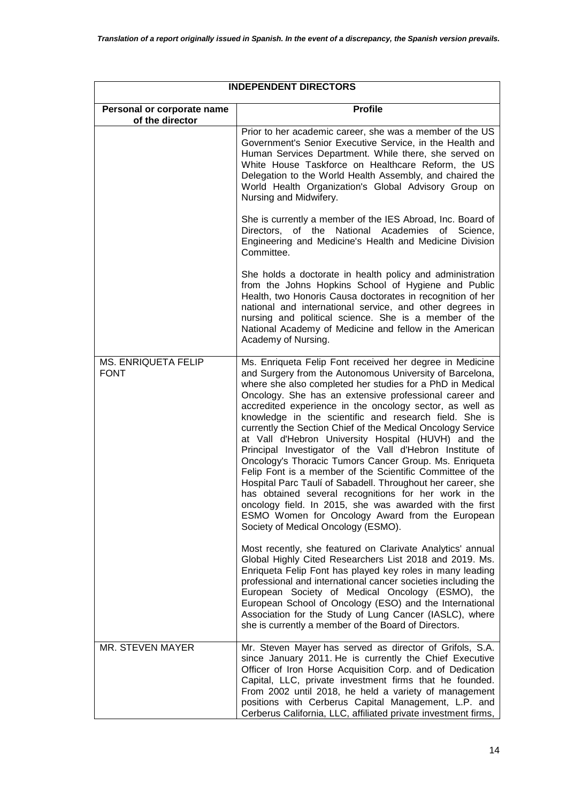| <b>INDEPENDENT DIRECTORS</b>                  |                                                                                                                                                                                                                                                                                                                                                                                                                                                                                                                                                                                                                                                                                                                                                                                                                                                                                                                                                         |  |  |
|-----------------------------------------------|---------------------------------------------------------------------------------------------------------------------------------------------------------------------------------------------------------------------------------------------------------------------------------------------------------------------------------------------------------------------------------------------------------------------------------------------------------------------------------------------------------------------------------------------------------------------------------------------------------------------------------------------------------------------------------------------------------------------------------------------------------------------------------------------------------------------------------------------------------------------------------------------------------------------------------------------------------|--|--|
| Personal or corporate name<br>of the director | <b>Profile</b>                                                                                                                                                                                                                                                                                                                                                                                                                                                                                                                                                                                                                                                                                                                                                                                                                                                                                                                                          |  |  |
|                                               | Prior to her academic career, she was a member of the US<br>Government's Senior Executive Service, in the Health and<br>Human Services Department. While there, she served on<br>White House Taskforce on Healthcare Reform, the US<br>Delegation to the World Health Assembly, and chaired the<br>World Health Organization's Global Advisory Group on<br>Nursing and Midwifery.                                                                                                                                                                                                                                                                                                                                                                                                                                                                                                                                                                       |  |  |
|                                               | She is currently a member of the IES Abroad, Inc. Board of<br>Directors,<br>of the<br>National<br>Academies<br>of<br>Science,<br>Engineering and Medicine's Health and Medicine Division<br>Committee.                                                                                                                                                                                                                                                                                                                                                                                                                                                                                                                                                                                                                                                                                                                                                  |  |  |
|                                               | She holds a doctorate in health policy and administration<br>from the Johns Hopkins School of Hygiene and Public<br>Health, two Honoris Causa doctorates in recognition of her<br>national and international service, and other degrees in<br>nursing and political science. She is a member of the<br>National Academy of Medicine and fellow in the American<br>Academy of Nursing.                                                                                                                                                                                                                                                                                                                                                                                                                                                                                                                                                                   |  |  |
| MS. ENRIQUETA FELIP<br><b>FONT</b>            | Ms. Enriqueta Felip Font received her degree in Medicine<br>and Surgery from the Autonomous University of Barcelona,<br>where she also completed her studies for a PhD in Medical<br>Oncology. She has an extensive professional career and<br>accredited experience in the oncology sector, as well as<br>knowledge in the scientific and research field. She is<br>currently the Section Chief of the Medical Oncology Service<br>at Vall d'Hebron University Hospital (HUVH) and the<br>Principal Investigator of the Vall d'Hebron Institute of<br>Oncology's Thoracic Tumors Cancer Group. Ms. Enriqueta<br>Felip Font is a member of the Scientific Committee of the<br>Hospital Parc Taulí of Sabadell. Throughout her career, she<br>has obtained several recognitions for her work in the<br>oncology field. In 2015, she was awarded with the first<br>ESMO Women for Oncology Award from the European<br>Society of Medical Oncology (ESMO). |  |  |
|                                               | Most recently, she featured on Clarivate Analytics' annual<br>Global Highly Cited Researchers List 2018 and 2019. Ms.<br>Enriqueta Felip Font has played key roles in many leading<br>professional and international cancer societies including the<br>European Society of Medical Oncology (ESMO), the<br>European School of Oncology (ESO) and the International<br>Association for the Study of Lung Cancer (IASLC), where<br>she is currently a member of the Board of Directors.                                                                                                                                                                                                                                                                                                                                                                                                                                                                   |  |  |
| MR. STEVEN MAYER                              | Mr. Steven Mayer has served as director of Grifols, S.A.<br>since January 2011. He is currently the Chief Executive<br>Officer of Iron Horse Acquisition Corp. and of Dedication<br>Capital, LLC, private investment firms that he founded.<br>From 2002 until 2018, he held a variety of management<br>positions with Cerberus Capital Management, L.P. and<br>Cerberus California, LLC, affiliated private investment firms,                                                                                                                                                                                                                                                                                                                                                                                                                                                                                                                          |  |  |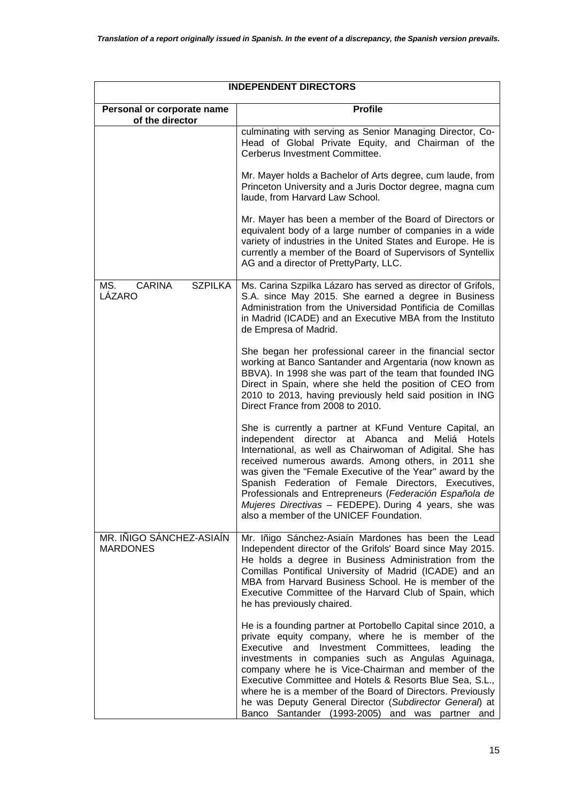| <b>INDEPENDENT DIRECTORS</b>                     |                                                                                                                                                                                                                                                                                                                                                                                                                                                                                                                                  |  |  |
|--------------------------------------------------|----------------------------------------------------------------------------------------------------------------------------------------------------------------------------------------------------------------------------------------------------------------------------------------------------------------------------------------------------------------------------------------------------------------------------------------------------------------------------------------------------------------------------------|--|--|
| Personal or corporate name<br>of the director    | <b>Profile</b>                                                                                                                                                                                                                                                                                                                                                                                                                                                                                                                   |  |  |
|                                                  | culminating with serving as Senior Managing Director, Co-<br>Head of Global Private Equity, and Chairman of the<br>Cerberus Investment Committee.                                                                                                                                                                                                                                                                                                                                                                                |  |  |
|                                                  | Mr. Mayer holds a Bachelor of Arts degree, cum laude, from<br>Princeton University and a Juris Doctor degree, magna cum<br>laude, from Harvard Law School.                                                                                                                                                                                                                                                                                                                                                                       |  |  |
|                                                  | Mr. Mayer has been a member of the Board of Directors or<br>equivalent body of a large number of companies in a wide<br>variety of industries in the United States and Europe. He is<br>currently a member of the Board of Supervisors of Syntellix<br>AG and a director of PrettyParty, LLC.                                                                                                                                                                                                                                    |  |  |
| <b>CARINA</b><br><b>SZPILKA</b><br>MS.<br>LÁZARO | Ms. Carina Szpilka Lázaro has served as director of Grifols,<br>S.A. since May 2015. She earned a degree in Business<br>Administration from the Universidad Pontificia de Comillas<br>in Madrid (ICADE) and an Executive MBA from the Instituto<br>de Empresa of Madrid.                                                                                                                                                                                                                                                         |  |  |
|                                                  | She began her professional career in the financial sector<br>working at Banco Santander and Argentaria (now known as<br>BBVA). In 1998 she was part of the team that founded ING<br>Direct in Spain, where she held the position of CEO from<br>2010 to 2013, having previously held said position in ING<br>Direct France from 2008 to 2010.                                                                                                                                                                                    |  |  |
|                                                  | She is currently a partner at KFund Venture Capital, an<br>independent director at Abanca<br>and Meliá Hotels<br>International, as well as Chairwoman of Adigital. She has<br>received numerous awards. Among others, in 2011 she<br>was given the "Female Executive of the Year" award by the<br>Spanish Federation of Female Directors, Executives,<br>Professionals and Entrepreneurs (Federación Española de<br>Mujeres Directivas - FEDEPE). During 4 years, she was<br>also a member of the UNICEF Foundation.             |  |  |
| MR. IÑIGO SÁNCHEZ-ASIAÍN<br><b>MARDONES</b>      | Mr. Iñigo Sánchez-Asiaín Mardones has been the Lead<br>Independent director of the Grifols' Board since May 2015.<br>He holds a degree in Business Administration from the<br>Comillas Pontifical University of Madrid (ICADE) and an<br>MBA from Harvard Business School. He is member of the<br>Executive Committee of the Harvard Club of Spain, which<br>he has previously chaired.                                                                                                                                          |  |  |
|                                                  | He is a founding partner at Portobello Capital since 2010, a<br>private equity company, where he is member of the<br>Executive and Investment Committees, leading<br>the<br>investments in companies such as Angulas Aguinaga,<br>company where he is Vice-Chairman and member of the<br>Executive Committee and Hotels & Resorts Blue Sea, S.L.,<br>where he is a member of the Board of Directors. Previously<br>he was Deputy General Director (Subdirector General) at<br>Banco Santander (1993-2005) and was partner<br>and |  |  |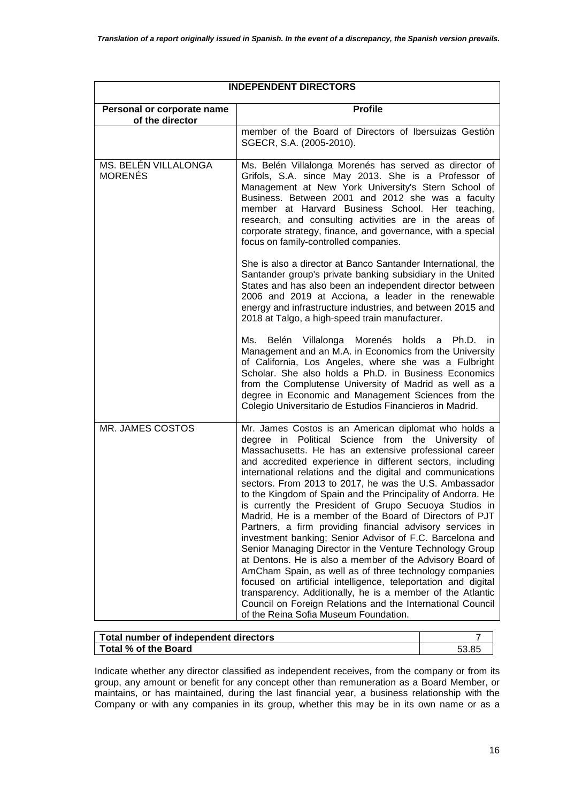| <b>INDEPENDENT DIRECTORS</b>                  |                                                                                                                                                                                                                                                                                                                                                                                                                                                                                                                                                                                                                                                                                                                                                                                                                                                                                                                                                                                                                                                                                                |  |  |  |
|-----------------------------------------------|------------------------------------------------------------------------------------------------------------------------------------------------------------------------------------------------------------------------------------------------------------------------------------------------------------------------------------------------------------------------------------------------------------------------------------------------------------------------------------------------------------------------------------------------------------------------------------------------------------------------------------------------------------------------------------------------------------------------------------------------------------------------------------------------------------------------------------------------------------------------------------------------------------------------------------------------------------------------------------------------------------------------------------------------------------------------------------------------|--|--|--|
| Personal or corporate name<br>of the director | <b>Profile</b>                                                                                                                                                                                                                                                                                                                                                                                                                                                                                                                                                                                                                                                                                                                                                                                                                                                                                                                                                                                                                                                                                 |  |  |  |
|                                               | member of the Board of Directors of Ibersuizas Gestión<br>SGECR, S.A. (2005-2010).                                                                                                                                                                                                                                                                                                                                                                                                                                                                                                                                                                                                                                                                                                                                                                                                                                                                                                                                                                                                             |  |  |  |
| MS. BELÉN VILLALONGA<br><b>MORENÉS</b>        | Ms. Belén Villalonga Morenés has served as director of<br>Grifols, S.A. since May 2013. She is a Professor of<br>Management at New York University's Stern School of<br>Business. Between 2001 and 2012 she was a faculty<br>member at Harvard Business School. Her teaching,<br>research, and consulting activities are in the areas of<br>corporate strategy, finance, and governance, with a special<br>focus on family-controlled companies.                                                                                                                                                                                                                                                                                                                                                                                                                                                                                                                                                                                                                                               |  |  |  |
|                                               | She is also a director at Banco Santander International, the<br>Santander group's private banking subsidiary in the United<br>States and has also been an independent director between<br>2006 and 2019 at Acciona, a leader in the renewable<br>energy and infrastructure industries, and between 2015 and<br>2018 at Talgo, a high-speed train manufacturer.                                                                                                                                                                                                                                                                                                                                                                                                                                                                                                                                                                                                                                                                                                                                 |  |  |  |
|                                               | Belén<br>Villalonga Morenés holds<br>Ms.<br>Ph.D. in<br>a<br>Management and an M.A. in Economics from the University<br>of California, Los Angeles, where she was a Fulbright<br>Scholar. She also holds a Ph.D. in Business Economics<br>from the Complutense University of Madrid as well as a<br>degree in Economic and Management Sciences from the<br>Colegio Universitario de Estudios Financieros in Madrid.                                                                                                                                                                                                                                                                                                                                                                                                                                                                                                                                                                                                                                                                            |  |  |  |
| MR. JAMES COSTOS                              | Mr. James Costos is an American diplomat who holds a<br>degree in Political Science from the University of<br>Massachusetts. He has an extensive professional career<br>and accredited experience in different sectors, including<br>international relations and the digital and communications<br>sectors. From 2013 to 2017, he was the U.S. Ambassador<br>to the Kingdom of Spain and the Principality of Andorra. He<br>is currently the President of Grupo Secuoya Studios in<br>Madrid, He is a member of the Board of Directors of PJT<br>Partners, a firm providing financial advisory services in<br>investment banking; Senior Advisor of F.C. Barcelona and<br>Senior Managing Director in the Venture Technology Group<br>at Dentons. He is also a member of the Advisory Board of<br>AmCham Spain, as well as of three technology companies<br>focused on artificial intelligence, teleportation and digital<br>transparency. Additionally, he is a member of the Atlantic<br>Council on Foreign Relations and the International Council<br>of the Reina Sofia Museum Foundation. |  |  |  |

| Total number of independent directors |       |
|---------------------------------------|-------|
| Total % of the Board                  | 53.85 |

Indicate whether any director classified as independent receives, from the company or from its group, any amount or benefit for any concept other than remuneration as a Board Member, or maintains, or has maintained, during the last financial year, a business relationship with the Company or with any companies in its group, whether this may be in its own name or as a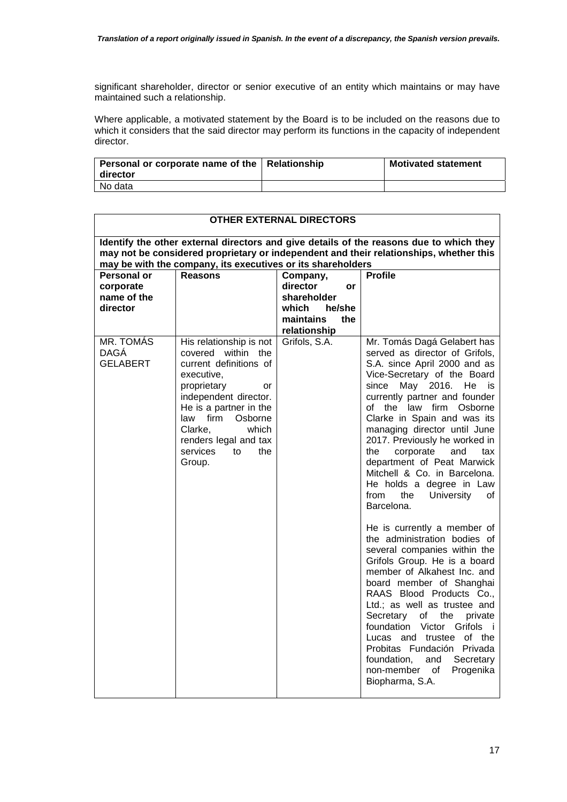significant shareholder, director or senior executive of an entity which maintains or may have maintained such a relationship.

Where applicable, a motivated statement by the Board is to be included on the reasons due to which it considers that the said director may perform its functions in the capacity of independent director.

| Personal or corporate name of the   Relationship<br>  director | <b>Motivated statement</b> |
|----------------------------------------------------------------|----------------------------|
| No data                                                        |                            |

| <b>OTHER EXTERNAL DIRECTORS</b>                                                                                                                                                                                                                  |                                                                                                                                                                                                                                                                   |                                                                                                  |                                                                                                                                                                                                                                                                                                                                                                                                                                                                                                                                                                                                                                                                                                                                                                                                                                                                                                                                                                                |  |
|--------------------------------------------------------------------------------------------------------------------------------------------------------------------------------------------------------------------------------------------------|-------------------------------------------------------------------------------------------------------------------------------------------------------------------------------------------------------------------------------------------------------------------|--------------------------------------------------------------------------------------------------|--------------------------------------------------------------------------------------------------------------------------------------------------------------------------------------------------------------------------------------------------------------------------------------------------------------------------------------------------------------------------------------------------------------------------------------------------------------------------------------------------------------------------------------------------------------------------------------------------------------------------------------------------------------------------------------------------------------------------------------------------------------------------------------------------------------------------------------------------------------------------------------------------------------------------------------------------------------------------------|--|
| Identify the other external directors and give details of the reasons due to which they<br>may not be considered proprietary or independent and their relationships, whether this<br>may be with the company, its executives or its shareholders |                                                                                                                                                                                                                                                                   |                                                                                                  |                                                                                                                                                                                                                                                                                                                                                                                                                                                                                                                                                                                                                                                                                                                                                                                                                                                                                                                                                                                |  |
| <b>Personal or</b><br>corporate<br>name of the<br>director                                                                                                                                                                                       | <b>Reasons</b>                                                                                                                                                                                                                                                    | Company,<br>director<br>or<br>shareholder<br>he/she<br>which<br>maintains<br>the<br>relationship | <b>Profile</b>                                                                                                                                                                                                                                                                                                                                                                                                                                                                                                                                                                                                                                                                                                                                                                                                                                                                                                                                                                 |  |
| MR. TOMÁS<br><b>DAGA</b><br><b>GELABERT</b>                                                                                                                                                                                                      | His relationship is not<br>covered within the<br>current definitions of<br>executive,<br>proprietary<br>or<br>independent director.<br>He is a partner in the<br>law firm Osborne<br>Clarke,<br>which<br>renders legal and tax<br>services<br>to<br>the<br>Group. | Grifols, S.A.                                                                                    | Mr. Tomás Dagá Gelabert has<br>served as director of Grifols,<br>S.A. since April 2000 and as<br>Vice-Secretary of the Board<br>since May 2016. He<br>is<br>currently partner and founder<br>of the law firm Osborne<br>Clarke in Spain and was its<br>managing director until June<br>2017. Previously he worked in<br>corporate<br>the<br>and<br>tax<br>department of Peat Marwick<br>Mitchell & Co. in Barcelona.<br>He holds a degree in Law<br>University<br>from<br>the<br>οf<br>Barcelona.<br>He is currently a member of<br>the administration bodies of<br>several companies within the<br>Grifols Group. He is a board<br>member of Alkahest Inc. and<br>board member of Shanghai<br>RAAS Blood Products Co.,<br>Ltd.; as well as trustee and<br>Secretary<br>of<br>the<br>private<br>foundation Victor Grifols<br>- i<br>Lucas and trustee of the<br>Probitas Fundación Privada<br>foundation.<br>Secretary<br>and<br>non-member of<br>Progenika<br>Biopharma, S.A. |  |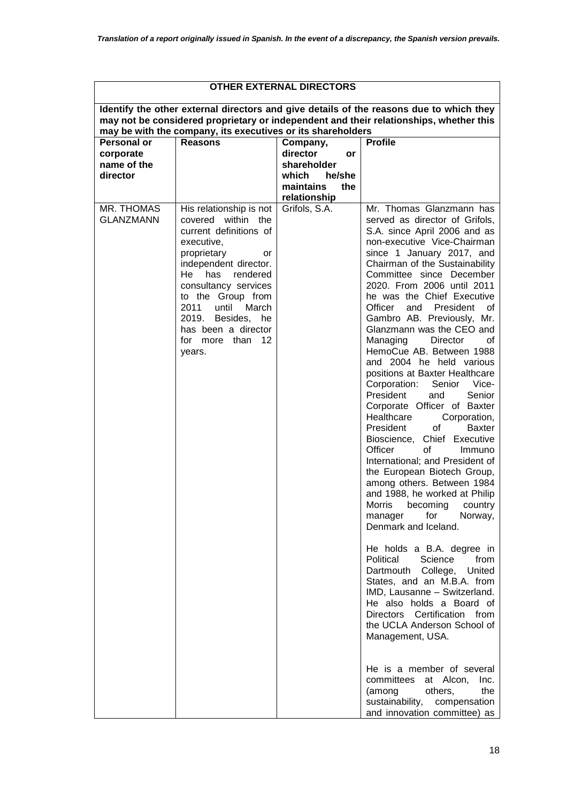| <b>OTHER EXTERNAL DIRECTORS</b>                            |                                                                                                                                                                                                                                                                                                            |                                                                                                  |                                                                                                                                                                                                                                                                                                                                                                                                                                                                                                                                                                                                                                                                                                                                                                                                                                                                                                                                                                                                                                                                                                                                                                                                                                                                                                                                                                                          |  |
|------------------------------------------------------------|------------------------------------------------------------------------------------------------------------------------------------------------------------------------------------------------------------------------------------------------------------------------------------------------------------|--------------------------------------------------------------------------------------------------|------------------------------------------------------------------------------------------------------------------------------------------------------------------------------------------------------------------------------------------------------------------------------------------------------------------------------------------------------------------------------------------------------------------------------------------------------------------------------------------------------------------------------------------------------------------------------------------------------------------------------------------------------------------------------------------------------------------------------------------------------------------------------------------------------------------------------------------------------------------------------------------------------------------------------------------------------------------------------------------------------------------------------------------------------------------------------------------------------------------------------------------------------------------------------------------------------------------------------------------------------------------------------------------------------------------------------------------------------------------------------------------|--|
|                                                            | may be with the company, its executives or its shareholders                                                                                                                                                                                                                                                |                                                                                                  | Identify the other external directors and give details of the reasons due to which they<br>may not be considered proprietary or independent and their relationships, whether this                                                                                                                                                                                                                                                                                                                                                                                                                                                                                                                                                                                                                                                                                                                                                                                                                                                                                                                                                                                                                                                                                                                                                                                                        |  |
| <b>Personal or</b><br>corporate<br>name of the<br>director | <b>Reasons</b>                                                                                                                                                                                                                                                                                             | Company,<br>director<br>or<br>shareholder<br>which<br>he/she<br>maintains<br>the<br>relationship | <b>Profile</b>                                                                                                                                                                                                                                                                                                                                                                                                                                                                                                                                                                                                                                                                                                                                                                                                                                                                                                                                                                                                                                                                                                                                                                                                                                                                                                                                                                           |  |
| MR. THOMAS<br><b>GLANZMANN</b>                             | His relationship is not<br>covered within the<br>current definitions of<br>executive,<br>proprietary<br>or<br>independent director.<br>rendered<br>He<br>has<br>consultancy services<br>to the Group from<br>2011 until<br>March<br>2019. Besides, he<br>has been a director<br>for more than 12<br>years. | Grifols, S.A.                                                                                    | Mr. Thomas Glanzmann has<br>served as director of Grifols,<br>S.A. since April 2006 and as<br>non-executive Vice-Chairman<br>since 1 January 2017, and<br>Chairman of the Sustainability<br>Committee since December<br>2020. From 2006 until 2011<br>he was the Chief Executive<br>Officer<br>President<br>and<br>οf<br>Gambro AB. Previously, Mr.<br>Glanzmann was the CEO and<br>Managing Director<br>οf<br>HemoCue AB. Between 1988<br>and 2004 he held various<br>positions at Baxter Healthcare<br>Corporation:<br>Senior Vice-<br>President<br>Senior<br>and<br>Corporate Officer of Baxter<br>Healthcare<br>Corporation,<br>of<br>President<br><b>Baxter</b><br>Bioscience, Chief Executive<br>Officer<br>of<br>Immuno<br>International; and President of<br>the European Biotech Group,<br>among others. Between 1984<br>and 1988, he worked at Philip<br>Morris becoming country<br>manager<br>for<br>Norway,<br>Denmark and Iceland.<br>He holds a B.A. degree in<br>Political<br>Science<br>from<br>Dartmouth College,<br>United<br>States, and an M.B.A. from<br>IMD, Lausanne - Switzerland.<br>He also holds a Board of<br>Directors Certification from<br>the UCLA Anderson School of<br>Management, USA.<br>He is a member of several<br>committees<br>at Alcon,<br>Inc.<br>the<br>(among<br>others,<br>sustainability,<br>compensation<br>and innovation committee) as |  |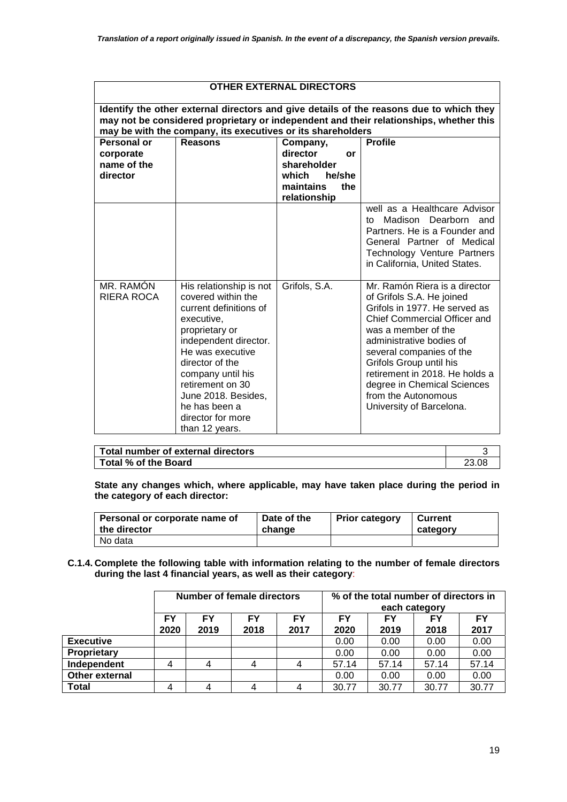|                                                     | <b>OTHER EXTERNAL DIRECTORS</b>                                                                                                                                                                                                                                                                 |                                                                                                  |                                                                                                                                                                                                                                                                                                                                                           |  |  |
|-----------------------------------------------------|-------------------------------------------------------------------------------------------------------------------------------------------------------------------------------------------------------------------------------------------------------------------------------------------------|--------------------------------------------------------------------------------------------------|-----------------------------------------------------------------------------------------------------------------------------------------------------------------------------------------------------------------------------------------------------------------------------------------------------------------------------------------------------------|--|--|
|                                                     | Identify the other external directors and give details of the reasons due to which they<br>may not be considered proprietary or independent and their relationships, whether this<br>may be with the company, its executives or its shareholders                                                |                                                                                                  |                                                                                                                                                                                                                                                                                                                                                           |  |  |
| Personal or<br>corporate<br>name of the<br>director | <b>Reasons</b>                                                                                                                                                                                                                                                                                  | Company,<br>director<br>Ωr<br>shareholder<br>which<br>he/she<br>maintains<br>the<br>relationship | <b>Profile</b>                                                                                                                                                                                                                                                                                                                                            |  |  |
|                                                     |                                                                                                                                                                                                                                                                                                 |                                                                                                  | well as a Healthcare Advisor<br>Madison Dearborn and<br>t∩∶<br>Partners. He is a Founder and<br>General Partner of Medical<br><b>Technology Venture Partners</b><br>in California, United States.                                                                                                                                                         |  |  |
| MR. RAMÓN<br><b>RIERA ROCA</b>                      | His relationship is not<br>covered within the<br>current definitions of<br>executive,<br>proprietary or<br>independent director.<br>He was executive<br>director of the<br>company until his<br>retirement on 30<br>June 2018. Besides,<br>he has been a<br>director for more<br>than 12 years. | Grifols, S.A.                                                                                    | Mr. Ramón Riera is a director<br>of Grifols S.A. He joined<br>Grifols in 1977. He served as<br>Chief Commercial Officer and<br>was a member of the<br>administrative bodies of<br>several companies of the<br>Grifols Group until his<br>retirement in 2018. He holds a<br>degree in Chemical Sciences<br>from the Autonomous<br>University of Barcelona. |  |  |

| Total number of external directors |  |
|------------------------------------|--|
| Total % of the Board               |  |

**State any changes which, where applicable, may have taken place during the period in the category of each director:** 

| Personal or corporate name of | Date of the | <b>Prior category</b> | Current  |
|-------------------------------|-------------|-----------------------|----------|
| ∣ the director                | change      |                       | category |
| No data                       |             |                       |          |

**C.1.4. Complete the following table with information relating to the number of female directors during the last 4 financial years, as well as their category**:

|                  | Number of female directors |            |            | % of the total number of directors in<br>each category |                   |            |            |            |
|------------------|----------------------------|------------|------------|--------------------------------------------------------|-------------------|------------|------------|------------|
|                  | FY<br>2020                 | FY<br>2019 | FY<br>2018 | FY<br>2017                                             | <b>FY</b><br>2020 | FY<br>2019 | FΥ<br>2018 | FY<br>2017 |
| <b>Executive</b> |                            |            |            |                                                        | 0.00              | 0.00       | 0.00       | 0.00       |
| Proprietary      |                            |            |            |                                                        | 0.00              | 0.00       | 0.00       | 0.00       |
| Independent      | 4                          | 4          |            | 4                                                      | 57.14             | 57.14      | 57.14      | 57.14      |
| Other external   |                            |            |            |                                                        | 0.00              | 0.00       | 0.00       | 0.00       |
| <b>Total</b>     | 4                          | 4          |            | 4                                                      | 30.77             | 30.77      | 30.77      | 30.77      |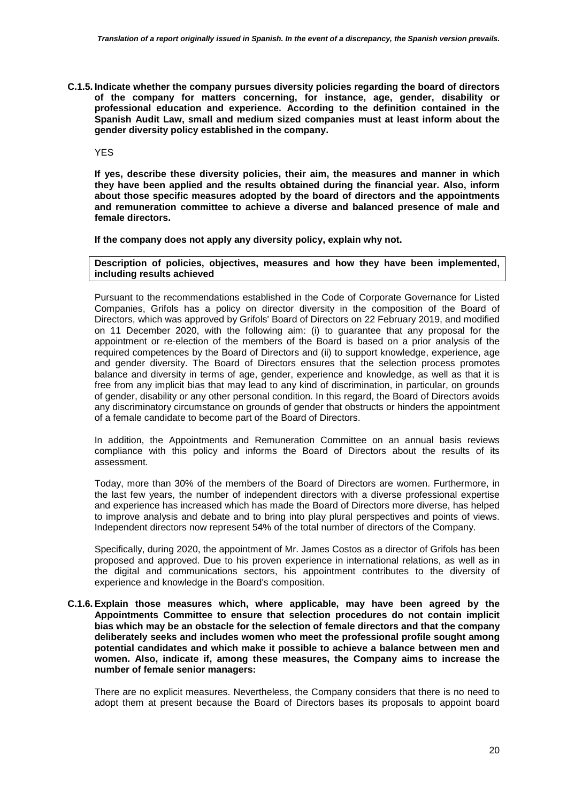**C.1.5. Indicate whether the company pursues diversity policies regarding the board of directors of the company for matters concerning, for instance, age, gender, disability or professional education and experience. According to the definition contained in the Spanish Audit Law, small and medium sized companies must at least inform about the gender diversity policy established in the company.** 

YES

**If yes, describe these diversity policies, their aim, the measures and manner in which they have been applied and the results obtained during the financial year. Also, inform about those specific measures adopted by the board of directors and the appointments and remuneration committee to achieve a diverse and balanced presence of male and female directors.** 

**If the company does not apply any diversity policy, explain why not.** 

**Description of policies, objectives, measures and how they have been implemented, including results achieved** 

Pursuant to the recommendations established in the Code of Corporate Governance for Listed Companies, Grifols has a policy on director diversity in the composition of the Board of Directors, which was approved by Grifols' Board of Directors on 22 February 2019, and modified on 11 December 2020, with the following aim: (i) to guarantee that any proposal for the appointment or re-election of the members of the Board is based on a prior analysis of the required competences by the Board of Directors and (ii) to support knowledge, experience, age and gender diversity. The Board of Directors ensures that the selection process promotes balance and diversity in terms of age, gender, experience and knowledge, as well as that it is free from any implicit bias that may lead to any kind of discrimination, in particular, on grounds of gender, disability or any other personal condition. In this regard, the Board of Directors avoids any discriminatory circumstance on grounds of gender that obstructs or hinders the appointment of a female candidate to become part of the Board of Directors.

In addition, the Appointments and Remuneration Committee on an annual basis reviews compliance with this policy and informs the Board of Directors about the results of its assessment.

Today, more than 30% of the members of the Board of Directors are women. Furthermore, in the last few years, the number of independent directors with a diverse professional expertise and experience has increased which has made the Board of Directors more diverse, has helped to improve analysis and debate and to bring into play plural perspectives and points of views. Independent directors now represent 54% of the total number of directors of the Company.

Specifically, during 2020, the appointment of Mr. James Costos as a director of Grifols has been proposed and approved. Due to his proven experience in international relations, as well as in the digital and communications sectors, his appointment contributes to the diversity of experience and knowledge in the Board's composition.

**C.1.6. Explain those measures which, where applicable, may have been agreed by the Appointments Committee to ensure that selection procedures do not contain implicit bias which may be an obstacle for the selection of female directors and that the company deliberately seeks and includes women who meet the professional profile sought among potential candidates and which make it possible to achieve a balance between men and women. Also, indicate if, among these measures, the Company aims to increase the number of female senior managers:** 

There are no explicit measures. Nevertheless, the Company considers that there is no need to adopt them at present because the Board of Directors bases its proposals to appoint board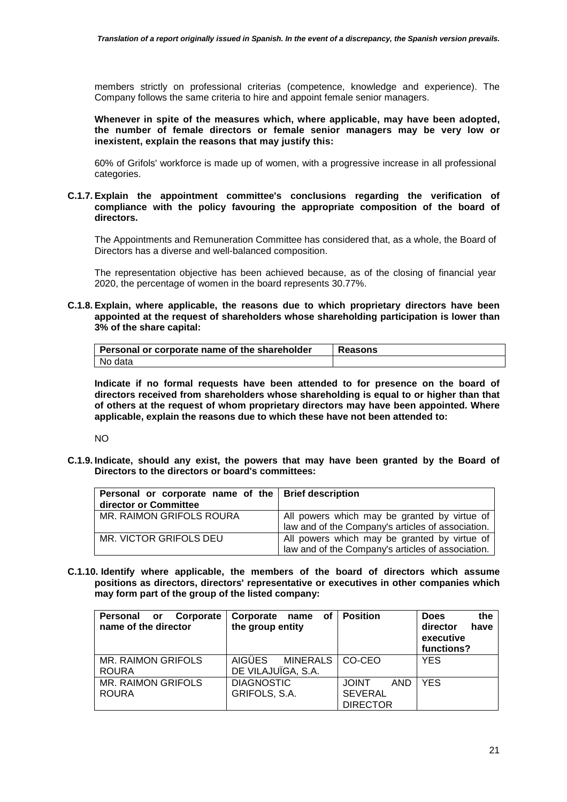members strictly on professional criterias (competence, knowledge and experience). The Company follows the same criteria to hire and appoint female senior managers.

**Whenever in spite of the measures which, where applicable, may have been adopted, the number of female directors or female senior managers may be very low or inexistent, explain the reasons that may justify this:** 

60% of Grifols' workforce is made up of women, with a progressive increase in all professional categories.

### **C.1.7. Explain the appointment committee's conclusions regarding the verification of compliance with the policy favouring the appropriate composition of the board of directors.**

The Appointments and Remuneration Committee has considered that, as a whole, the Board of Directors has a diverse and well-balanced composition.

The representation objective has been achieved because, as of the closing of financial year 2020, the percentage of women in the board represents 30.77%.

**C.1.8. Explain, where applicable, the reasons due to which proprietary directors have been appointed at the request of shareholders whose shareholding participation is lower than 3% of the share capital:** 

| Personal or corporate name of the shareholder | Reasons |
|-----------------------------------------------|---------|
| l No data                                     |         |

**Indicate if no formal requests have been attended to for presence on the board of directors received from shareholders whose shareholding is equal to or higher than that of others at the request of whom proprietary directors may have been appointed. Where applicable, explain the reasons due to which these have not been attended to:** 

NO

**C.1.9. Indicate, should any exist, the powers that may have been granted by the Board of Directors to the directors or board's committees:** 

| Personal or corporate name of the   Brief description<br>director or Committee |                                                                                                   |
|--------------------------------------------------------------------------------|---------------------------------------------------------------------------------------------------|
| MR. RAIMON GRIFOLS ROURA                                                       | All powers which may be granted by virtue of<br>law and of the Company's articles of association. |
| MR. VICTOR GRIFOLS DEU                                                         | All powers which may be granted by virtue of<br>law and of the Company's articles of association. |

**C.1.10. Identify where applicable, the members of the board of directors which assume positions as directors, directors' representative or executives in other companies which may form part of the group of the listed company:** 

| Personal or<br>Corporate<br>name of the director | Corporate<br>name of<br>the group entity | <b>Position</b>     | <b>Does</b><br>the<br>have<br>director<br>executive<br>functions? |
|--------------------------------------------------|------------------------------------------|---------------------|-------------------------------------------------------------------|
| <b>MR. RAIMON GRIFOLS</b>                        | <b>AIGÜES</b><br><b>MINERALS</b>         | CO-CEO              | <b>YES</b>                                                        |
| <b>ROURA</b>                                     | DE VILAJUÏGA, S.A.                       |                     |                                                                   |
| <b>MR. RAIMON GRIFOLS</b>                        | <b>DIAGNOSTIC</b>                        | <b>JOINT</b><br>AND | <b>YES</b>                                                        |
| <b>ROURA</b>                                     | GRIFOLS, S.A.                            | <b>SEVERAL</b>      |                                                                   |
|                                                  |                                          | <b>DIRECTOR</b>     |                                                                   |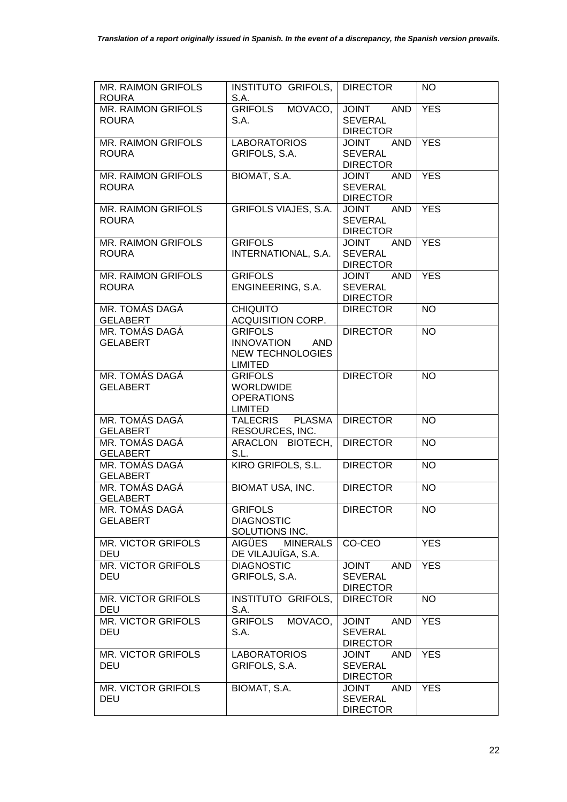| MR. RAIMON GRIFOLS<br><b>ROURA</b>        | INSTITUTO GRIFOLS,   DIRECTOR<br>S.A.                                                          |                                                                 | <b>NO</b>  |
|-------------------------------------------|------------------------------------------------------------------------------------------------|-----------------------------------------------------------------|------------|
| <b>MR. RAIMON GRIFOLS</b><br>ROURA        | <b>GRIFOLS</b><br>MOVACO,<br>S.A.                                                              | JOINT AND<br><b>SEVERAL</b><br><b>DIRECTOR</b>                  | <b>YES</b> |
| MR. RAIMON GRIFOLS<br><b>ROURA</b>        | <b>LABORATORIOS</b><br>GRIFOLS, S.A.                                                           | AND<br><b>TUIOL</b><br><b>SEVERAL</b><br><b>DIRECTOR</b>        | <b>YES</b> |
| MR. RAIMON GRIFOLS<br><b>ROURA</b>        | BIOMAT, S.A.                                                                                   | AND<br><b>JOINT</b><br><b>SEVERAL</b><br><b>DIRECTOR</b>        | <b>YES</b> |
| MR. RAIMON GRIFOLS<br><b>ROURA</b>        | GRIFOLS VIAJES, S.A.                                                                           | <b>JOINT</b><br>AND<br><b>SEVERAL</b><br><b>DIRECTOR</b>        | <b>YES</b> |
| MR. RAIMON GRIFOLS<br><b>ROURA</b>        | <b>GRIFOLS</b><br>INTERNATIONAL, S.A.                                                          | <b>AND</b><br><b>JOINT</b><br><b>SEVERAL</b><br><b>DIRECTOR</b> | <b>YES</b> |
| <b>MR. RAIMON GRIFOLS</b><br><b>ROURA</b> | <b>GRIFOLS</b><br>ENGINEERING, S.A.                                                            | <b>JOINT</b><br><b>AND</b><br><b>SEVERAL</b><br><b>DIRECTOR</b> | <b>YES</b> |
| MR. TOMÁS DAGÁ<br><b>GELABERT</b>         | <b>CHIQUITO</b><br>ACQUISITION CORP.                                                           | <b>DIRECTOR</b>                                                 | <b>NO</b>  |
| MR. TOMÁS DAGÁ<br><b>GELABERT</b>         | <b>GRIFOLS</b><br><b>INNOVATION</b><br><b>AND</b><br><b>NEW TECHNOLOGIES</b><br><b>LIMITED</b> | <b>DIRECTOR</b>                                                 | <b>NO</b>  |
| MR. TOMÁS DAGÁ<br><b>GELABERT</b>         | <b>GRIFOLS</b><br><b>WORLDWIDE</b><br><b>OPERATIONS</b><br><b>LIMITED</b>                      | <b>DIRECTOR</b>                                                 | <b>NO</b>  |
| MR. TOMÁS DAGÁ<br><b>GELABERT</b>         | <b>PLASMA</b><br><b>TALECRIS</b><br>RESOURCES, INC.                                            | <b>DIRECTOR</b>                                                 | <b>NO</b>  |
| MR. TOMÁS DAGÁ<br><b>GELABERT</b>         | ARACLON BIOTECH,<br>S.L.                                                                       | <b>DIRECTOR</b>                                                 | <b>NO</b>  |
| MR. TOMÁS DAGÁ<br><b>GELABERT</b>         | KIRO GRIFOLS, S.L.                                                                             | <b>DIRECTOR</b>                                                 | <b>NO</b>  |
| MR. TOMÁS DAGÁ<br><b>GELABERT</b>         | <b>BIOMAT USA, INC.</b>                                                                        | <b>DIRECTOR</b>                                                 | <b>NO</b>  |
| MR. TOMÁS DAGÁ<br><b>GELABERT</b>         | <b>GRIFOLS</b><br><b>DIAGNOSTIC</b><br>SOLUTIONS INC.                                          | <b>DIRECTOR</b>                                                 | <b>NO</b>  |
| MR. VICTOR GRIFOLS<br>DEU                 | <b>AIGÜES</b><br><b>MINERALS</b><br>DE VILAJUÏGA, S.A.                                         | CO-CEO                                                          | <b>YES</b> |
| <b>MR. VICTOR GRIFOLS</b><br>DEU          | <b>DIAGNOSTIC</b><br>GRIFOLS, S.A.                                                             | <b>JOINT</b><br><b>AND</b><br><b>SEVERAL</b><br><b>DIRECTOR</b> | <b>YES</b> |
| <b>MR. VICTOR GRIFOLS</b><br>DEU          | INSTITUTO GRIFOLS,<br>S.A.                                                                     | <b>DIRECTOR</b>                                                 | <b>NO</b>  |
| MR. VICTOR GRIFOLS<br>DEU                 | <b>GRIFOLS</b><br>MOVACO,<br>S.A.                                                              | <b>AND</b><br><b>JOINT</b><br><b>SEVERAL</b><br><b>DIRECTOR</b> | <b>YES</b> |
| MR. VICTOR GRIFOLS<br>DEU                 | <b>LABORATORIOS</b><br>GRIFOLS, S.A.                                                           | <b>JOINT</b><br>AND<br><b>SEVERAL</b><br><b>DIRECTOR</b>        | <b>YES</b> |
| <b>MR. VICTOR GRIFOLS</b><br><b>DEU</b>   | BIOMAT, S.A.                                                                                   | <b>AND</b><br><b>JOINT</b><br><b>SEVERAL</b><br><b>DIRECTOR</b> | <b>YES</b> |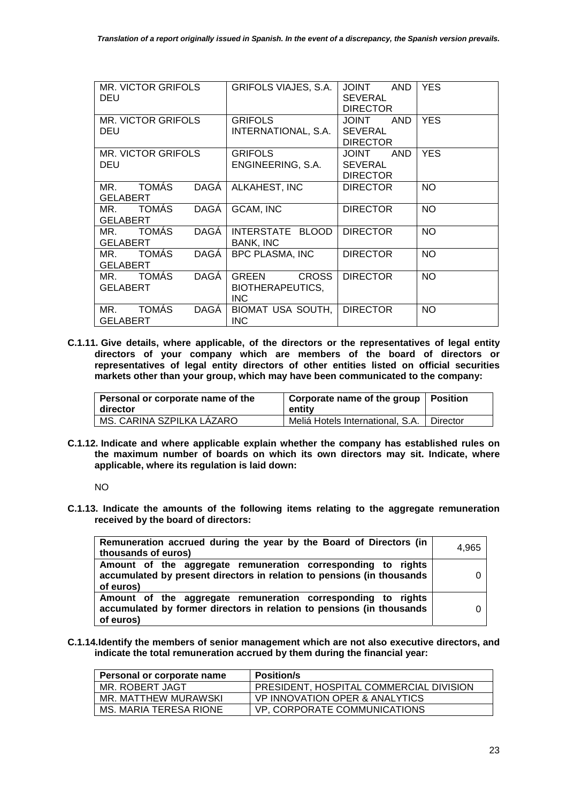| <b>MR. VICTOR GRIFOLS</b><br>DEU                      | GRIFOLS VIAJES, S.A.                                    | <b>TINIOL</b><br><b>AND</b><br><b>SEVERAL</b><br><b>DIRECTOR</b> | <b>YES</b> |
|-------------------------------------------------------|---------------------------------------------------------|------------------------------------------------------------------|------------|
| <b>MR. VICTOR GRIFOLS</b><br>DEU                      | <b>GRIFOLS</b><br>INTERNATIONAL, S.A.                   | <b>AND</b><br><b>TUIOL</b><br><b>SEVERAL</b>                     | <b>YES</b> |
|                                                       |                                                         | <b>DIRECTOR</b>                                                  |            |
| <b>MR. VICTOR GRIFOLS</b>                             | <b>GRIFOLS</b>                                          | <b>AND</b><br><b>TNIOL</b>                                       | <b>YES</b> |
| DEU                                                   | ENGINEERING, S.A.                                       | <b>SEVERAL</b><br><b>DIRECTOR</b>                                |            |
| <b>TOMÁS</b><br>DAGÁ<br>MR.<br>GELABERT               | ALKAHEST, INC                                           | <b>DIRECTOR</b>                                                  | <b>NO</b>  |
|                                                       |                                                         |                                                                  |            |
| <b>TOMÁS</b><br><b>DAGA</b><br>MR.<br><b>GELABERT</b> | GCAM, INC                                               | <b>DIRECTOR</b>                                                  | <b>NO</b>  |
| <b>TOMÁS</b><br>DAGÁ<br>MR.<br><b>GELABERT</b>        | INTERSTATE BLOOD<br><b>BANK, INC</b>                    | <b>DIRECTOR</b>                                                  | <b>NO</b>  |
| <b>TOMÁS</b><br><b>DAGA</b><br>MR.<br><b>GELABERT</b> | BPC PLASMA, INC                                         | <b>DIRECTOR</b>                                                  | <b>NO</b>  |
| DAGÁ<br><b>TOMÁS</b><br>MR.<br>GELABERT               | <b>CROSS</b><br><b>GREEN</b><br><b>BIOTHERAPEUTICS,</b> | <b>DIRECTOR</b>                                                  | <b>NO</b>  |
|                                                       | INC.                                                    |                                                                  |            |
| <b>TOMÁS</b><br>DAGÁ<br>MR.<br><b>GELABERT</b>        | <b>BIOMAT USA SOUTH,</b><br><b>INC</b>                  | <b>DIRECTOR</b>                                                  | <b>NO</b>  |

**C.1.11. Give details, where applicable, of the directors or the representatives of legal entity directors of your company which are members of the board of directors or representatives of legal entity directors of other entities listed on official securities markets other than your group, which may have been communicated to the company:** 

| Personal or corporate name of the<br>l director | Corporate name of the group   Position<br>entity |  |
|-------------------------------------------------|--------------------------------------------------|--|
| MS. CARINA SZPILKA LÁZARO                       | Meliá Hotels International, S.A.   Director      |  |

**C.1.12. Indicate and where applicable explain whether the company has established rules on the maximum number of boards on which its own directors may sit. Indicate, where applicable, where its regulation is laid down:** 

NO

**C.1.13. Indicate the amounts of the following items relating to the aggregate remuneration received by the board of directors:** 

| Remuneration accrued during the year by the Board of Directors (in                                                                                  | 4.965 |
|-----------------------------------------------------------------------------------------------------------------------------------------------------|-------|
| thousands of euros)                                                                                                                                 |       |
| Amount of the aggregate remuneration corresponding to rights<br>accumulated by present directors in relation to pensions (in thousands<br>of euros) |       |
| Amount of the aggregate remuneration corresponding to rights<br>accumulated by former directors in relation to pensions (in thousands<br>of euros)  |       |

**C.1.14.Identify the members of senior management which are not also executive directors, and indicate the total remuneration accrued by them during the financial year:** 

| Personal or corporate name | <b>Position/s</b>                       |
|----------------------------|-----------------------------------------|
| MR. ROBERT JAGT            | PRESIDENT, HOSPITAL COMMERCIAL DIVISION |
| MR. MATTHEW MURAWSKI       | VP INNOVATION OPER & ANALYTICS          |
| MS. MARIA TERESA RIONE     | VP, CORPORATE COMMUNICATIONS            |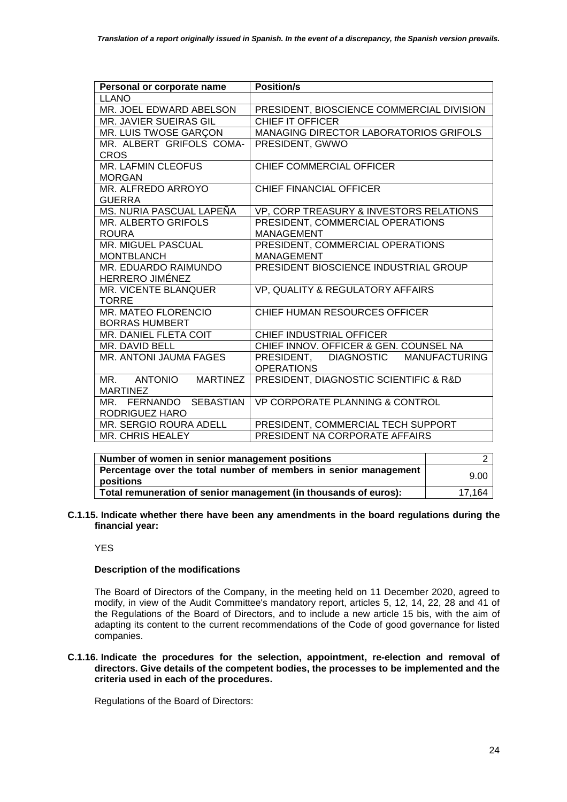| Personal or corporate name     | <b>Position/s</b>                             |  |
|--------------------------------|-----------------------------------------------|--|
| <b>LLANO</b>                   |                                               |  |
| MR. JOEL EDWARD ABELSON        | PRESIDENT, BIOSCIENCE COMMERCIAL DIVISION     |  |
| <b>MR. JAVIER SUEIRAS GIL</b>  | <b>CHIEF IT OFFICER</b>                       |  |
| MR. LUIS TWOSE GARÇON          | MANAGING DIRECTOR LABORATORIOS GRIFOLS        |  |
| MR. ALBERT GRIFOLS COMA-       | PRESIDENT, GWWO                               |  |
| <b>CROS</b>                    |                                               |  |
| MR. LAFMIN CLEOFUS             | CHIEF COMMERCIAL OFFICER                      |  |
| <b>MORGAN</b>                  |                                               |  |
| MR. ALFREDO ARROYO             | <b>CHIEF FINANCIAL OFFICER</b>                |  |
| <b>GUERRA</b>                  |                                               |  |
| MS. NURIA PASCUAL LAPEÑA       | VP, CORP TREASURY & INVESTORS RELATIONS       |  |
| MR. ALBERTO GRIFOLS            | PRESIDENT, COMMERCIAL OPERATIONS              |  |
| <b>ROURA</b>                   | <b>MANAGEMENT</b>                             |  |
| MR. MIGUEL PASCUAL             | PRESIDENT, COMMERCIAL OPERATIONS              |  |
| <b>MONTBLANCH</b>              | <b>MANAGEMENT</b>                             |  |
| MR. EDUARDO RAIMUNDO           | PRESIDENT BIOSCIENCE INDUSTRIAL GROUP         |  |
| HERRERO JIMÉNEZ                |                                               |  |
| MR. VICENTE BLANQUER           | VP, QUALITY & REGULATORY AFFAIRS              |  |
| <b>TORRE</b>                   |                                               |  |
| MR. MATEO FLORENCIO            | CHIEF HUMAN RESOURCES OFFICER                 |  |
| <b>BORRAS HUMBERT</b>          |                                               |  |
| MR. DANIEL FLETA COIT          | CHIEF INDUSTRIAL OFFICER                      |  |
| MR. DAVID BELL                 | CHIEF INNOV. OFFICER & GEN. COUNSEL NA        |  |
| MR. ANTONI JAUMA FAGES         | PRESIDENT, DIAGNOSTIC<br><b>MANUFACTURING</b> |  |
|                                | <b>OPERATIONS</b>                             |  |
| <b>MARTINEZ</b><br>MR. ANTONIO | PRESIDENT, DIAGNOSTIC SCIENTIFIC & R&D        |  |
| <b>MARTINEZ</b>                |                                               |  |
| MR. FERNANDO SEBASTIAN         | VP CORPORATE PLANNING & CONTROL               |  |
| RODRIGUEZ HARO                 |                                               |  |
| <b>MR. SERGIO ROURA ADELL</b>  | PRESIDENT, COMMERCIAL TECH SUPPORT            |  |
| MR. CHRIS HEALEY               | PRESIDENT NA CORPORATE AFFAIRS                |  |

| Number of women in senior management positions                                |        |
|-------------------------------------------------------------------------------|--------|
| Percentage over the total number of members in senior management<br>positions | 9.00   |
| Total remuneration of senior management (in thousands of euros):              | 17,164 |

**C.1.15. Indicate whether there have been any amendments in the board regulations during the financial year:** 

## **YES**

### **Description of the modifications**

The Board of Directors of the Company, in the meeting held on 11 December 2020, agreed to modify, in view of the Audit Committee's mandatory report, articles 5, 12, 14, 22, 28 and 41 of the Regulations of the Board of Directors, and to include a new article 15 bis, with the aim of adapting its content to the current recommendations of the Code of good governance for listed companies.

### **C.1.16. Indicate the procedures for the selection, appointment, re-election and removal of directors. Give details of the competent bodies, the processes to be implemented and the criteria used in each of the procedures.**

Regulations of the Board of Directors: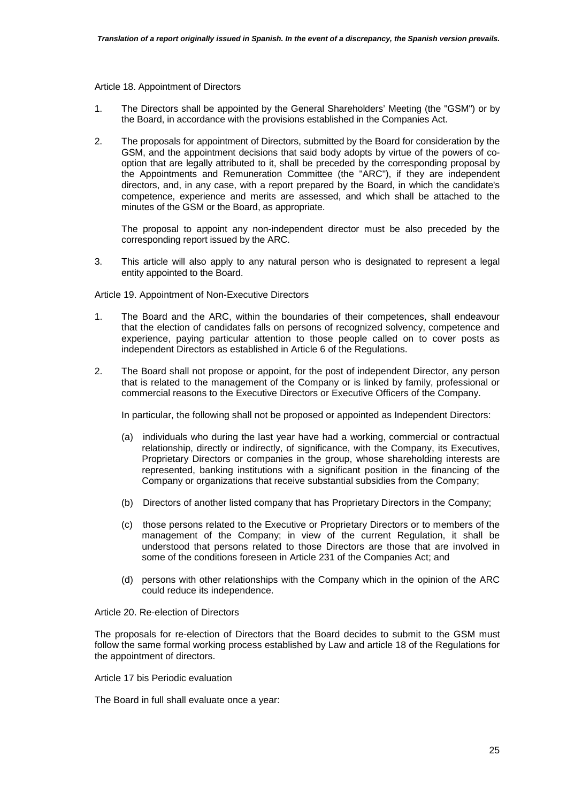#### Article 18. Appointment of Directors

- 1. The Directors shall be appointed by the General Shareholders' Meeting (the "GSM") or by the Board, in accordance with the provisions established in the Companies Act.
- 2. The proposals for appointment of Directors, submitted by the Board for consideration by the GSM, and the appointment decisions that said body adopts by virtue of the powers of cooption that are legally attributed to it, shall be preceded by the corresponding proposal by the Appointments and Remuneration Committee (the "ARC"), if they are independent directors, and, in any case, with a report prepared by the Board, in which the candidate's competence, experience and merits are assessed, and which shall be attached to the minutes of the GSM or the Board, as appropriate.

The proposal to appoint any non-independent director must be also preceded by the corresponding report issued by the ARC.

3. This article will also apply to any natural person who is designated to represent a legal entity appointed to the Board.

Article 19. Appointment of Non-Executive Directors

- 1. The Board and the ARC, within the boundaries of their competences, shall endeavour that the election of candidates falls on persons of recognized solvency, competence and experience, paying particular attention to those people called on to cover posts as independent Directors as established in Article 6 of the Regulations.
- 2. The Board shall not propose or appoint, for the post of independent Director, any person that is related to the management of the Company or is linked by family, professional or commercial reasons to the Executive Directors or Executive Officers of the Company.

In particular, the following shall not be proposed or appointed as Independent Directors:

- (a) individuals who during the last year have had a working, commercial or contractual relationship, directly or indirectly, of significance, with the Company, its Executives, Proprietary Directors or companies in the group, whose shareholding interests are represented, banking institutions with a significant position in the financing of the Company or organizations that receive substantial subsidies from the Company;
- (b) Directors of another listed company that has Proprietary Directors in the Company;
- (c) those persons related to the Executive or Proprietary Directors or to members of the management of the Company; in view of the current Regulation, it shall be understood that persons related to those Directors are those that are involved in some of the conditions foreseen in Article 231 of the Companies Act; and
- (d) persons with other relationships with the Company which in the opinion of the ARC could reduce its independence.

Article 20. Re-election of Directors

The proposals for re-election of Directors that the Board decides to submit to the GSM must follow the same formal working process established by Law and article 18 of the Regulations for the appointment of directors.

Article 17 bis Periodic evaluation

The Board in full shall evaluate once a year: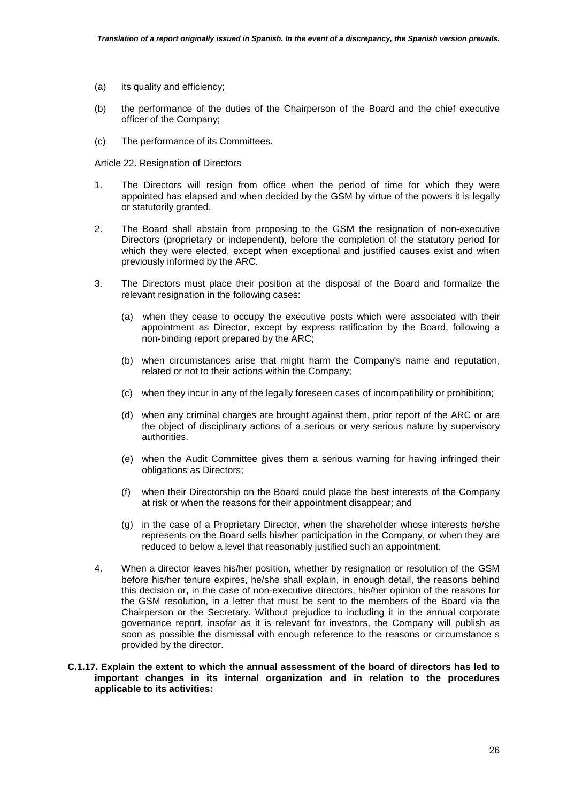- (a) its quality and efficiency;
- (b) the performance of the duties of the Chairperson of the Board and the chief executive officer of the Company;
- (c) The performance of its Committees.

Article 22. Resignation of Directors

- 1. The Directors will resign from office when the period of time for which they were appointed has elapsed and when decided by the GSM by virtue of the powers it is legally or statutorily granted.
- 2. The Board shall abstain from proposing to the GSM the resignation of non-executive Directors (proprietary or independent), before the completion of the statutory period for which they were elected, except when exceptional and justified causes exist and when previously informed by the ARC.
- 3. The Directors must place their position at the disposal of the Board and formalize the relevant resignation in the following cases:
	- (a) when they cease to occupy the executive posts which were associated with their appointment as Director, except by express ratification by the Board, following a non-binding report prepared by the ARC;
	- (b) when circumstances arise that might harm the Company's name and reputation, related or not to their actions within the Company;
	- (c) when they incur in any of the legally foreseen cases of incompatibility or prohibition;
	- (d) when any criminal charges are brought against them, prior report of the ARC or are the object of disciplinary actions of a serious or very serious nature by supervisory authorities.
	- (e) when the Audit Committee gives them a serious warning for having infringed their obligations as Directors;
	- (f) when their Directorship on the Board could place the best interests of the Company at risk or when the reasons for their appointment disappear; and
	- (g) in the case of a Proprietary Director, when the shareholder whose interests he/she represents on the Board sells his/her participation in the Company, or when they are reduced to below a level that reasonably justified such an appointment.
- 4. When a director leaves his/her position, whether by resignation or resolution of the GSM before his/her tenure expires, he/she shall explain, in enough detail, the reasons behind this decision or, in the case of non-executive directors, his/her opinion of the reasons for the GSM resolution, in a letter that must be sent to the members of the Board via the Chairperson or the Secretary. Without prejudice to including it in the annual corporate governance report, insofar as it is relevant for investors, the Company will publish as soon as possible the dismissal with enough reference to the reasons or circumstance s provided by the director.
- **C.1.17. Explain the extent to which the annual assessment of the board of directors has led to important changes in its internal organization and in relation to the procedures applicable to its activities:**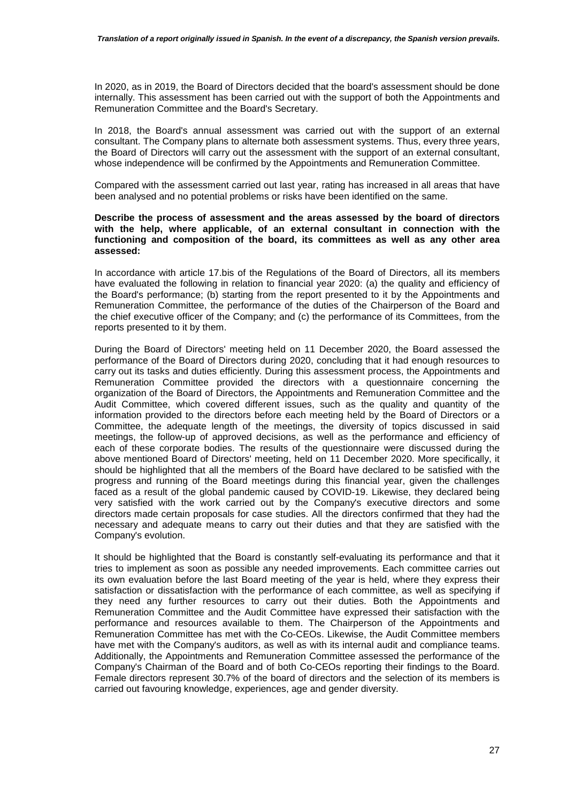In 2020, as in 2019, the Board of Directors decided that the board's assessment should be done internally. This assessment has been carried out with the support of both the Appointments and Remuneration Committee and the Board's Secretary.

In 2018, the Board's annual assessment was carried out with the support of an external consultant. The Company plans to alternate both assessment systems. Thus, every three years, the Board of Directors will carry out the assessment with the support of an external consultant, whose independence will be confirmed by the Appointments and Remuneration Committee.

Compared with the assessment carried out last year, rating has increased in all areas that have been analysed and no potential problems or risks have been identified on the same.

#### **Describe the process of assessment and the areas assessed by the board of directors with the help, where applicable, of an external consultant in connection with the functioning and composition of the board, its committees as well as any other area assessed:**

In accordance with article 17.bis of the Regulations of the Board of Directors, all its members have evaluated the following in relation to financial year 2020: (a) the quality and efficiency of the Board's performance; (b) starting from the report presented to it by the Appointments and Remuneration Committee, the performance of the duties of the Chairperson of the Board and the chief executive officer of the Company; and (c) the performance of its Committees, from the reports presented to it by them.

During the Board of Directors' meeting held on 11 December 2020, the Board assessed the performance of the Board of Directors during 2020, concluding that it had enough resources to carry out its tasks and duties efficiently. During this assessment process, the Appointments and Remuneration Committee provided the directors with a questionnaire concerning the organization of the Board of Directors, the Appointments and Remuneration Committee and the Audit Committee, which covered different issues, such as the quality and quantity of the information provided to the directors before each meeting held by the Board of Directors or a Committee, the adequate length of the meetings, the diversity of topics discussed in said meetings, the follow-up of approved decisions, as well as the performance and efficiency of each of these corporate bodies. The results of the questionnaire were discussed during the above mentioned Board of Directors' meeting, held on 11 December 2020. More specifically, it should be highlighted that all the members of the Board have declared to be satisfied with the progress and running of the Board meetings during this financial year, given the challenges faced as a result of the global pandemic caused by COVID-19. Likewise, they declared being very satisfied with the work carried out by the Company's executive directors and some directors made certain proposals for case studies. All the directors confirmed that they had the necessary and adequate means to carry out their duties and that they are satisfied with the Company's evolution.

It should be highlighted that the Board is constantly self-evaluating its performance and that it tries to implement as soon as possible any needed improvements. Each committee carries out its own evaluation before the last Board meeting of the year is held, where they express their satisfaction or dissatisfaction with the performance of each committee, as well as specifying if they need any further resources to carry out their duties. Both the Appointments and Remuneration Committee and the Audit Committee have expressed their satisfaction with the performance and resources available to them. The Chairperson of the Appointments and Remuneration Committee has met with the Co-CEOs. Likewise, the Audit Committee members have met with the Company's auditors, as well as with its internal audit and compliance teams. Additionally, the Appointments and Remuneration Committee assessed the performance of the Company's Chairman of the Board and of both Co-CEOs reporting their findings to the Board. Female directors represent 30.7% of the board of directors and the selection of its members is carried out favouring knowledge, experiences, age and gender diversity.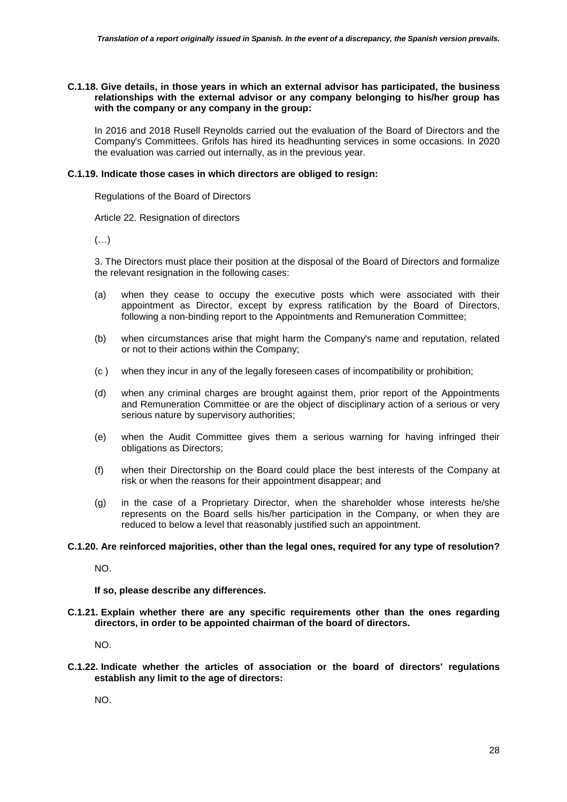#### **C.1.18. Give details, in those years in which an external advisor has participated, the business relationships with the external advisor or any company belonging to his/her group has with the company or any company in the group:**

In 2016 and 2018 Rusell Reynolds carried out the evaluation of the Board of Directors and the Company's Committees. Grifols has hired its headhunting services in some occasions. In 2020 the evaluation was carried out internally, as in the previous year.

### **C.1.19. Indicate those cases in which directors are obliged to resign:**

Regulations of the Board of Directors

Article 22. Resignation of directors

(…)

3. The Directors must place their position at the disposal of the Board of Directors and formalize the relevant resignation in the following cases:

- (a) when they cease to occupy the executive posts which were associated with their appointment as Director, except by express ratification by the Board of Directors, following a non-binding report to the Appointments and Remuneration Committee;
- (b) when circumstances arise that might harm the Company's name and reputation, related or not to their actions within the Company;
- (c ) when they incur in any of the legally foreseen cases of incompatibility or prohibition;
- (d) when any criminal charges are brought against them, prior report of the Appointments and Remuneration Committee or are the object of disciplinary action of a serious or very serious nature by supervisory authorities;
- (e) when the Audit Committee gives them a serious warning for having infringed their obligations as Directors;
- (f) when their Directorship on the Board could place the best interests of the Company at risk or when the reasons for their appointment disappear; and
- (g) in the case of a Proprietary Director, when the shareholder whose interests he/she represents on the Board sells his/her participation in the Company, or when they are reduced to below a level that reasonably justified such an appointment.

## **C.1.20. Are reinforced majorities, other than the legal ones, required for any type of resolution?**

NO.

**If so, please describe any differences.** 

**C.1.21. Explain whether there are any specific requirements other than the ones regarding directors, in order to be appointed chairman of the board of directors.** 

NO.

**C.1.22. Indicate whether the articles of association or the board of directors' regulations establish any limit to the age of directors:** 

NO.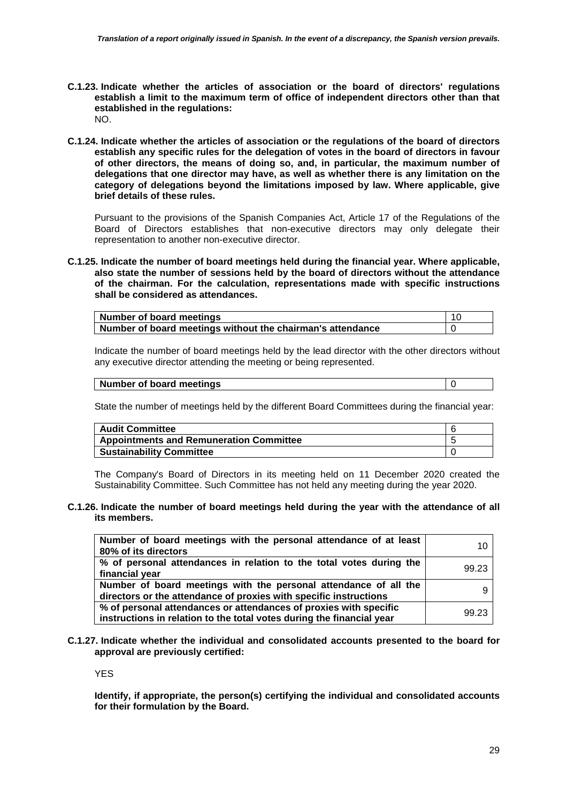- **C.1.23. Indicate whether the articles of association or the board of directors' regulations establish a limit to the maximum term of office of independent directors other than that established in the regulations:**  NO.
- **C.1.24. Indicate whether the articles of association or the regulations of the board of directors establish any specific rules for the delegation of votes in the board of directors in favour of other directors, the means of doing so, and, in particular, the maximum number of delegations that one director may have, as well as whether there is any limitation on the category of delegations beyond the limitations imposed by law. Where applicable, give brief details of these rules.**

Pursuant to the provisions of the Spanish Companies Act, Article 17 of the Regulations of the Board of Directors establishes that non-executive directors may only delegate their representation to another non-executive director.

**C.1.25. Indicate the number of board meetings held during the financial year. Where applicable, also state the number of sessions held by the board of directors without the attendance of the chairman. For the calculation, representations made with specific instructions shall be considered as attendances.** 

| Number of board meetings                                   |  |
|------------------------------------------------------------|--|
| Number of board meetings without the chairman's attendance |  |

Indicate the number of board meetings held by the lead director with the other directors without any executive director attending the meeting or being represented.

| Number of board meetings |
|--------------------------|
|--------------------------|

State the number of meetings held by the different Board Committees during the financial year:

| <b>Audit Committee</b>                         |  |
|------------------------------------------------|--|
| <b>Appointments and Remuneration Committee</b> |  |
| <b>Sustainability Committee</b>                |  |

The Company's Board of Directors in its meeting held on 11 December 2020 created the Sustainability Committee. Such Committee has not held any meeting during the year 2020.

#### **C.1.26. Indicate the number of board meetings held during the year with the attendance of all its members.**

| Number of board meetings with the personal attendance of at least     | 10    |
|-----------------------------------------------------------------------|-------|
| 80% of its directors                                                  |       |
| % of personal attendances in relation to the total votes during the   | 99.23 |
| financial year                                                        |       |
| Number of board meetings with the personal attendance of all the      |       |
| directors or the attendance of proxies with specific instructions     |       |
| % of personal attendances or attendances of proxies with specific     | 99.23 |
| instructions in relation to the total votes during the financial year |       |

**C.1.27. Indicate whether the individual and consolidated accounts presented to the board for approval are previously certified:** 

YES

**Identify, if appropriate, the person(s) certifying the individual and consolidated accounts for their formulation by the Board.**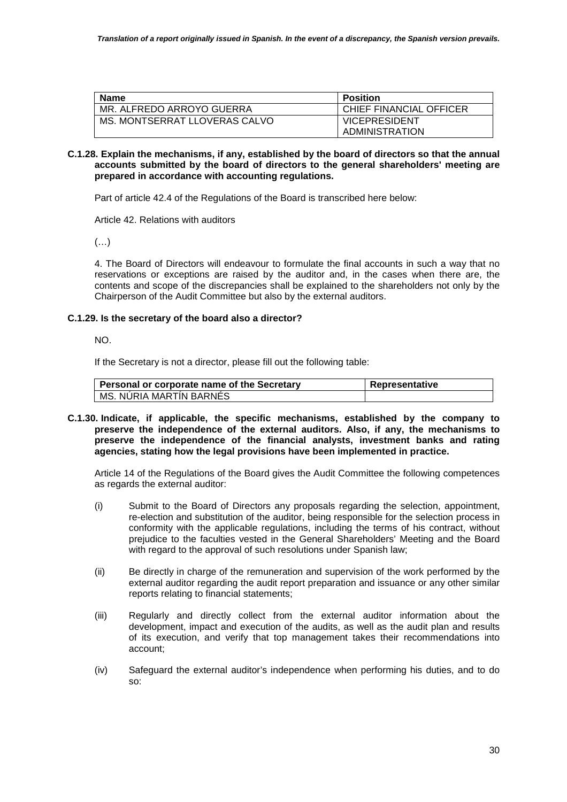| <b>Name</b>                   | <b>Position</b>                        |
|-------------------------------|----------------------------------------|
| MR. ALFREDO ARROYO GUERRA     | CHIEF FINANCIAL OFFICER                |
| MS. MONTSERRAT LLOVERAS CALVO | <b>VICEPRESIDENT</b><br>ADMINISTRATION |

### **C.1.28. Explain the mechanisms, if any, established by the board of directors so that the annual accounts submitted by the board of directors to the general shareholders' meeting are prepared in accordance with accounting regulations.**

Part of article 42.4 of the Regulations of the Board is transcribed here below:

Article 42. Relations with auditors

(…)

4. The Board of Directors will endeavour to formulate the final accounts in such a way that no reservations or exceptions are raised by the auditor and, in the cases when there are, the contents and scope of the discrepancies shall be explained to the shareholders not only by the Chairperson of the Audit Committee but also by the external auditors.

## **C.1.29. Is the secretary of the board also a director?**

NO.

If the Secretary is not a director, please fill out the following table:

| Personal or corporate name of the Secretary | Representative |
|---------------------------------------------|----------------|
| I MS. NURIA MARTIN BARNES                   |                |

**C.1.30. Indicate, if applicable, the specific mechanisms, established by the company to preserve the independence of the external auditors. Also, if any, the mechanisms to preserve the independence of the financial analysts, investment banks and rating agencies, stating how the legal provisions have been implemented in practice.** 

Article 14 of the Regulations of the Board gives the Audit Committee the following competences as regards the external auditor:

- (i) Submit to the Board of Directors any proposals regarding the selection, appointment, re-election and substitution of the auditor, being responsible for the selection process in conformity with the applicable regulations, including the terms of his contract, without prejudice to the faculties vested in the General Shareholders' Meeting and the Board with regard to the approval of such resolutions under Spanish law;
- (ii) Be directly in charge of the remuneration and supervision of the work performed by the external auditor regarding the audit report preparation and issuance or any other similar reports relating to financial statements;
- (iii) Regularly and directly collect from the external auditor information about the development, impact and execution of the audits, as well as the audit plan and results of its execution, and verify that top management takes their recommendations into account;
- (iv) Safeguard the external auditor's independence when performing his duties, and to do so: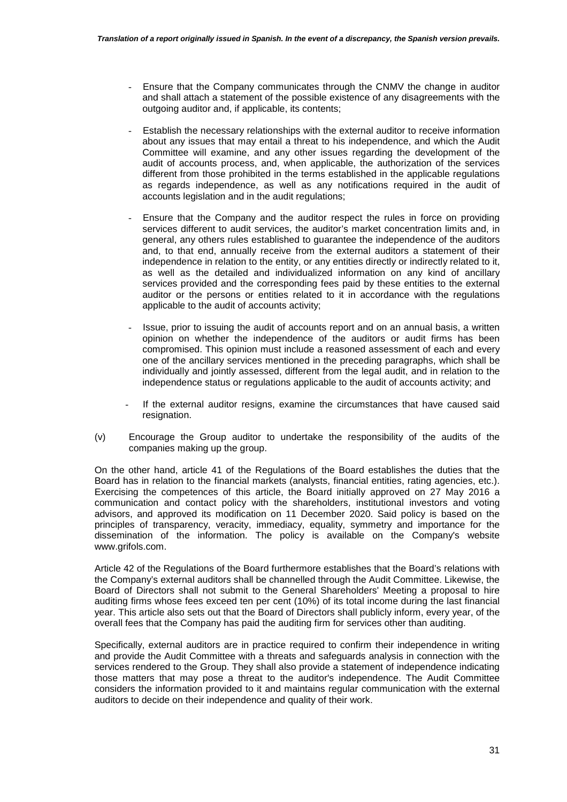- Ensure that the Company communicates through the CNMV the change in auditor and shall attach a statement of the possible existence of any disagreements with the outgoing auditor and, if applicable, its contents;
- Establish the necessary relationships with the external auditor to receive information about any issues that may entail a threat to his independence, and which the Audit Committee will examine, and any other issues regarding the development of the audit of accounts process, and, when applicable, the authorization of the services different from those prohibited in the terms established in the applicable regulations as regards independence, as well as any notifications required in the audit of accounts legislation and in the audit regulations;
- Ensure that the Company and the auditor respect the rules in force on providing services different to audit services, the auditor's market concentration limits and, in general, any others rules established to guarantee the independence of the auditors and, to that end, annually receive from the external auditors a statement of their independence in relation to the entity, or any entities directly or indirectly related to it, as well as the detailed and individualized information on any kind of ancillary services provided and the corresponding fees paid by these entities to the external auditor or the persons or entities related to it in accordance with the regulations applicable to the audit of accounts activity;
- Issue, prior to issuing the audit of accounts report and on an annual basis, a written opinion on whether the independence of the auditors or audit firms has been compromised. This opinion must include a reasoned assessment of each and every one of the ancillary services mentioned in the preceding paragraphs, which shall be individually and jointly assessed, different from the legal audit, and in relation to the independence status or regulations applicable to the audit of accounts activity; and
- If the external auditor resigns, examine the circumstances that have caused said resignation.
- (v) Encourage the Group auditor to undertake the responsibility of the audits of the companies making up the group.

On the other hand, article 41 of the Regulations of the Board establishes the duties that the Board has in relation to the financial markets (analysts, financial entities, rating agencies, etc.). Exercising the competences of this article, the Board initially approved on 27 May 2016 a communication and contact policy with the shareholders, institutional investors and voting advisors, and approved its modification on 11 December 2020. Said policy is based on the principles of transparency, veracity, immediacy, equality, symmetry and importance for the dissemination of the information. The policy is available on the Company's website www.grifols.com.

Article 42 of the Regulations of the Board furthermore establishes that the Board's relations with the Company's external auditors shall be channelled through the Audit Committee. Likewise, the Board of Directors shall not submit to the General Shareholders' Meeting a proposal to hire auditing firms whose fees exceed ten per cent (10%) of its total income during the last financial year. This article also sets out that the Board of Directors shall publicly inform, every year, of the overall fees that the Company has paid the auditing firm for services other than auditing.

Specifically, external auditors are in practice required to confirm their independence in writing and provide the Audit Committee with a threats and safeguards analysis in connection with the services rendered to the Group. They shall also provide a statement of independence indicating those matters that may pose a threat to the auditor's independence. The Audit Committee considers the information provided to it and maintains regular communication with the external auditors to decide on their independence and quality of their work.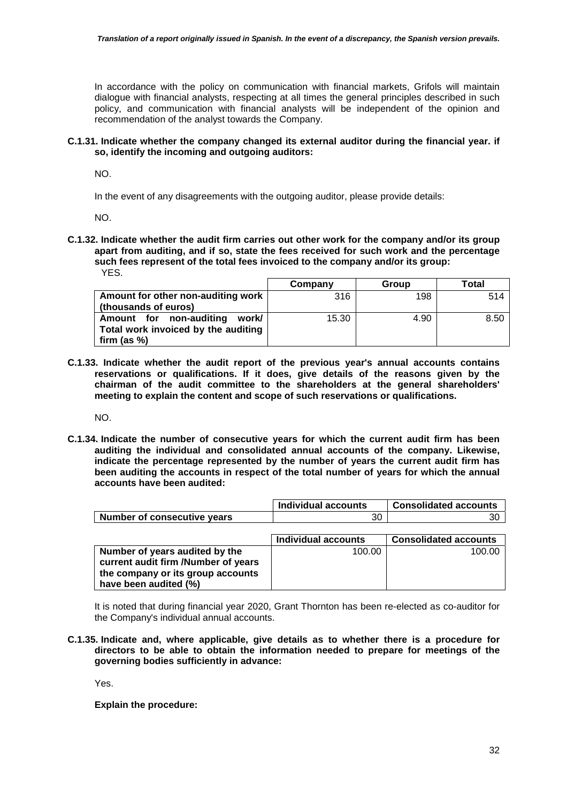In accordance with the policy on communication with financial markets, Grifols will maintain dialogue with financial analysts, respecting at all times the general principles described in such policy, and communication with financial analysts will be independent of the opinion and recommendation of the analyst towards the Company.

### **C.1.31. Indicate whether the company changed its external auditor during the financial year. if so, identify the incoming and outgoing auditors:**

NO.

In the event of any disagreements with the outgoing auditor, please provide details:

NO.

**C.1.32. Indicate whether the audit firm carries out other work for the company and/or its group apart from auditing, and if so, state the fees received for such work and the percentage such fees represent of the total fees invoiced to the company and/or its group:**  YES.

|                                     | Company | Group | Total |
|-------------------------------------|---------|-------|-------|
| Amount for other non-auditing work  | 316     | 198   | 514   |
| (thousands of euros)                |         |       |       |
| Amount for non-auditing<br>work/    | 15.30   | 4.90  | 8.50  |
| Total work invoiced by the auditing |         |       |       |
| firm (as $%$ )                      |         |       |       |

**C.1.33. Indicate whether the audit report of the previous year's annual accounts contains reservations or qualifications. If it does, give details of the reasons given by the chairman of the audit committee to the shareholders at the general shareholders' meeting to explain the content and scope of such reservations or qualifications.** 

NO.

**C.1.34. Indicate the number of consecutive years for which the current audit firm has been auditing the individual and consolidated annual accounts of the company. Likewise, indicate the percentage represented by the number of years the current audit firm has been auditing the accounts in respect of the total number of years for which the annual accounts have been audited:** 

|                                     | Individual accounts | <b>Consolidated accounts</b> |
|-------------------------------------|---------------------|------------------------------|
| <b>Number of consecutive years</b>  | 30                  | 30                           |
|                                     |                     |                              |
|                                     | Individual accounts | <b>Consolidated accounts</b> |
| Number of years audited by the      | 100.00              | 100.00                       |
| current audit firm /Number of years |                     |                              |
| the company or its group accounts   |                     |                              |
| have been audited (%)               |                     |                              |

It is noted that during financial year 2020, Grant Thornton has been re-elected as co-auditor for the Company's individual annual accounts.

**C.1.35. Indicate and, where applicable, give details as to whether there is a procedure for directors to be able to obtain the information needed to prepare for meetings of the governing bodies sufficiently in advance:** 

Yes.

**Explain the procedure:**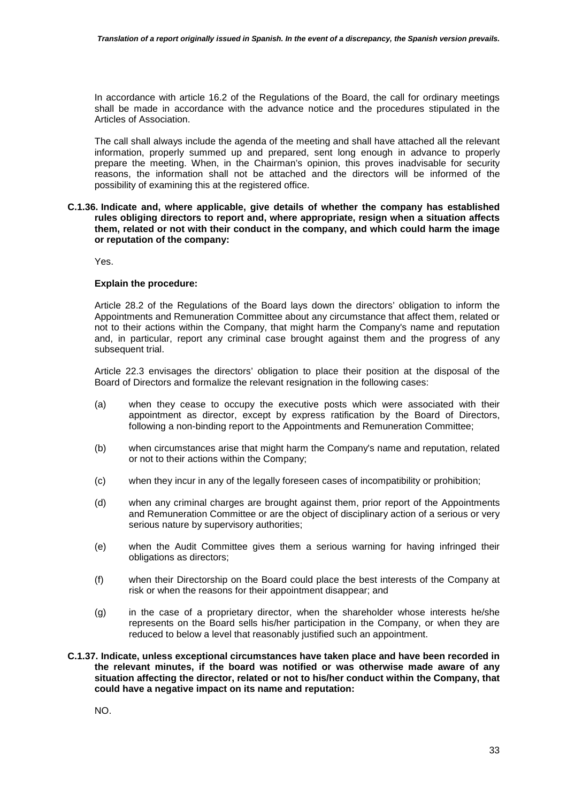In accordance with article 16.2 of the Regulations of the Board, the call for ordinary meetings shall be made in accordance with the advance notice and the procedures stipulated in the Articles of Association.

The call shall always include the agenda of the meeting and shall have attached all the relevant information, properly summed up and prepared, sent long enough in advance to properly prepare the meeting. When, in the Chairman's opinion, this proves inadvisable for security reasons, the information shall not be attached and the directors will be informed of the possibility of examining this at the registered office.

#### **C.1.36. Indicate and, where applicable, give details of whether the company has established rules obliging directors to report and, where appropriate, resign when a situation affects them, related or not with their conduct in the company, and which could harm the image or reputation of the company:**

Yes.

### **Explain the procedure:**

Article 28.2 of the Regulations of the Board lays down the directors' obligation to inform the Appointments and Remuneration Committee about any circumstance that affect them, related or not to their actions within the Company, that might harm the Company's name and reputation and, in particular, report any criminal case brought against them and the progress of any subsequent trial.

Article 22.3 envisages the directors' obligation to place their position at the disposal of the Board of Directors and formalize the relevant resignation in the following cases:

- (a) when they cease to occupy the executive posts which were associated with their appointment as director, except by express ratification by the Board of Directors, following a non-binding report to the Appointments and Remuneration Committee;
- (b) when circumstances arise that might harm the Company's name and reputation, related or not to their actions within the Company;
- (c) when they incur in any of the legally foreseen cases of incompatibility or prohibition;
- (d) when any criminal charges are brought against them, prior report of the Appointments and Remuneration Committee or are the object of disciplinary action of a serious or very serious nature by supervisory authorities;
- (e) when the Audit Committee gives them a serious warning for having infringed their obligations as directors;
- (f) when their Directorship on the Board could place the best interests of the Company at risk or when the reasons for their appointment disappear; and
- (g) in the case of a proprietary director, when the shareholder whose interests he/she represents on the Board sells his/her participation in the Company, or when they are reduced to below a level that reasonably justified such an appointment.

#### **C.1.37. Indicate, unless exceptional circumstances have taken place and have been recorded in the relevant minutes, if the board was notified or was otherwise made aware of any situation affecting the director, related or not to his/her conduct within the Company, that could have a negative impact on its name and reputation:**

NO.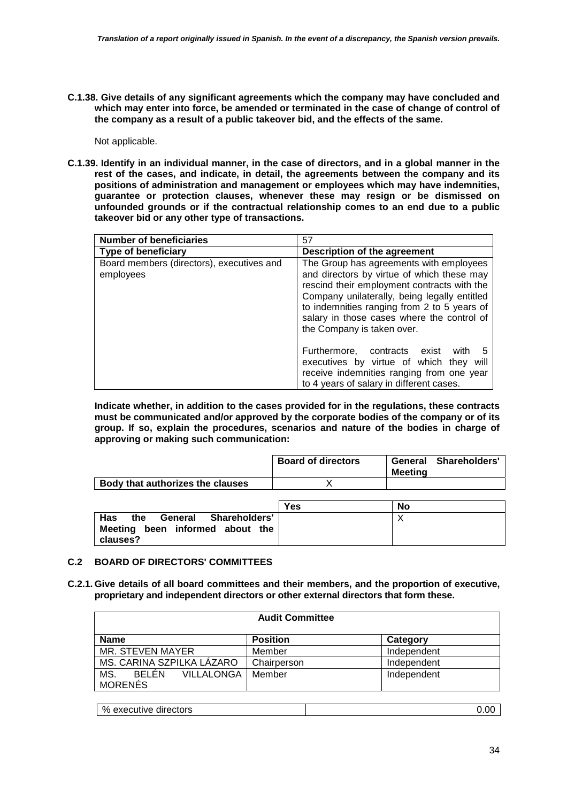**C.1.38. Give details of any significant agreements which the company may have concluded and which may enter into force, be amended or terminated in the case of change of control of the company as a result of a public takeover bid, and the effects of the same.** 

Not applicable.

**C.1.39. Identify in an individual manner, in the case of directors, and in a global manner in the rest of the cases, and indicate, in detail, the agreements between the company and its positions of administration and management or employees which may have indemnities, guarantee or protection clauses, whenever these may resign or be dismissed on unfounded grounds or if the contractual relationship comes to an end due to a public takeover bid or any other type of transactions.** 

| <b>Number of beneficiaries</b>                         | 57                                                                                                                                                                                                                                                                                                              |  |
|--------------------------------------------------------|-----------------------------------------------------------------------------------------------------------------------------------------------------------------------------------------------------------------------------------------------------------------------------------------------------------------|--|
| Type of beneficiary                                    | Description of the agreement                                                                                                                                                                                                                                                                                    |  |
| Board members (directors), executives and<br>employees | The Group has agreements with employees<br>and directors by virtue of which these may<br>rescind their employment contracts with the<br>Company unilaterally, being legally entitled<br>to indemnities ranging from 2 to 5 years of<br>salary in those cases where the control of<br>the Company is taken over. |  |
|                                                        | Furthermore, contracts exist<br>with<br>5<br>executives by virtue of which they will<br>receive indemnities ranging from one year<br>to 4 years of salary in different cases.                                                                                                                                   |  |

**Indicate whether, in addition to the cases provided for in the regulations, these contracts must be communicated and/or approved by the corporate bodies of the company or of its group. If so, explain the procedures, scenarios and nature of the bodies in charge of approving or making such communication:** 

|                                  | <b>Board of directors</b> | Meetina | General Shareholders' |
|----------------------------------|---------------------------|---------|-----------------------|
| Body that authorizes the clauses |                           |         |                       |

|                                                                                           | <b>Yes</b> | No |
|-------------------------------------------------------------------------------------------|------------|----|
| <b>Has</b><br>General Shareholders'<br>the<br>Meeting been informed about the<br>clauses? |            |    |

## **C.2 BOARD OF DIRECTORS' COMMITTEES**

**C.2.1. Give details of all board committees and their members, and the proportion of executive, proprietary and independent directors or other external directors that form these.** 

| <b>Audit Committee</b>                              |                 |             |  |
|-----------------------------------------------------|-----------------|-------------|--|
| <b>Name</b>                                         | <b>Position</b> | Category    |  |
| MR. STEVEN MAYER                                    | Member          | Independent |  |
| MS. CARINA SZPILKA LÁZARO                           | Chairperson     | Independent |  |
| <b>BELEN</b><br>MS.<br>VILLALONGA<br><b>MORENES</b> | Member          | Independent |  |

| % executive directors |  |
|-----------------------|--|
|                       |  |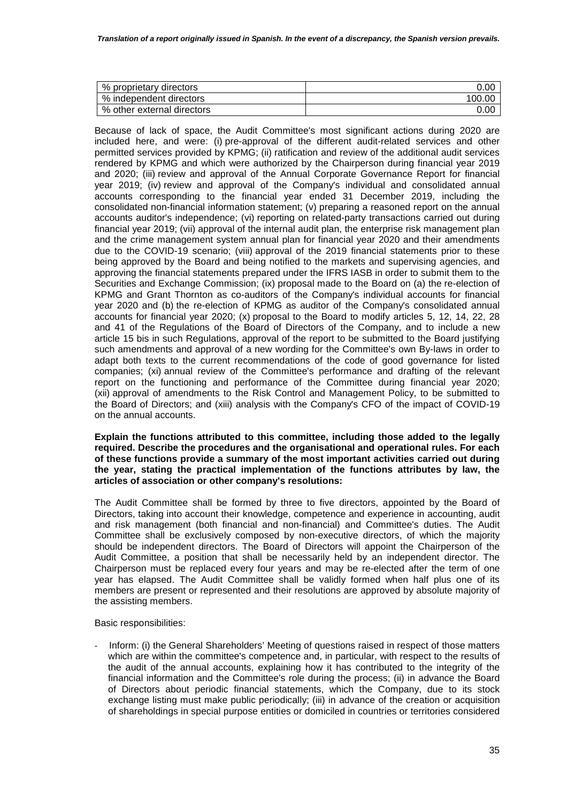| % proprietary directors    | 0.00   |
|----------------------------|--------|
| % independent directors    | 100.00 |
| % other external directors | 0.OC   |

Because of lack of space, the Audit Committee's most significant actions during 2020 are included here, and were: (i) pre-approval of the different audit-related services and other permitted services provided by KPMG; (ii) ratification and review of the additional audit services rendered by KPMG and which were authorized by the Chairperson during financial year 2019 and 2020; (iii) review and approval of the Annual Corporate Governance Report for financial year 2019; (iv) review and approval of the Company's individual and consolidated annual accounts corresponding to the financial year ended 31 December 2019, including the consolidated non-financial information statement; (v) preparing a reasoned report on the annual accounts auditor's independence; (vi) reporting on related-party transactions carried out during financial year 2019; (vii) approval of the internal audit plan, the enterprise risk management plan and the crime management system annual plan for financial year 2020 and their amendments due to the COVID-19 scenario; (viii) approval of the 2019 financial statements prior to these being approved by the Board and being notified to the markets and supervising agencies, and approving the financial statements prepared under the IFRS IASB in order to submit them to the Securities and Exchange Commission; (ix) proposal made to the Board on (a) the re-election of KPMG and Grant Thornton as co-auditors of the Company's individual accounts for financial year 2020 and (b) the re-election of KPMG as auditor of the Company's consolidated annual accounts for financial year 2020; (x) proposal to the Board to modify articles 5, 12, 14, 22, 28 and 41 of the Regulations of the Board of Directors of the Company, and to include a new article 15 bis in such Regulations, approval of the report to be submitted to the Board justifying such amendments and approval of a new wording for the Committee's own By-laws in order to adapt both texts to the current recommendations of the code of good governance for listed companies; (xi) annual review of the Committee's performance and drafting of the relevant report on the functioning and performance of the Committee during financial year 2020; (xii) approval of amendments to the Risk Control and Management Policy, to be submitted to the Board of Directors; and (xiii) analysis with the Company's CFO of the impact of COVID-19 on the annual accounts.

#### **Explain the functions attributed to this committee, including those added to the legally required. Describe the procedures and the organisational and operational rules. For each of these functions provide a summary of the most important activities carried out during the year, stating the practical implementation of the functions attributes by law, the articles of association or other company's resolutions:**

The Audit Committee shall be formed by three to five directors, appointed by the Board of Directors, taking into account their knowledge, competence and experience in accounting, audit and risk management (both financial and non-financial) and Committee's duties. The Audit Committee shall be exclusively composed by non-executive directors, of which the majority should be independent directors. The Board of Directors will appoint the Chairperson of the Audit Committee, a position that shall be necessarily held by an independent director. The Chairperson must be replaced every four years and may be re-elected after the term of one year has elapsed. The Audit Committee shall be validly formed when half plus one of its members are present or represented and their resolutions are approved by absolute majority of the assisting members.

Basic responsibilities:

Inform: (i) the General Shareholders' Meeting of questions raised in respect of those matters which are within the committee's competence and, in particular, with respect to the results of the audit of the annual accounts, explaining how it has contributed to the integrity of the financial information and the Committee's role during the process; (ii) in advance the Board of Directors about periodic financial statements, which the Company, due to its stock exchange listing must make public periodically; (iii) in advance of the creation or acquisition of shareholdings in special purpose entities or domiciled in countries or territories considered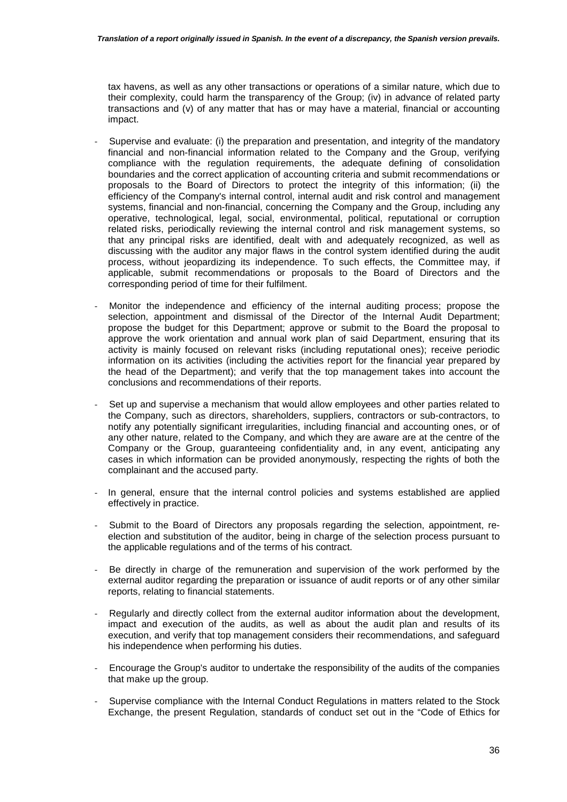tax havens, as well as any other transactions or operations of a similar nature, which due to their complexity, could harm the transparency of the Group; (iv) in advance of related party transactions and (v) of any matter that has or may have a material, financial or accounting impact.

- Supervise and evaluate: (i) the preparation and presentation, and integrity of the mandatory financial and non-financial information related to the Company and the Group, verifying compliance with the regulation requirements, the adequate defining of consolidation boundaries and the correct application of accounting criteria and submit recommendations or proposals to the Board of Directors to protect the integrity of this information; (ii) the efficiency of the Company's internal control, internal audit and risk control and management systems, financial and non-financial, concerning the Company and the Group, including any operative, technological, legal, social, environmental, political, reputational or corruption related risks, periodically reviewing the internal control and risk management systems, so that any principal risks are identified, dealt with and adequately recognized, as well as discussing with the auditor any major flaws in the control system identified during the audit process, without jeopardizing its independence. To such effects, the Committee may, if applicable, submit recommendations or proposals to the Board of Directors and the corresponding period of time for their fulfilment.
- Monitor the independence and efficiency of the internal auditing process; propose the selection, appointment and dismissal of the Director of the Internal Audit Department; propose the budget for this Department; approve or submit to the Board the proposal to approve the work orientation and annual work plan of said Department, ensuring that its activity is mainly focused on relevant risks (including reputational ones); receive periodic information on its activities (including the activities report for the financial year prepared by the head of the Department); and verify that the top management takes into account the conclusions and recommendations of their reports.
- Set up and supervise a mechanism that would allow employees and other parties related to the Company, such as directors, shareholders, suppliers, contractors or sub-contractors, to notify any potentially significant irregularities, including financial and accounting ones, or of any other nature, related to the Company, and which they are aware are at the centre of the Company or the Group, guaranteeing confidentiality and, in any event, anticipating any cases in which information can be provided anonymously, respecting the rights of both the complainant and the accused party.
- In general, ensure that the internal control policies and systems established are applied effectively in practice.
- Submit to the Board of Directors any proposals regarding the selection, appointment, reelection and substitution of the auditor, being in charge of the selection process pursuant to the applicable regulations and of the terms of his contract.
- Be directly in charge of the remuneration and supervision of the work performed by the external auditor regarding the preparation or issuance of audit reports or of any other similar reports, relating to financial statements.
- Regularly and directly collect from the external auditor information about the development. impact and execution of the audits, as well as about the audit plan and results of its execution, and verify that top management considers their recommendations, and safeguard his independence when performing his duties.
- Encourage the Group's auditor to undertake the responsibility of the audits of the companies that make up the group.
- Supervise compliance with the Internal Conduct Regulations in matters related to the Stock Exchange, the present Regulation, standards of conduct set out in the "Code of Ethics for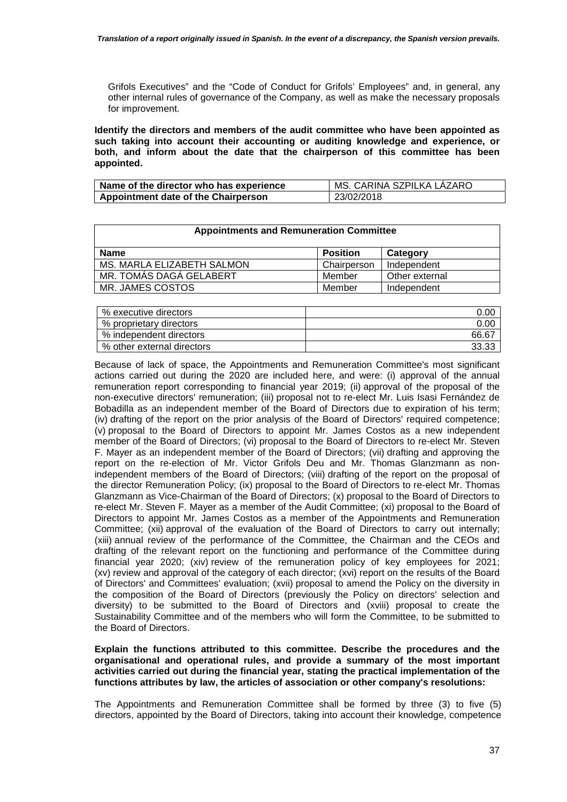Grifols Executives" and the "Code of Conduct for Grifols' Employees" and, in general, any other internal rules of governance of the Company, as well as make the necessary proposals for improvement.

**Identify the directors and members of the audit committee who have been appointed as such taking into account their accounting or auditing knowledge and experience, or both, and inform about the date that the chairperson of this committee has been appointed.** 

| Name of the director who has experience | MS. CARINA SZPILKA LAZARO |
|-----------------------------------------|---------------------------|
| Appointment date of the Chairperson     | 23/02/2018                |

| <b>Appointments and Remuneration Committee</b> |                 |                |  |
|------------------------------------------------|-----------------|----------------|--|
| Name                                           | <b>Position</b> | Category       |  |
| MS. MARLA ELIZABETH SALMON                     | Chairperson     | Independent    |  |
| MR. TOMÁS DAGÁ GELABERT                        | Member          | Other external |  |
| MR. JAMES COSTOS                               | Member          | Independent    |  |

| % executive directors      | 0.00  |
|----------------------------|-------|
| % proprietary directors    | 0.00  |
| % independent directors    | 66.67 |
| % other external directors | 33.33 |

Because of lack of space, the Appointments and Remuneration Committee's most significant actions carried out during the 2020 are included here, and were: (i) approval of the annual remuneration report corresponding to financial year 2019; (ii) approval of the proposal of the non-executive directors' remuneration; (iii) proposal not to re-elect Mr. Luis Isasi Fernández de Bobadilla as an independent member of the Board of Directors due to expiration of his term; (iv) drafting of the report on the prior analysis of the Board of Directors' required competence; (v) proposal to the Board of Directors to appoint Mr. James Costos as a new independent member of the Board of Directors; (vi) proposal to the Board of Directors to re-elect Mr. Steven F. Mayer as an independent member of the Board of Directors; (vii) drafting and approving the report on the re-election of Mr. Victor Grifols Deu and Mr. Thomas Glanzmann as nonindependent members of the Board of Directors; (viii) drafting of the report on the proposal of the director Remuneration Policy; (ix) proposal to the Board of Directors to re-elect Mr. Thomas Glanzmann as Vice-Chairman of the Board of Directors; (x) proposal to the Board of Directors to re-elect Mr. Steven F. Mayer as a member of the Audit Committee; (xi) proposal to the Board of Directors to appoint Mr. James Costos as a member of the Appointments and Remuneration Committee; (xii) approval of the evaluation of the Board of Directors to carry out internally; (xiii) annual review of the performance of the Committee, the Chairman and the CEOs and drafting of the relevant report on the functioning and performance of the Committee during financial year 2020; (xiv) review of the remuneration policy of key employees for 2021; (xv) review and approval of the category of each director; (xvi) report on the results of the Board of Directors' and Committees' evaluation; (xvii) proposal to amend the Policy on the diversity in the composition of the Board of Directors (previously the Policy on directors' selection and diversity) to be submitted to the Board of Directors and (xviii) proposal to create the Sustainability Committee and of the members who will form the Committee, to be submitted to the Board of Directors.

**Explain the functions attributed to this committee. Describe the procedures and the organisational and operational rules, and provide a summary of the most important activities carried out during the financial year, stating the practical implementation of the functions attributes by law, the articles of association or other company's resolutions:** 

The Appointments and Remuneration Committee shall be formed by three (3) to five (5) directors, appointed by the Board of Directors, taking into account their knowledge, competence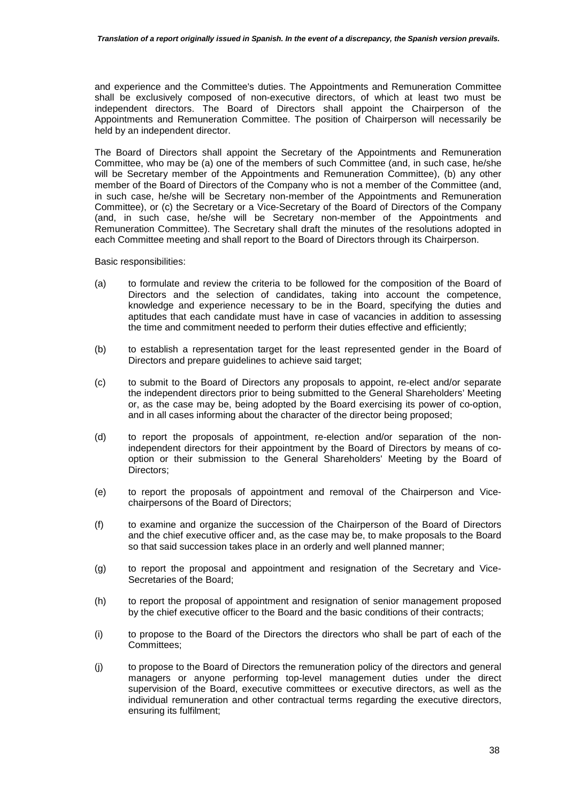and experience and the Committee's duties. The Appointments and Remuneration Committee shall be exclusively composed of non-executive directors, of which at least two must be independent directors. The Board of Directors shall appoint the Chairperson of the Appointments and Remuneration Committee. The position of Chairperson will necessarily be held by an independent director.

The Board of Directors shall appoint the Secretary of the Appointments and Remuneration Committee, who may be (a) one of the members of such Committee (and, in such case, he/she will be Secretary member of the Appointments and Remuneration Committee), (b) any other member of the Board of Directors of the Company who is not a member of the Committee (and, in such case, he/she will be Secretary non-member of the Appointments and Remuneration Committee), or (c) the Secretary or a Vice-Secretary of the Board of Directors of the Company (and, in such case, he/she will be Secretary non-member of the Appointments and Remuneration Committee). The Secretary shall draft the minutes of the resolutions adopted in each Committee meeting and shall report to the Board of Directors through its Chairperson.

Basic responsibilities:

- (a) to formulate and review the criteria to be followed for the composition of the Board of Directors and the selection of candidates, taking into account the competence, knowledge and experience necessary to be in the Board, specifying the duties and aptitudes that each candidate must have in case of vacancies in addition to assessing the time and commitment needed to perform their duties effective and efficiently;
- (b) to establish a representation target for the least represented gender in the Board of Directors and prepare quidelines to achieve said target:
- (c) to submit to the Board of Directors any proposals to appoint, re-elect and/or separate the independent directors prior to being submitted to the General Shareholders' Meeting or, as the case may be, being adopted by the Board exercising its power of co-option, and in all cases informing about the character of the director being proposed;
- (d) to report the proposals of appointment, re-election and/or separation of the nonindependent directors for their appointment by the Board of Directors by means of cooption or their submission to the General Shareholders' Meeting by the Board of Directors;
- (e) to report the proposals of appointment and removal of the Chairperson and Vicechairpersons of the Board of Directors;
- (f) to examine and organize the succession of the Chairperson of the Board of Directors and the chief executive officer and, as the case may be, to make proposals to the Board so that said succession takes place in an orderly and well planned manner;
- (g) to report the proposal and appointment and resignation of the Secretary and Vice-Secretaries of the Board;
- (h) to report the proposal of appointment and resignation of senior management proposed by the chief executive officer to the Board and the basic conditions of their contracts;
- (i) to propose to the Board of the Directors the directors who shall be part of each of the Committees;
- (j) to propose to the Board of Directors the remuneration policy of the directors and general managers or anyone performing top-level management duties under the direct supervision of the Board, executive committees or executive directors, as well as the individual remuneration and other contractual terms regarding the executive directors, ensuring its fulfilment;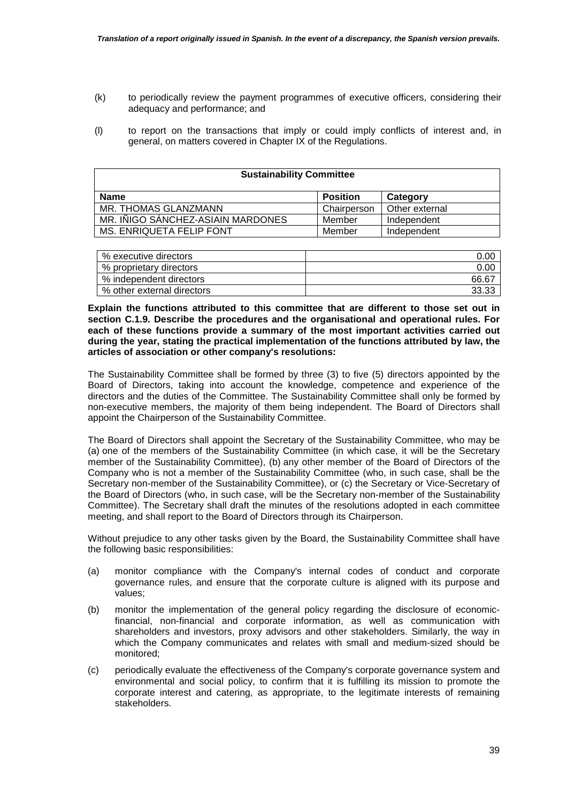- (k) to periodically review the payment programmes of executive officers, considering their adequacy and performance; and
- (l) to report on the transactions that imply or could imply conflicts of interest and, in general, on matters covered in Chapter IX of the Regulations.

| <b>Sustainability Committee</b>   |                 |                |  |
|-----------------------------------|-----------------|----------------|--|
| <b>Name</b>                       | <b>Position</b> | Category       |  |
| MR. THOMAS GLANZMANN              | Chairperson     | Other external |  |
| MR. INIGO SÁNCHEZ-ASIAIN MARDONES | Member          | Independent    |  |
| MS. ENRIQUETA FELIP FONT          | Member          | Independent    |  |

| % executive directors      | 0.00  |
|----------------------------|-------|
| % proprietary directors    | 0.00  |
| % independent directors    | 66.67 |
| % other external directors | 33.33 |

**Explain the functions attributed to this committee that are different to those set out in section C.1.9. Describe the procedures and the organisational and operational rules. For each of these functions provide a summary of the most important activities carried out during the year, stating the practical implementation of the functions attributed by law, the articles of association or other company's resolutions:** 

The Sustainability Committee shall be formed by three (3) to five (5) directors appointed by the Board of Directors, taking into account the knowledge, competence and experience of the directors and the duties of the Committee. The Sustainability Committee shall only be formed by non-executive members, the majority of them being independent. The Board of Directors shall appoint the Chairperson of the Sustainability Committee.

The Board of Directors shall appoint the Secretary of the Sustainability Committee, who may be (a) one of the members of the Sustainability Committee (in which case, it will be the Secretary member of the Sustainability Committee), (b) any other member of the Board of Directors of the Company who is not a member of the Sustainability Committee (who, in such case, shall be the Secretary non-member of the Sustainability Committee), or (c) the Secretary or Vice-Secretary of the Board of Directors (who, in such case, will be the Secretary non-member of the Sustainability Committee). The Secretary shall draft the minutes of the resolutions adopted in each committee meeting, and shall report to the Board of Directors through its Chairperson.

Without prejudice to any other tasks given by the Board, the Sustainability Committee shall have the following basic responsibilities:

- (a) monitor compliance with the Company's internal codes of conduct and corporate governance rules, and ensure that the corporate culture is aligned with its purpose and values;
- (b) monitor the implementation of the general policy regarding the disclosure of economicfinancial, non-financial and corporate information, as well as communication with shareholders and investors, proxy advisors and other stakeholders. Similarly, the way in which the Company communicates and relates with small and medium-sized should be monitored;
- (c) periodically evaluate the effectiveness of the Company's corporate governance system and environmental and social policy, to confirm that it is fulfilling its mission to promote the corporate interest and catering, as appropriate, to the legitimate interests of remaining stakeholders.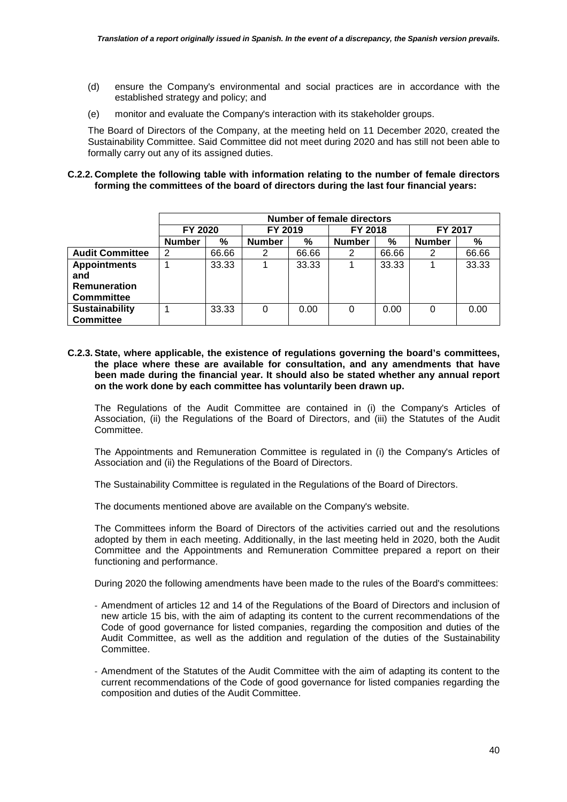- (d) ensure the Company's environmental and social practices are in accordance with the established strategy and policy; and
- (e) monitor and evaluate the Company's interaction with its stakeholder groups.

The Board of Directors of the Company, at the meeting held on 11 December 2020, created the Sustainability Committee. Said Committee did not meet during 2020 and has still not been able to formally carry out any of its assigned duties.

#### **C.2.2. Complete the following table with information relating to the number of female directors forming the committees of the board of directors during the last four financial years:**

|                        | <b>Number of female directors</b> |         |               |         |               |         |               |       |
|------------------------|-----------------------------------|---------|---------------|---------|---------------|---------|---------------|-------|
|                        | FY 2020                           | FY 2019 |               | FY 2018 |               | FY 2017 |               |       |
|                        | <b>Number</b>                     | %       | <b>Number</b> | %       | <b>Number</b> | %       | <b>Number</b> | %     |
| <b>Audit Committee</b> | 2                                 | 66.66   | 2             | 66.66   | 2             | 66.66   | 2             | 66.66 |
| <b>Appointments</b>    |                                   | 33.33   |               | 33.33   |               | 33.33   |               | 33.33 |
| and                    |                                   |         |               |         |               |         |               |       |
| <b>Remuneration</b>    |                                   |         |               |         |               |         |               |       |
| Commmittee             |                                   |         |               |         |               |         |               |       |
| Sustainability         |                                   | 33.33   | 0             | 0.00    | 0             | 0.00    | 0             | 0.00  |
| <b>Committee</b>       |                                   |         |               |         |               |         |               |       |

**C.2.3. State, where applicable, the existence of regulations governing the board's committees, the place where these are available for consultation, and any amendments that have been made during the financial year. It should also be stated whether any annual report on the work done by each committee has voluntarily been drawn up.** 

The Regulations of the Audit Committee are contained in (i) the Company's Articles of Association, (ii) the Regulations of the Board of Directors, and (iii) the Statutes of the Audit Committee.

The Appointments and Remuneration Committee is regulated in (i) the Company's Articles of Association and (ii) the Regulations of the Board of Directors.

The Sustainability Committee is regulated in the Regulations of the Board of Directors.

The documents mentioned above are available on the Company's website.

The Committees inform the Board of Directors of the activities carried out and the resolutions adopted by them in each meeting. Additionally, in the last meeting held in 2020, both the Audit Committee and the Appointments and Remuneration Committee prepared a report on their functioning and performance.

During 2020 the following amendments have been made to the rules of the Board's committees:

- Amendment of articles 12 and 14 of the Regulations of the Board of Directors and inclusion of new article 15 bis, with the aim of adapting its content to the current recommendations of the Code of good governance for listed companies, regarding the composition and duties of the Audit Committee, as well as the addition and regulation of the duties of the Sustainability Committee.
- Amendment of the Statutes of the Audit Committee with the aim of adapting its content to the current recommendations of the Code of good governance for listed companies regarding the composition and duties of the Audit Committee.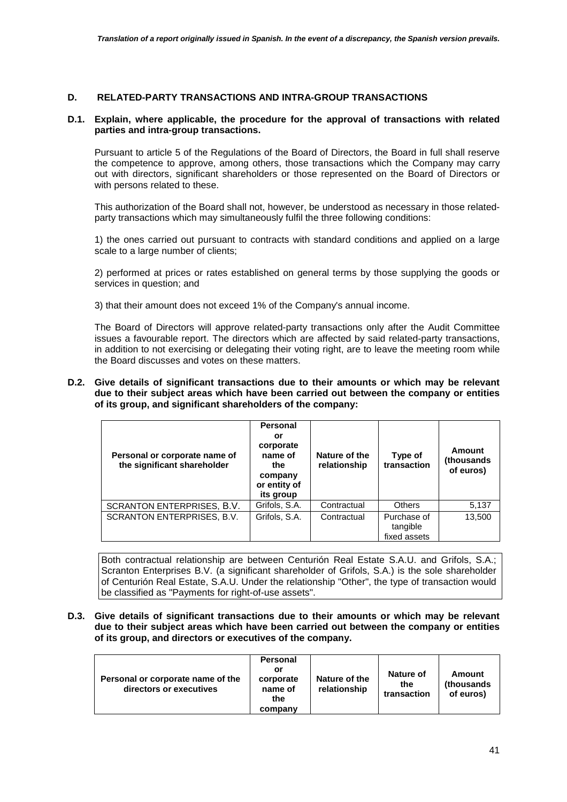### **D. RELATED-PARTY TRANSACTIONS AND INTRA-GROUP TRANSACTIONS**

#### **D.1. Explain, where applicable, the procedure for the approval of transactions with related parties and intra-group transactions.**

Pursuant to article 5 of the Regulations of the Board of Directors, the Board in full shall reserve the competence to approve, among others, those transactions which the Company may carry out with directors, significant shareholders or those represented on the Board of Directors or with persons related to these.

This authorization of the Board shall not, however, be understood as necessary in those relatedparty transactions which may simultaneously fulfil the three following conditions:

1) the ones carried out pursuant to contracts with standard conditions and applied on a large scale to a large number of clients;

2) performed at prices or rates established on general terms by those supplying the goods or services in question; and

3) that their amount does not exceed 1% of the Company's annual income.

The Board of Directors will approve related-party transactions only after the Audit Committee issues a favourable report. The directors which are affected by said related-party transactions, in addition to not exercising or delegating their voting right, are to leave the meeting room while the Board discusses and votes on these matters.

**D.2. Give details of significant transactions due to their amounts or which may be relevant due to their subject areas which have been carried out between the company or entities of its group, and significant shareholders of the company:** 

| Personal or corporate name of<br>the significant shareholder | <b>Personal</b><br>or<br>corporate<br>name of<br>the<br>company<br>or entity of<br>its group | Nature of the<br>relationship | Type of<br>transaction                  | Amount<br>(thousands<br>of euros) |
|--------------------------------------------------------------|----------------------------------------------------------------------------------------------|-------------------------------|-----------------------------------------|-----------------------------------|
| SCRANTON ENTERPRISES, B.V.                                   | Grifols, S.A.                                                                                | Contractual                   | <b>Others</b>                           | 5,137                             |
| SCRANTON ENTERPRISES, B.V.                                   | Grifols, S.A.                                                                                | Contractual                   | Purchase of<br>tangible<br>fixed assets | 13,500                            |

Both contractual relationship are between Centurión Real Estate S.A.U. and Grifols, S.A.; Scranton Enterprises B.V. (a significant shareholder of Grifols, S.A.) is the sole shareholder of Centurión Real Estate, S.A.U. Under the relationship "Other", the type of transaction would be classified as "Payments for right-of-use assets".

**D.3. Give details of significant transactions due to their amounts or which may be relevant due to their subject areas which have been carried out between the company or entities of its group, and directors or executives of the company.** 

| <b>Personal</b><br>or<br>Personal or corporate name of the<br>corporate<br>directors or executives<br>name of<br>the<br>company | Nature of the<br>relationship | <b>Nature of</b><br>the<br>transaction | Amount<br>(thousands)<br>of euros) |
|---------------------------------------------------------------------------------------------------------------------------------|-------------------------------|----------------------------------------|------------------------------------|
|---------------------------------------------------------------------------------------------------------------------------------|-------------------------------|----------------------------------------|------------------------------------|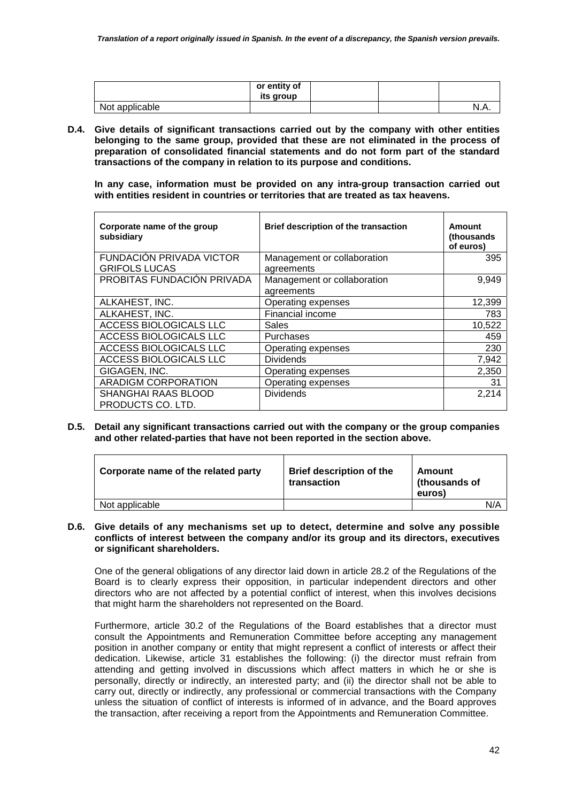|                | or entity of<br>its group |  |      |
|----------------|---------------------------|--|------|
| Not applicable |                           |  | N.A. |

**D.4. Give details of significant transactions carried out by the company with other entities belonging to the same group, provided that these are not eliminated in the process of preparation of consolidated financial statements and do not form part of the standard transactions of the company in relation to its purpose and conditions.** 

**In any case, information must be provided on any intra-group transaction carried out with entities resident in countries or territories that are treated as tax heavens.**

| Corporate name of the group<br>subsidiary | Brief description of the transaction      | Amount<br>(thousands<br>of euros) |
|-------------------------------------------|-------------------------------------------|-----------------------------------|
| FUNDACIÓN PRIVADA VICTOR                  | Management or collaboration               | 395                               |
| <b>GRIFOLS LUCAS</b>                      | agreements                                |                                   |
| PROBITAS FUNDACIÓN PRIVADA                | Management or collaboration<br>agreements | 9,949                             |
| ALKAHEST, INC.                            | Operating expenses                        | 12,399                            |
| ALKAHEST, INC.                            | Financial income                          | 783                               |
| ACCESS BIOLOGICALS LLC                    | <b>Sales</b>                              | 10,522                            |
| ACCESS BIOLOGICALS LLC                    | Purchases                                 | 459                               |
| ACCESS BIOLOGICALS LLC                    | Operating expenses                        | 230                               |
| ACCESS BIOLOGICALS LLC                    | <b>Dividends</b>                          | 7,942                             |
| GIGAGEN, INC.                             | Operating expenses                        | 2,350                             |
| <b>ARADIGM CORPORATION</b>                | Operating expenses                        | 31                                |
| SHANGHAI RAAS BLOOD<br>PRODUCTS CO. LTD.  | <b>Dividends</b>                          | 2,214                             |

**D.5. Detail any significant transactions carried out with the company or the group companies and other related-parties that have not been reported in the section above.** 

| Corporate name of the related party | <b>Brief description of the</b><br>transaction | Amount<br>(thousands of<br>euros) |     |
|-------------------------------------|------------------------------------------------|-----------------------------------|-----|
| Not applicable                      |                                                |                                   | N/A |

#### **D.6. Give details of any mechanisms set up to detect, determine and solve any possible conflicts of interest between the company and/or its group and its directors, executives or significant shareholders.**

One of the general obligations of any director laid down in article 28.2 of the Regulations of the Board is to clearly express their opposition, in particular independent directors and other directors who are not affected by a potential conflict of interest, when this involves decisions that might harm the shareholders not represented on the Board.

Furthermore, article 30.2 of the Regulations of the Board establishes that a director must consult the Appointments and Remuneration Committee before accepting any management position in another company or entity that might represent a conflict of interests or affect their dedication. Likewise, article 31 establishes the following: (i) the director must refrain from attending and getting involved in discussions which affect matters in which he or she is personally, directly or indirectly, an interested party; and (ii) the director shall not be able to carry out, directly or indirectly, any professional or commercial transactions with the Company unless the situation of conflict of interests is informed of in advance, and the Board approves the transaction, after receiving a report from the Appointments and Remuneration Committee.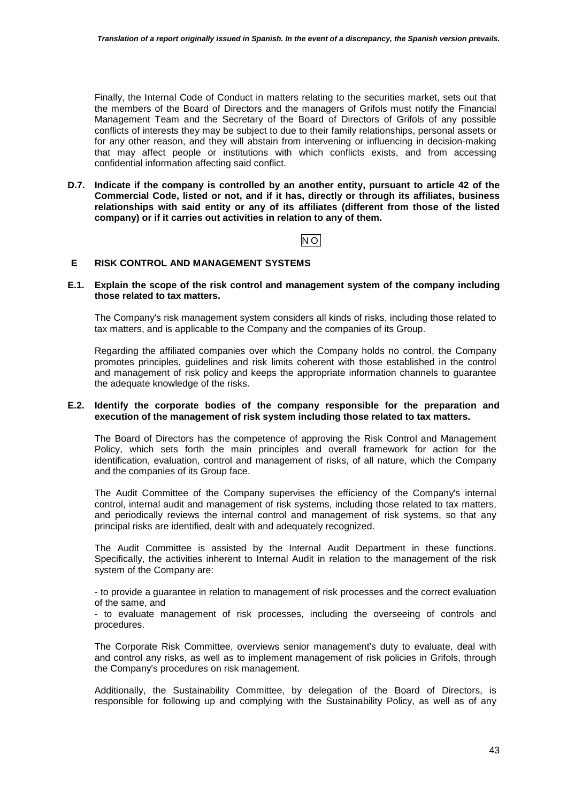Finally, the Internal Code of Conduct in matters relating to the securities market, sets out that the members of the Board of Directors and the managers of Grifols must notify the Financial Management Team and the Secretary of the Board of Directors of Grifols of any possible conflicts of interests they may be subject to due to their family relationships, personal assets or for any other reason, and they will abstain from intervening or influencing in decision-making that may affect people or institutions with which conflicts exists, and from accessing confidential information affecting said conflict.

**D.7. Indicate if the company is controlled by an another entity, pursuant to article 42 of the Commercial Code, listed or not, and if it has, directly or through its affiliates, business relationships with said entity or any of its affiliates (different from those of the listed company) or if it carries out activities in relation to any of them.**

## NO

## **E RISK CONTROL AND MANAGEMENT SYSTEMS**

#### **E.1. Explain the scope of the risk control and management system of the company including those related to tax matters.**

The Company's risk management system considers all kinds of risks, including those related to tax matters, and is applicable to the Company and the companies of its Group.

Regarding the affiliated companies over which the Company holds no control, the Company promotes principles, guidelines and risk limits coherent with those established in the control and management of risk policy and keeps the appropriate information channels to guarantee the adequate knowledge of the risks.

#### **E.2. Identify the corporate bodies of the company responsible for the preparation and execution of the management of risk system including those related to tax matters.**

The Board of Directors has the competence of approving the Risk Control and Management Policy, which sets forth the main principles and overall framework for action for the identification, evaluation, control and management of risks, of all nature, which the Company and the companies of its Group face.

The Audit Committee of the Company supervises the efficiency of the Company's internal control, internal audit and management of risk systems, including those related to tax matters, and periodically reviews the internal control and management of risk systems, so that any principal risks are identified, dealt with and adequately recognized.

The Audit Committee is assisted by the Internal Audit Department in these functions. Specifically, the activities inherent to Internal Audit in relation to the management of the risk system of the Company are:

- to provide a guarantee in relation to management of risk processes and the correct evaluation of the same, and

- to evaluate management of risk processes, including the overseeing of controls and procedures.

The Corporate Risk Committee, overviews senior management's duty to evaluate, deal with and control any risks, as well as to implement management of risk policies in Grifols, through the Company's procedures on risk management.

Additionally, the Sustainability Committee, by delegation of the Board of Directors, is responsible for following up and complying with the Sustainability Policy, as well as of any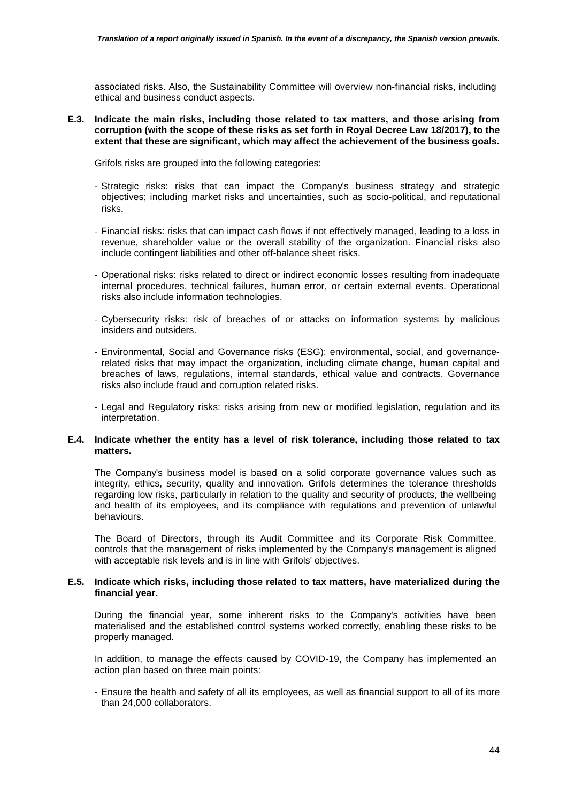associated risks. Also, the Sustainability Committee will overview non-financial risks, including ethical and business conduct aspects.

**E.3. Indicate the main risks, including those related to tax matters, and those arising from corruption (with the scope of these risks as set forth in Royal Decree Law 18/2017), to the extent that these are significant, which may affect the achievement of the business goals.** 

Grifols risks are grouped into the following categories:

- Strategic risks: risks that can impact the Company's business strategy and strategic objectives; including market risks and uncertainties, such as socio-political, and reputational risks.
- Financial risks: risks that can impact cash flows if not effectively managed, leading to a loss in revenue, shareholder value or the overall stability of the organization. Financial risks also include contingent liabilities and other off-balance sheet risks.
- Operational risks: risks related to direct or indirect economic losses resulting from inadequate internal procedures, technical failures, human error, or certain external events. Operational risks also include information technologies.
- Cybersecurity risks: risk of breaches of or attacks on information systems by malicious insiders and outsiders.
- Environmental, Social and Governance risks (ESG): environmental, social, and governancerelated risks that may impact the organization, including climate change, human capital and breaches of laws, regulations, internal standards, ethical value and contracts. Governance risks also include fraud and corruption related risks.
- Legal and Regulatory risks: risks arising from new or modified legislation, regulation and its interpretation.

#### **E.4. Indicate whether the entity has a level of risk tolerance, including those related to tax matters.**

The Company's business model is based on a solid corporate governance values such as integrity, ethics, security, quality and innovation. Grifols determines the tolerance thresholds regarding low risks, particularly in relation to the quality and security of products, the wellbeing and health of its employees, and its compliance with regulations and prevention of unlawful behaviours.

The Board of Directors, through its Audit Committee and its Corporate Risk Committee, controls that the management of risks implemented by the Company's management is aligned with acceptable risk levels and is in line with Grifols' objectives.

#### **E.5. Indicate which risks, including those related to tax matters, have materialized during the financial year.**

During the financial year, some inherent risks to the Company's activities have been materialised and the established control systems worked correctly, enabling these risks to be properly managed.

In addition, to manage the effects caused by COVID-19, the Company has implemented an action plan based on three main points:

- Ensure the health and safety of all its employees, as well as financial support to all of its more than 24,000 collaborators.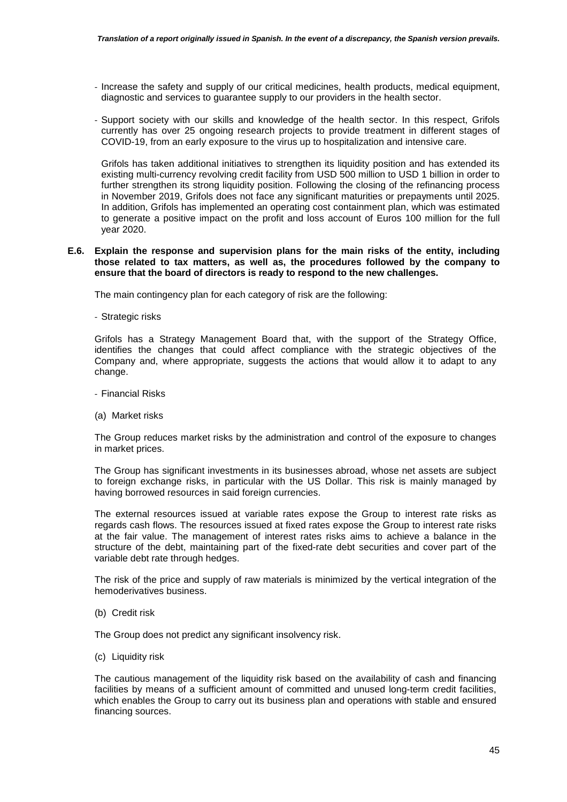- Increase the safety and supply of our critical medicines, health products, medical equipment, diagnostic and services to guarantee supply to our providers in the health sector.
- Support society with our skills and knowledge of the health sector. In this respect, Grifols currently has over 25 ongoing research projects to provide treatment in different stages of COVID-19, from an early exposure to the virus up to hospitalization and intensive care.

Grifols has taken additional initiatives to strengthen its liquidity position and has extended its existing multi-currency revolving credit facility from USD 500 million to USD 1 billion in order to further strengthen its strong liquidity position. Following the closing of the refinancing process in November 2019, Grifols does not face any significant maturities or prepayments until 2025. In addition, Grifols has implemented an operating cost containment plan, which was estimated to generate a positive impact on the profit and loss account of Euros 100 million for the full year 2020.

#### **E.6. Explain the response and supervision plans for the main risks of the entity, including those related to tax matters, as well as, the procedures followed by the company to ensure that the board of directors is ready to respond to the new challenges.**

The main contingency plan for each category of risk are the following:

- Strategic risks

Grifols has a Strategy Management Board that, with the support of the Strategy Office, identifies the changes that could affect compliance with the strategic objectives of the Company and, where appropriate, suggests the actions that would allow it to adapt to any change.

- Financial Risks
- (a) Market risks

The Group reduces market risks by the administration and control of the exposure to changes in market prices.

The Group has significant investments in its businesses abroad, whose net assets are subject to foreign exchange risks, in particular with the US Dollar. This risk is mainly managed by having borrowed resources in said foreign currencies.

The external resources issued at variable rates expose the Group to interest rate risks as regards cash flows. The resources issued at fixed rates expose the Group to interest rate risks at the fair value. The management of interest rates risks aims to achieve a balance in the structure of the debt, maintaining part of the fixed-rate debt securities and cover part of the variable debt rate through hedges.

The risk of the price and supply of raw materials is minimized by the vertical integration of the hemoderivatives business.

(b) Credit risk

The Group does not predict any significant insolvency risk.

(c) Liquidity risk

The cautious management of the liquidity risk based on the availability of cash and financing facilities by means of a sufficient amount of committed and unused long-term credit facilities, which enables the Group to carry out its business plan and operations with stable and ensured financing sources.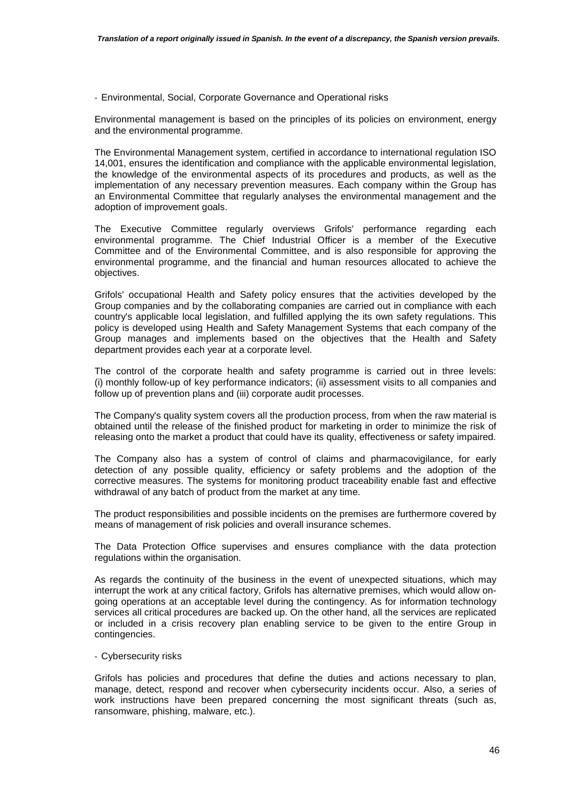- Environmental, Social, Corporate Governance and Operational risks

Environmental management is based on the principles of its policies on environment, energy and the environmental programme.

The Environmental Management system, certified in accordance to international regulation ISO 14,001, ensures the identification and compliance with the applicable environmental legislation, the knowledge of the environmental aspects of its procedures and products, as well as the implementation of any necessary prevention measures. Each company within the Group has an Environmental Committee that regularly analyses the environmental management and the adoption of improvement goals.

The Executive Committee regularly overviews Grifols' performance regarding each environmental programme. The Chief Industrial Officer is a member of the Executive Committee and of the Environmental Committee, and is also responsible for approving the environmental programme, and the financial and human resources allocated to achieve the objectives.

Grifols' occupational Health and Safety policy ensures that the activities developed by the Group companies and by the collaborating companies are carried out in compliance with each country's applicable local legislation, and fulfilled applying the its own safety regulations. This policy is developed using Health and Safety Management Systems that each company of the Group manages and implements based on the objectives that the Health and Safety department provides each year at a corporate level.

The control of the corporate health and safety programme is carried out in three levels: (i) monthly follow-up of key performance indicators; (ii) assessment visits to all companies and follow up of prevention plans and (iii) corporate audit processes.

The Company's quality system covers all the production process, from when the raw material is obtained until the release of the finished product for marketing in order to minimize the risk of releasing onto the market a product that could have its quality, effectiveness or safety impaired.

The Company also has a system of control of claims and pharmacovigilance, for early detection of any possible quality, efficiency or safety problems and the adoption of the corrective measures. The systems for monitoring product traceability enable fast and effective withdrawal of any batch of product from the market at any time.

The product responsibilities and possible incidents on the premises are furthermore covered by means of management of risk policies and overall insurance schemes.

The Data Protection Office supervises and ensures compliance with the data protection regulations within the organisation.

As regards the continuity of the business in the event of unexpected situations, which may interrupt the work at any critical factory, Grifols has alternative premises, which would allow ongoing operations at an acceptable level during the contingency. As for information technology services all critical procedures are backed up. On the other hand, all the services are replicated or included in a crisis recovery plan enabling service to be given to the entire Group in contingencies.

#### - Cybersecurity risks

Grifols has policies and procedures that define the duties and actions necessary to plan, manage, detect, respond and recover when cybersecurity incidents occur. Also, a series of work instructions have been prepared concerning the most significant threats (such as, ransomware, phishing, malware, etc.).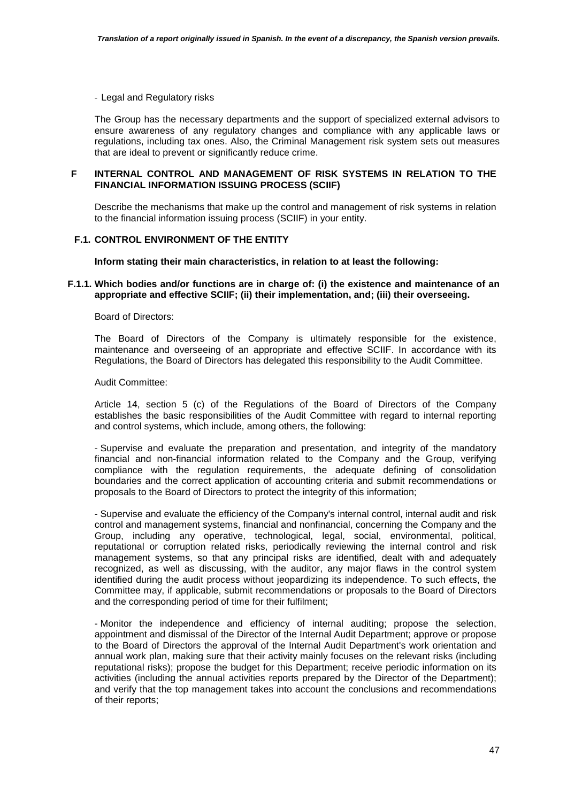- Legal and Regulatory risks

The Group has the necessary departments and the support of specialized external advisors to ensure awareness of any regulatory changes and compliance with any applicable laws or regulations, including tax ones. Also, the Criminal Management risk system sets out measures that are ideal to prevent or significantly reduce crime.

### **F INTERNAL CONTROL AND MANAGEMENT OF RISK SYSTEMS IN RELATION TO THE FINANCIAL INFORMATION ISSUING PROCESS (SCIIF)**

 Describe the mechanisms that make up the control and management of risk systems in relation to the financial information issuing process (SCIIF) in your entity.

### **F.1. CONTROL ENVIRONMENT OF THE ENTITY**

#### **Inform stating their main characteristics, in relation to at least the following:**

#### **F.1.1. Which bodies and/or functions are in charge of: (i) the existence and maintenance of an appropriate and effective SCIIF; (ii) their implementation, and; (iii) their overseeing.**

#### Board of Directors:

The Board of Directors of the Company is ultimately responsible for the existence, maintenance and overseeing of an appropriate and effective SCIIF. In accordance with its Regulations, the Board of Directors has delegated this responsibility to the Audit Committee.

#### Audit Committee:

Article 14, section 5 (c) of the Regulations of the Board of Directors of the Company establishes the basic responsibilities of the Audit Committee with regard to internal reporting and control systems, which include, among others, the following:

- Supervise and evaluate the preparation and presentation, and integrity of the mandatory financial and non-financial information related to the Company and the Group, verifying compliance with the regulation requirements, the adequate defining of consolidation boundaries and the correct application of accounting criteria and submit recommendations or proposals to the Board of Directors to protect the integrity of this information;

- Supervise and evaluate the efficiency of the Company's internal control, internal audit and risk control and management systems, financial and nonfinancial, concerning the Company and the Group, including any operative, technological, legal, social, environmental, political, reputational or corruption related risks, periodically reviewing the internal control and risk management systems, so that any principal risks are identified, dealt with and adequately recognized, as well as discussing, with the auditor, any major flaws in the control system identified during the audit process without jeopardizing its independence. To such effects, the Committee may, if applicable, submit recommendations or proposals to the Board of Directors and the corresponding period of time for their fulfilment;

- Monitor the independence and efficiency of internal auditing; propose the selection, appointment and dismissal of the Director of the Internal Audit Department; approve or propose to the Board of Directors the approval of the Internal Audit Department's work orientation and annual work plan, making sure that their activity mainly focuses on the relevant risks (including reputational risks); propose the budget for this Department; receive periodic information on its activities (including the annual activities reports prepared by the Director of the Department); and verify that the top management takes into account the conclusions and recommendations of their reports;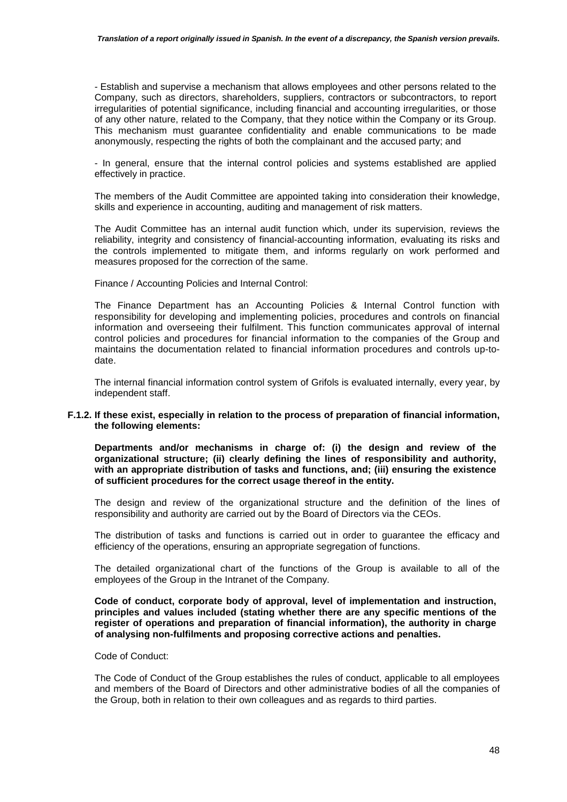- Establish and supervise a mechanism that allows employees and other persons related to the Company, such as directors, shareholders, suppliers, contractors or subcontractors, to report irregularities of potential significance, including financial and accounting irregularities, or those of any other nature, related to the Company, that they notice within the Company or its Group. This mechanism must guarantee confidentiality and enable communications to be made anonymously, respecting the rights of both the complainant and the accused party; and

- In general, ensure that the internal control policies and systems established are applied effectively in practice.

The members of the Audit Committee are appointed taking into consideration their knowledge, skills and experience in accounting, auditing and management of risk matters.

The Audit Committee has an internal audit function which, under its supervision, reviews the reliability, integrity and consistency of financial-accounting information, evaluating its risks and the controls implemented to mitigate them, and informs regularly on work performed and measures proposed for the correction of the same.

Finance / Accounting Policies and Internal Control:

The Finance Department has an Accounting Policies & Internal Control function with responsibility for developing and implementing policies, procedures and controls on financial information and overseeing their fulfilment. This function communicates approval of internal control policies and procedures for financial information to the companies of the Group and maintains the documentation related to financial information procedures and controls up-todate.

The internal financial information control system of Grifols is evaluated internally, every year, by independent staff.

#### **F.1.2. If these exist, especially in relation to the process of preparation of financial information, the following elements:**

**Departments and/or mechanisms in charge of: (i) the design and review of the organizational structure; (ii) clearly defining the lines of responsibility and authority, with an appropriate distribution of tasks and functions, and; (iii) ensuring the existence of sufficient procedures for the correct usage thereof in the entity.** 

The design and review of the organizational structure and the definition of the lines of responsibility and authority are carried out by the Board of Directors via the CEOs.

The distribution of tasks and functions is carried out in order to guarantee the efficacy and efficiency of the operations, ensuring an appropriate segregation of functions.

The detailed organizational chart of the functions of the Group is available to all of the employees of the Group in the Intranet of the Company.

**Code of conduct, corporate body of approval, level of implementation and instruction, principles and values included (stating whether there are any specific mentions of the register of operations and preparation of financial information), the authority in charge of analysing non-fulfilments and proposing corrective actions and penalties.** 

Code of Conduct:

The Code of Conduct of the Group establishes the rules of conduct, applicable to all employees and members of the Board of Directors and other administrative bodies of all the companies of the Group, both in relation to their own colleagues and as regards to third parties.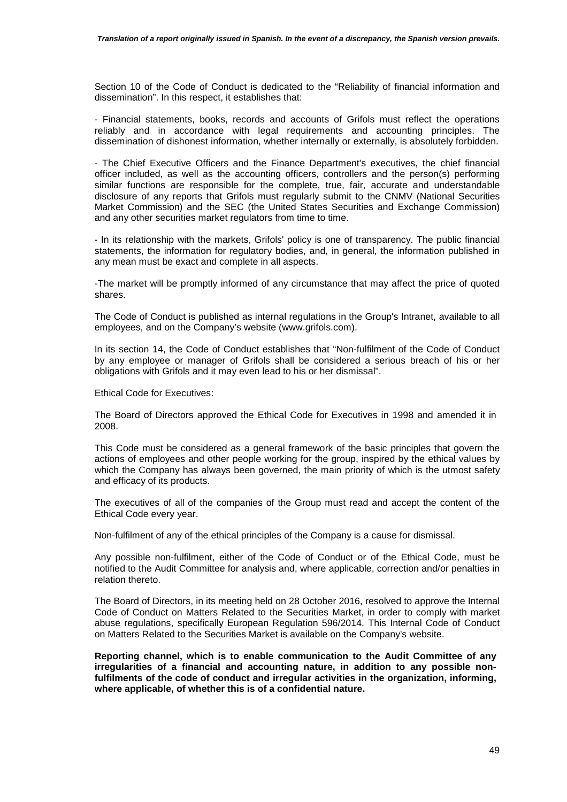Section 10 of the Code of Conduct is dedicated to the "Reliability of financial information and dissemination". In this respect, it establishes that:

- Financial statements, books, records and accounts of Grifols must reflect the operations reliably and in accordance with legal requirements and accounting principles. The dissemination of dishonest information, whether internally or externally, is absolutely forbidden.

- The Chief Executive Officers and the Finance Department's executives, the chief financial officer included, as well as the accounting officers, controllers and the person(s) performing similar functions are responsible for the complete, true, fair, accurate and understandable disclosure of any reports that Grifols must regularly submit to the CNMV (National Securities Market Commission) and the SEC (the United States Securities and Exchange Commission) and any other securities market regulators from time to time.

- In its relationship with the markets, Grifols' policy is one of transparency. The public financial statements, the information for regulatory bodies, and, in general, the information published in any mean must be exact and complete in all aspects.

-The market will be promptly informed of any circumstance that may affect the price of quoted shares.

The Code of Conduct is published as internal regulations in the Group's Intranet, available to all employees, and on the Company's website (www.grifols.com).

In its section 14, the Code of Conduct establishes that "Non-fulfilment of the Code of Conduct by any employee or manager of Grifols shall be considered a serious breach of his or her obligations with Grifols and it may even lead to his or her dismissal".

Ethical Code for Executives:

The Board of Directors approved the Ethical Code for Executives in 1998 and amended it in 2008.

This Code must be considered as a general framework of the basic principles that govern the actions of employees and other people working for the group, inspired by the ethical values by which the Company has always been governed, the main priority of which is the utmost safety and efficacy of its products.

The executives of all of the companies of the Group must read and accept the content of the Ethical Code every year.

Non-fulfilment of any of the ethical principles of the Company is a cause for dismissal.

Any possible non-fulfilment, either of the Code of Conduct or of the Ethical Code, must be notified to the Audit Committee for analysis and, where applicable, correction and/or penalties in relation thereto.

The Board of Directors, in its meeting held on 28 October 2016, resolved to approve the Internal Code of Conduct on Matters Related to the Securities Market, in order to comply with market abuse regulations, specifically European Regulation 596/2014. This Internal Code of Conduct on Matters Related to the Securities Market is available on the Company's website.

**Reporting channel, which is to enable communication to the Audit Committee of any irregularities of a financial and accounting nature, in addition to any possible nonfulfilments of the code of conduct and irregular activities in the organization, informing, where applicable, of whether this is of a confidential nature.**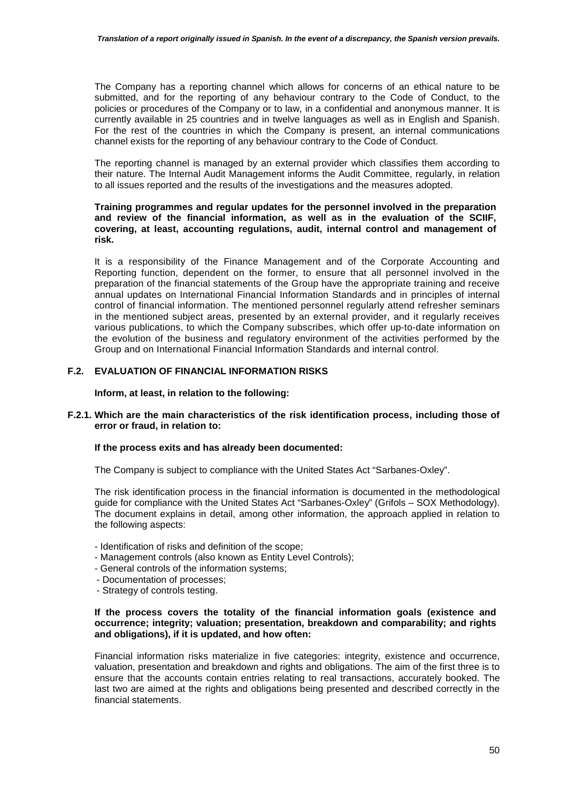The Company has a reporting channel which allows for concerns of an ethical nature to be submitted, and for the reporting of any behaviour contrary to the Code of Conduct, to the policies or procedures of the Company or to law, in a confidential and anonymous manner. It is currently available in 25 countries and in twelve languages as well as in English and Spanish. For the rest of the countries in which the Company is present, an internal communications channel exists for the reporting of any behaviour contrary to the Code of Conduct.

The reporting channel is managed by an external provider which classifies them according to their nature. The Internal Audit Management informs the Audit Committee, regularly, in relation to all issues reported and the results of the investigations and the measures adopted.

#### **Training programmes and regular updates for the personnel involved in the preparation and review of the financial information, as well as in the evaluation of the SCIIF, covering, at least, accounting regulations, audit, internal control and management of risk.**

It is a responsibility of the Finance Management and of the Corporate Accounting and Reporting function, dependent on the former, to ensure that all personnel involved in the preparation of the financial statements of the Group have the appropriate training and receive annual updates on International Financial Information Standards and in principles of internal control of financial information. The mentioned personnel regularly attend refresher seminars in the mentioned subject areas, presented by an external provider, and it regularly receives various publications, to which the Company subscribes, which offer up-to-date information on the evolution of the business and regulatory environment of the activities performed by the Group and on International Financial Information Standards and internal control.

## **F.2. EVALUATION OF FINANCIAL INFORMATION RISKS**

**Inform, at least, in relation to the following:** 

#### **F.2.1. Which are the main characteristics of the risk identification process, including those of error or fraud, in relation to:**

#### **If the process exits and has already been documented:**

The Company is subject to compliance with the United States Act "Sarbanes-Oxley".

The risk identification process in the financial information is documented in the methodological guide for compliance with the United States Act "Sarbanes-Oxley" (Grifols – SOX Methodology). The document explains in detail, among other information, the approach applied in relation to the following aspects:

- Identification of risks and definition of the scope;
- Management controls (also known as Entity Level Controls);
- General controls of the information systems;
- Documentation of processes;
- Strategy of controls testing.

#### **If the process covers the totality of the financial information goals (existence and occurrence; integrity; valuation; presentation, breakdown and comparability; and rights and obligations), if it is updated, and how often:**

Financial information risks materialize in five categories: integrity, existence and occurrence, valuation, presentation and breakdown and rights and obligations. The aim of the first three is to ensure that the accounts contain entries relating to real transactions, accurately booked. The last two are aimed at the rights and obligations being presented and described correctly in the financial statements.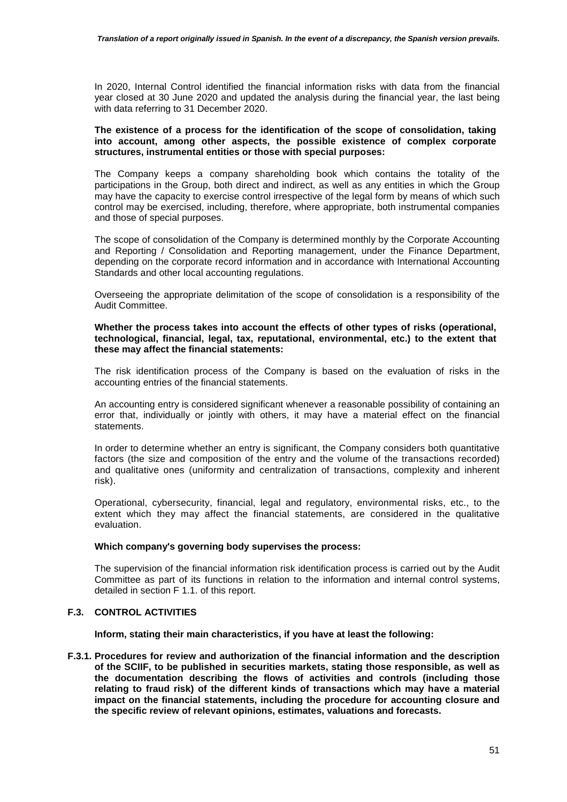In 2020, Internal Control identified the financial information risks with data from the financial year closed at 30 June 2020 and updated the analysis during the financial year, the last being with data referring to 31 December 2020.

#### **The existence of a process for the identification of the scope of consolidation, taking into account, among other aspects, the possible existence of complex corporate structures, instrumental entities or those with special purposes:**

The Company keeps a company shareholding book which contains the totality of the participations in the Group, both direct and indirect, as well as any entities in which the Group may have the capacity to exercise control irrespective of the legal form by means of which such control may be exercised, including, therefore, where appropriate, both instrumental companies and those of special purposes.

The scope of consolidation of the Company is determined monthly by the Corporate Accounting and Reporting / Consolidation and Reporting management, under the Finance Department, depending on the corporate record information and in accordance with International Accounting Standards and other local accounting regulations.

Overseeing the appropriate delimitation of the scope of consolidation is a responsibility of the Audit Committee.

#### **Whether the process takes into account the effects of other types of risks (operational, technological, financial, legal, tax, reputational, environmental, etc.) to the extent that these may affect the financial statements:**

The risk identification process of the Company is based on the evaluation of risks in the accounting entries of the financial statements.

An accounting entry is considered significant whenever a reasonable possibility of containing an error that, individually or jointly with others, it may have a material effect on the financial statements.

In order to determine whether an entry is significant, the Company considers both quantitative factors (the size and composition of the entry and the volume of the transactions recorded) and qualitative ones (uniformity and centralization of transactions, complexity and inherent risk).

Operational, cybersecurity, financial, legal and regulatory, environmental risks, etc., to the extent which they may affect the financial statements, are considered in the qualitative evaluation.

## **Which company's governing body supervises the process:**

The supervision of the financial information risk identification process is carried out by the Audit Committee as part of its functions in relation to the information and internal control systems, detailed in section F 1.1. of this report.

## **F.3. CONTROL ACTIVITIES**

**Inform, stating their main characteristics, if you have at least the following:** 

**F.3.1. Procedures for review and authorization of the financial information and the description of the SCIIF, to be published in securities markets, stating those responsible, as well as the documentation describing the flows of activities and controls (including those relating to fraud risk) of the different kinds of transactions which may have a material impact on the financial statements, including the procedure for accounting closure and the specific review of relevant opinions, estimates, valuations and forecasts.**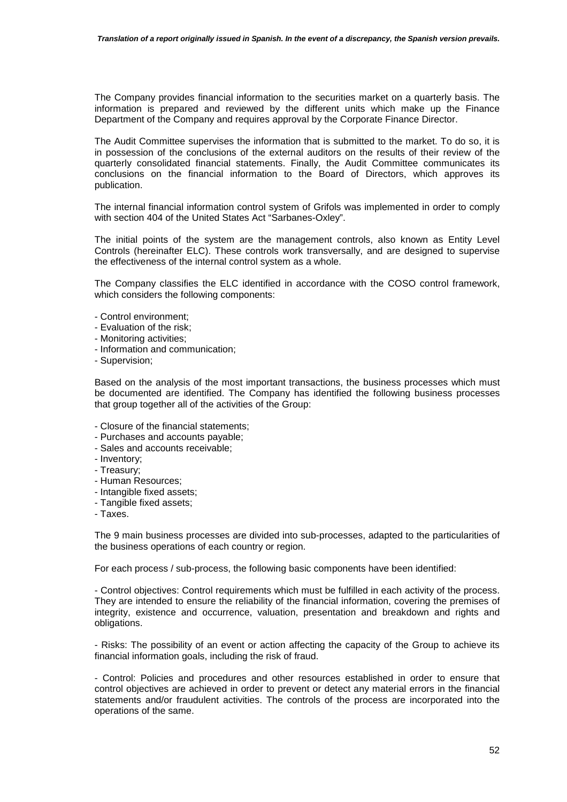The Company provides financial information to the securities market on a quarterly basis. The information is prepared and reviewed by the different units which make up the Finance Department of the Company and requires approval by the Corporate Finance Director.

The Audit Committee supervises the information that is submitted to the market. To do so, it is in possession of the conclusions of the external auditors on the results of their review of the quarterly consolidated financial statements. Finally, the Audit Committee communicates its conclusions on the financial information to the Board of Directors, which approves its publication.

The internal financial information control system of Grifols was implemented in order to comply with section 404 of the United States Act "Sarbanes-Oxley".

The initial points of the system are the management controls, also known as Entity Level Controls (hereinafter ELC). These controls work transversally, and are designed to supervise the effectiveness of the internal control system as a whole.

The Company classifies the ELC identified in accordance with the COSO control framework, which considers the following components:

- Control environment;
- Evaluation of the risk;
- Monitoring activities;
- Information and communication;
- Supervision;

Based on the analysis of the most important transactions, the business processes which must be documented are identified. The Company has identified the following business processes that group together all of the activities of the Group:

- Closure of the financial statements;
- Purchases and accounts payable;
- Sales and accounts receivable;
- Inventory;
- Treasury;
- Human Resources;
- Intangible fixed assets;
- Tangible fixed assets;
- Taxes.

The 9 main business processes are divided into sub-processes, adapted to the particularities of the business operations of each country or region.

For each process / sub-process, the following basic components have been identified:

- Control objectives: Control requirements which must be fulfilled in each activity of the process. They are intended to ensure the reliability of the financial information, covering the premises of integrity, existence and occurrence, valuation, presentation and breakdown and rights and obligations.

- Risks: The possibility of an event or action affecting the capacity of the Group to achieve its financial information goals, including the risk of fraud.

- Control: Policies and procedures and other resources established in order to ensure that control objectives are achieved in order to prevent or detect any material errors in the financial statements and/or fraudulent activities. The controls of the process are incorporated into the operations of the same.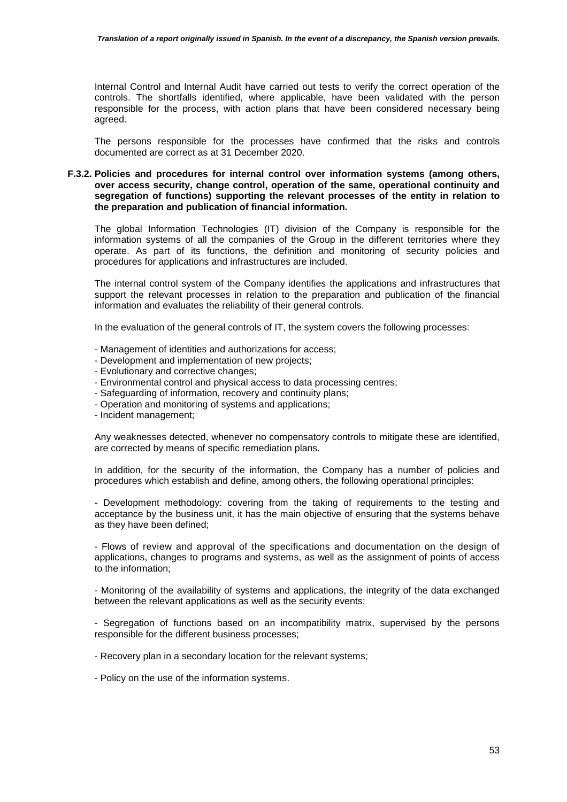Internal Control and Internal Audit have carried out tests to verify the correct operation of the controls. The shortfalls identified, where applicable, have been validated with the person responsible for the process, with action plans that have been considered necessary being agreed.

The persons responsible for the processes have confirmed that the risks and controls documented are correct as at 31 December 2020.

#### **F.3.2. Policies and procedures for internal control over information systems (among others, over access security, change control, operation of the same, operational continuity and segregation of functions) supporting the relevant processes of the entity in relation to the preparation and publication of financial information.**

The global Information Technologies (IT) division of the Company is responsible for the information systems of all the companies of the Group in the different territories where they operate. As part of its functions, the definition and monitoring of security policies and procedures for applications and infrastructures are included.

The internal control system of the Company identifies the applications and infrastructures that support the relevant processes in relation to the preparation and publication of the financial information and evaluates the reliability of their general controls.

In the evaluation of the general controls of IT, the system covers the following processes:

- Management of identities and authorizations for access;
- Development and implementation of new projects;
- Evolutionary and corrective changes;
- Environmental control and physical access to data processing centres;
- Safeguarding of information, recovery and continuity plans;
- Operation and monitoring of systems and applications;
- Incident management;

Any weaknesses detected, whenever no compensatory controls to mitigate these are identified, are corrected by means of specific remediation plans.

In addition, for the security of the information, the Company has a number of policies and procedures which establish and define, among others, the following operational principles:

- Development methodology: covering from the taking of requirements to the testing and acceptance by the business unit, it has the main objective of ensuring that the systems behave as they have been defined;

- Flows of review and approval of the specifications and documentation on the design of applications, changes to programs and systems, as well as the assignment of points of access to the information;

- Monitoring of the availability of systems and applications, the integrity of the data exchanged between the relevant applications as well as the security events;

- Segregation of functions based on an incompatibility matrix, supervised by the persons responsible for the different business processes;

- Recovery plan in a secondary location for the relevant systems;

- Policy on the use of the information systems.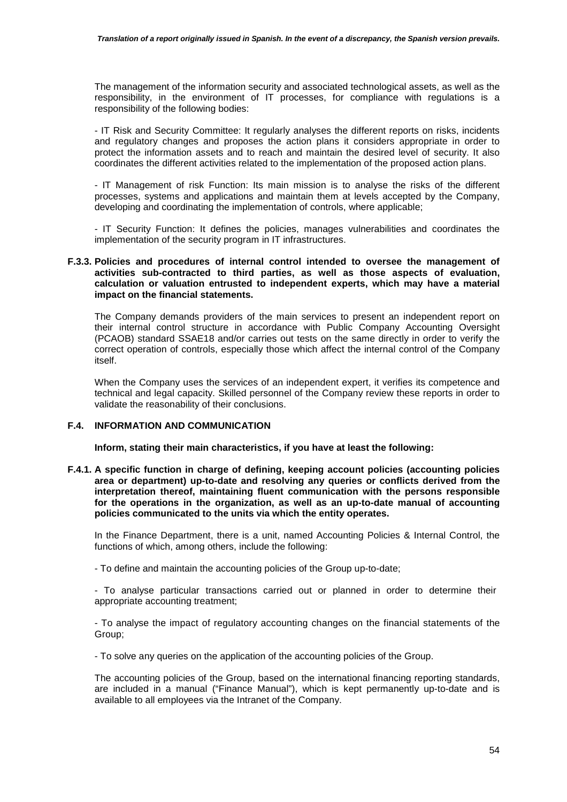The management of the information security and associated technological assets, as well as the responsibility, in the environment of IT processes, for compliance with regulations is a responsibility of the following bodies:

- IT Risk and Security Committee: It regularly analyses the different reports on risks, incidents and regulatory changes and proposes the action plans it considers appropriate in order to protect the information assets and to reach and maintain the desired level of security. It also coordinates the different activities related to the implementation of the proposed action plans.

- IT Management of risk Function: Its main mission is to analyse the risks of the different processes, systems and applications and maintain them at levels accepted by the Company, developing and coordinating the implementation of controls, where applicable;

- IT Security Function: It defines the policies, manages vulnerabilities and coordinates the implementation of the security program in IT infrastructures.

#### **F.3.3. Policies and procedures of internal control intended to oversee the management of activities sub-contracted to third parties, as well as those aspects of evaluation, calculation or valuation entrusted to independent experts, which may have a material impact on the financial statements.**

The Company demands providers of the main services to present an independent report on their internal control structure in accordance with Public Company Accounting Oversight (PCAOB) standard SSAE18 and/or carries out tests on the same directly in order to verify the correct operation of controls, especially those which affect the internal control of the Company itself.

When the Company uses the services of an independent expert, it verifies its competence and technical and legal capacity. Skilled personnel of the Company review these reports in order to validate the reasonability of their conclusions.

## **F.4. INFORMATION AND COMMUNICATION**

**Inform, stating their main characteristics, if you have at least the following:** 

**F.4.1. A specific function in charge of defining, keeping account policies (accounting policies area or department) up-to-date and resolving any queries or conflicts derived from the interpretation thereof, maintaining fluent communication with the persons responsible for the operations in the organization, as well as an up-to-date manual of accounting policies communicated to the units via which the entity operates.** 

In the Finance Department, there is a unit, named Accounting Policies & Internal Control, the functions of which, among others, include the following:

- To define and maintain the accounting policies of the Group up-to-date;

- To analyse particular transactions carried out or planned in order to determine their appropriate accounting treatment;

- To analyse the impact of regulatory accounting changes on the financial statements of the Group;

- To solve any queries on the application of the accounting policies of the Group.

The accounting policies of the Group, based on the international financing reporting standards, are included in a manual ("Finance Manual"), which is kept permanently up-to-date and is available to all employees via the Intranet of the Company.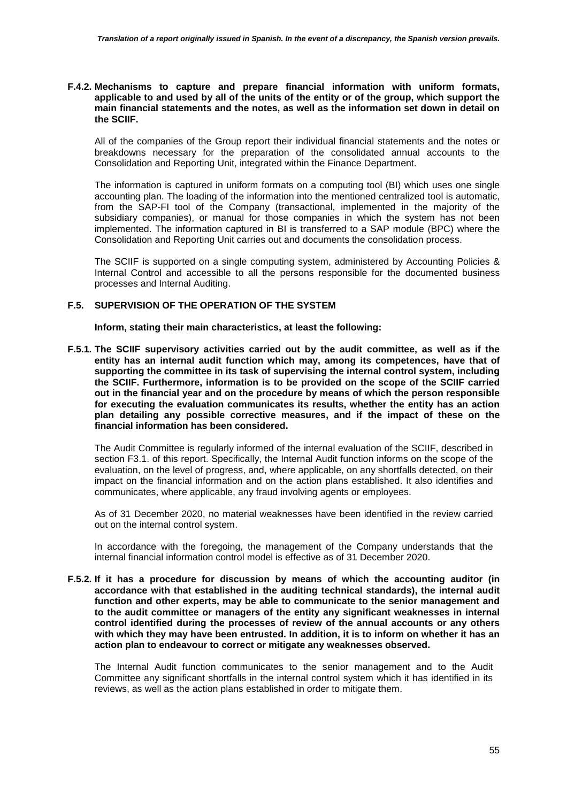#### **F.4.2. Mechanisms to capture and prepare financial information with uniform formats, applicable to and used by all of the units of the entity or of the group, which support the main financial statements and the notes, as well as the information set down in detail on the SCIIF.**

All of the companies of the Group report their individual financial statements and the notes or breakdowns necessary for the preparation of the consolidated annual accounts to the Consolidation and Reporting Unit, integrated within the Finance Department.

The information is captured in uniform formats on a computing tool (BI) which uses one single accounting plan. The loading of the information into the mentioned centralized tool is automatic, from the SAP-FI tool of the Company (transactional, implemented in the majority of the subsidiary companies), or manual for those companies in which the system has not been implemented. The information captured in BI is transferred to a SAP module (BPC) where the Consolidation and Reporting Unit carries out and documents the consolidation process.

The SCIIF is supported on a single computing system, administered by Accounting Policies & Internal Control and accessible to all the persons responsible for the documented business processes and Internal Auditing.

#### **F.5. SUPERVISION OF THE OPERATION OF THE SYSTEM**

**Inform, stating their main characteristics, at least the following:** 

**F.5.1. The SCIIF supervisory activities carried out by the audit committee, as well as if the entity has an internal audit function which may, among its competences, have that of supporting the committee in its task of supervising the internal control system, including the SCIIF. Furthermore, information is to be provided on the scope of the SCIIF carried out in the financial year and on the procedure by means of which the person responsible for executing the evaluation communicates its results, whether the entity has an action plan detailing any possible corrective measures, and if the impact of these on the financial information has been considered.** 

The Audit Committee is regularly informed of the internal evaluation of the SCIIF, described in section F3.1. of this report. Specifically, the Internal Audit function informs on the scope of the evaluation, on the level of progress, and, where applicable, on any shortfalls detected, on their impact on the financial information and on the action plans established. It also identifies and communicates, where applicable, any fraud involving agents or employees.

As of 31 December 2020, no material weaknesses have been identified in the review carried out on the internal control system.

In accordance with the foregoing, the management of the Company understands that the internal financial information control model is effective as of 31 December 2020.

**F.5.2. If it has a procedure for discussion by means of which the accounting auditor (in accordance with that established in the auditing technical standards), the internal audit function and other experts, may be able to communicate to the senior management and to the audit committee or managers of the entity any significant weaknesses in internal control identified during the processes of review of the annual accounts or any others with which they may have been entrusted. In addition, it is to inform on whether it has an action plan to endeavour to correct or mitigate any weaknesses observed.** 

The Internal Audit function communicates to the senior management and to the Audit Committee any significant shortfalls in the internal control system which it has identified in its reviews, as well as the action plans established in order to mitigate them.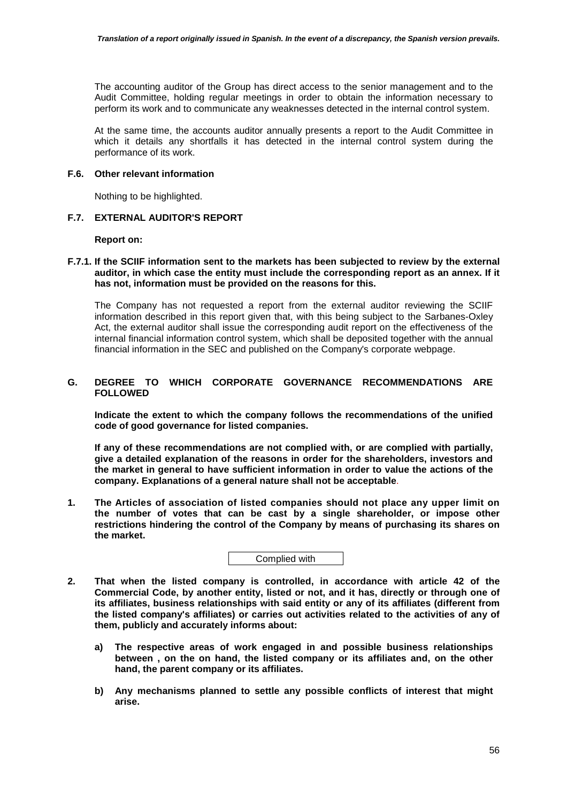The accounting auditor of the Group has direct access to the senior management and to the Audit Committee, holding regular meetings in order to obtain the information necessary to perform its work and to communicate any weaknesses detected in the internal control system.

At the same time, the accounts auditor annually presents a report to the Audit Committee in which it details any shortfalls it has detected in the internal control system during the performance of its work.

### **F.6. Other relevant information**

Nothing to be highlighted.

### **F.7. EXTERNAL AUDITOR'S REPORT**

**Report on:** 

### **F.7.1. If the SCIIF information sent to the markets has been subjected to review by the external auditor, in which case the entity must include the corresponding report as an annex. If it has not, information must be provided on the reasons for this.**

The Company has not requested a report from the external auditor reviewing the SCIIF information described in this report given that, with this being subject to the Sarbanes-Oxley Act, the external auditor shall issue the corresponding audit report on the effectiveness of the internal financial information control system, which shall be deposited together with the annual financial information in the SEC and published on the Company's corporate webpage.

## **G. DEGREE TO WHICH CORPORATE GOVERNANCE RECOMMENDATIONS ARE FOLLOWED**

**Indicate the extent to which the company follows the recommendations of the unified code of good governance for listed companies.** 

**If any of these recommendations are not complied with, or are complied with partially, give a detailed explanation of the reasons in order for the shareholders, investors and the market in general to have sufficient information in order to value the actions of the company. Explanations of a general nature shall not be acceptable**.

**1. The Articles of association of listed companies should not place any upper limit on the number of votes that can be cast by a single shareholder, or impose other restrictions hindering the control of the Company by means of purchasing its shares on the market.** 

- **2. That when the listed company is controlled, in accordance with article 42 of the Commercial Code, by another entity, listed or not, and it has, directly or through one of its affiliates, business relationships with said entity or any of its affiliates (different from the listed company's affiliates) or carries out activities related to the activities of any of them, publicly and accurately informs about:** 
	- **a) The respective areas of work engaged in and possible business relationships between , on the on hand, the listed company or its affiliates and, on the other hand, the parent company or its affiliates.**
	- **b) Any mechanisms planned to settle any possible conflicts of interest that might arise.**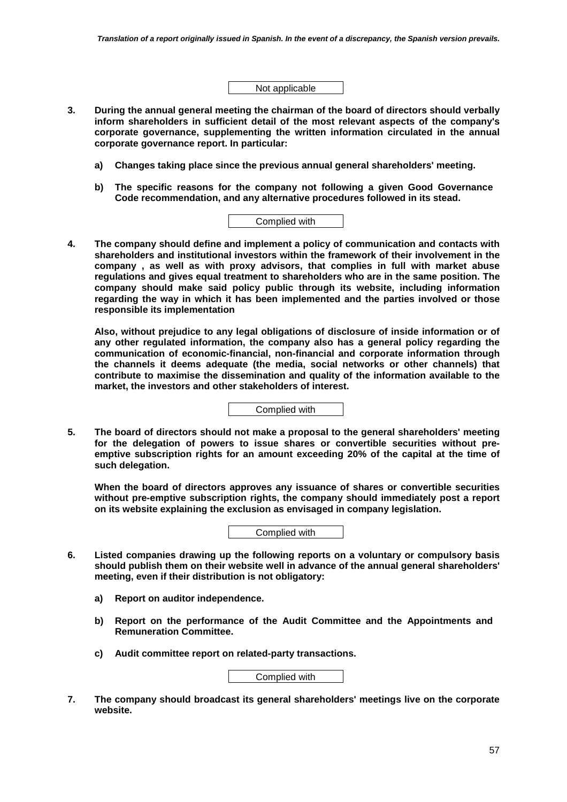Not applicable

- **3. During the annual general meeting the chairman of the board of directors should verbally inform shareholders in sufficient detail of the most relevant aspects of the company's corporate governance, supplementing the written information circulated in the annual corporate governance report. In particular:** 
	- **a) Changes taking place since the previous annual general shareholders' meeting.**
	- **b) The specific reasons for the company not following a given Good Governance Code recommendation, and any alternative procedures followed in its stead.**

| Complied with |  |
|---------------|--|
|               |  |

**4. The company should define and implement a policy of communication and contacts with shareholders and institutional investors within the framework of their involvement in the company , as well as with proxy advisors, that complies in full with market abuse regulations and gives equal treatment to shareholders who are in the same position. The company should make said policy public through its website, including information regarding the way in which it has been implemented and the parties involved or those responsible its implementation** 

**Also, without prejudice to any legal obligations of disclosure of inside information or of any other regulated information, the company also has a general policy regarding the communication of economic-financial, non-financial and corporate information through the channels it deems adequate (the media, social networks or other channels) that contribute to maximise the dissemination and quality of the information available to the market, the investors and other stakeholders of interest.** 

Complied with

**5. The board of directors should not make a proposal to the general shareholders' meeting for the delegation of powers to issue shares or convertible securities without preemptive subscription rights for an amount exceeding 20% of the capital at the time of such delegation.** 

**When the board of directors approves any issuance of shares or convertible securities without pre-emptive subscription rights, the company should immediately post a report on its website explaining the exclusion as envisaged in company legislation.** 

Complied with

- **6. Listed companies drawing up the following reports on a voluntary or compulsory basis should publish them on their website well in advance of the annual general shareholders' meeting, even if their distribution is not obligatory:** 
	- **a) Report on auditor independence.**
	- **b) Report on the performance of the Audit Committee and the Appointments and Remuneration Committee.**
	- **c) Audit committee report on related-party transactions.**

Complied with

**7. The company should broadcast its general shareholders' meetings live on the corporate website.**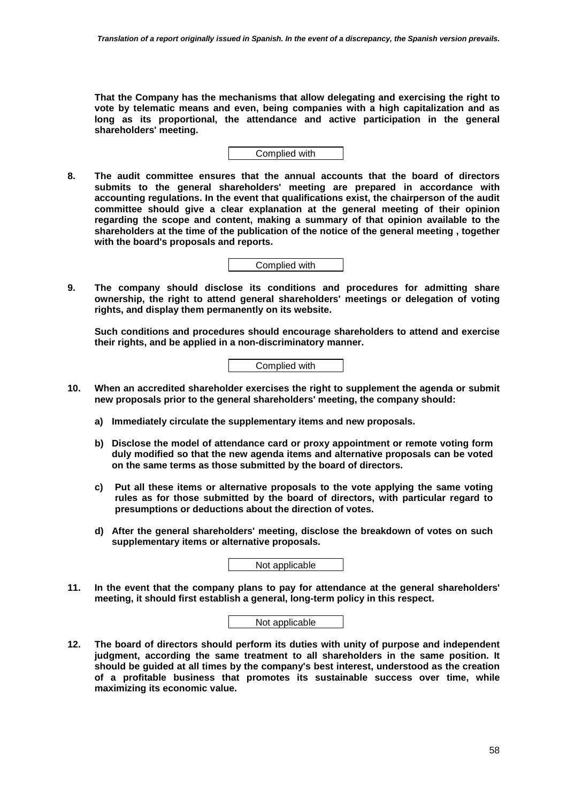**That the Company has the mechanisms that allow delegating and exercising the right to vote by telematic means and even, being companies with a high capitalization and as long as its proportional, the attendance and active participation in the general shareholders' meeting.** 



**8. The audit committee ensures that the annual accounts that the board of directors submits to the general shareholders' meeting are prepared in accordance with accounting regulations. In the event that qualifications exist, the chairperson of the audit committee should give a clear explanation at the general meeting of their opinion regarding the scope and content, making a summary of that opinion available to the shareholders at the time of the publication of the notice of the general meeting , together with the board's proposals and reports.** 

Complied with

**9. The company should disclose its conditions and procedures for admitting share ownership, the right to attend general shareholders' meetings or delegation of voting rights, and display them permanently on its website.** 

**Such conditions and procedures should encourage shareholders to attend and exercise their rights, and be applied in a non-discriminatory manner.** 

Complied with

- **10. When an accredited shareholder exercises the right to supplement the agenda or submit new proposals prior to the general shareholders' meeting, the company should:** 
	- **a) Immediately circulate the supplementary items and new proposals.**
	- **b) Disclose the model of attendance card or proxy appointment or remote voting form duly modified so that the new agenda items and alternative proposals can be voted on the same terms as those submitted by the board of directors.**
	- **c) Put all these items or alternative proposals to the vote applying the same voting rules as for those submitted by the board of directors, with particular regard to presumptions or deductions about the direction of votes.**
	- **d) After the general shareholders' meeting, disclose the breakdown of votes on such supplementary items or alternative proposals.**

Not applicable

**11. In the event that the company plans to pay for attendance at the general shareholders' meeting, it should first establish a general, long-term policy in this respect.** 

| Not applicable |  |
|----------------|--|
|                |  |

**12. The board of directors should perform its duties with unity of purpose and independent judgment, according the same treatment to all shareholders in the same position. It should be guided at all times by the company's best interest, understood as the creation of a profitable business that promotes its sustainable success over time, while maximizing its economic value.**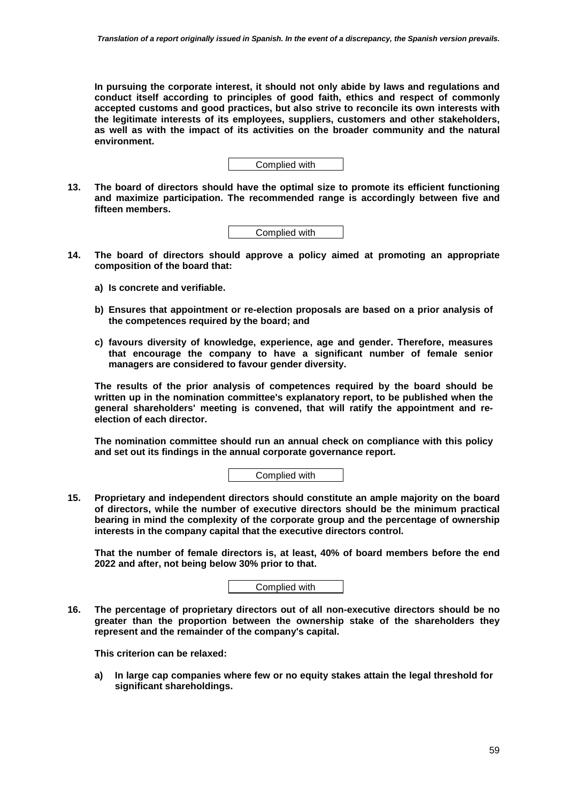**In pursuing the corporate interest, it should not only abide by laws and regulations and conduct itself according to principles of good faith, ethics and respect of commonly accepted customs and good practices, but also strive to reconcile its own interests with the legitimate interests of its employees, suppliers, customers and other stakeholders, as well as with the impact of its activities on the broader community and the natural environment.** 



**13. The board of directors should have the optimal size to promote its efficient functioning and maximize participation. The recommended range is accordingly between five and fifteen members.** 

Complied with

- **14. The board of directors should approve a policy aimed at promoting an appropriate composition of the board that:** 
	- **a) Is concrete and verifiable.**
	- **b) Ensures that appointment or re-election proposals are based on a prior analysis of the competences required by the board; and**
	- **c) favours diversity of knowledge, experience, age and gender. Therefore, measures that encourage the company to have a significant number of female senior managers are considered to favour gender diversity.**

**The results of the prior analysis of competences required by the board should be written up in the nomination committee's explanatory report, to be published when the general shareholders' meeting is convened, that will ratify the appointment and reelection of each director.** 

**The nomination committee should run an annual check on compliance with this policy and set out its findings in the annual corporate governance report.** 

Complied with

**15. Proprietary and independent directors should constitute an ample majority on the board of directors, while the number of executive directors should be the minimum practical bearing in mind the complexity of the corporate group and the percentage of ownership interests in the company capital that the executive directors control.** 

**That the number of female directors is, at least, 40% of board members before the end 2022 and after, not being below 30% prior to that.** 

Complied with

**16. The percentage of proprietary directors out of all non-executive directors should be no greater than the proportion between the ownership stake of the shareholders they represent and the remainder of the company's capital.** 

**This criterion can be relaxed:** 

**a) In large cap companies where few or no equity stakes attain the legal threshold for significant shareholdings.**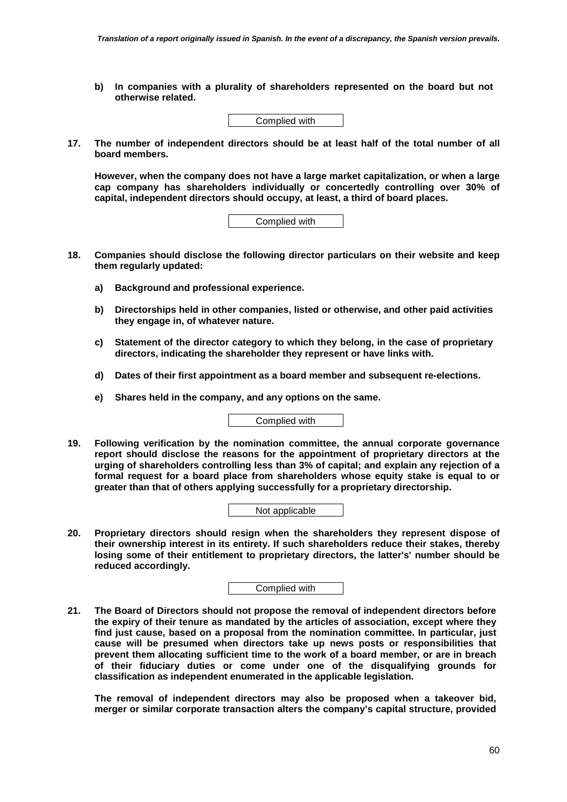**b) In companies with a plurality of shareholders represented on the board but not otherwise related.** 



**17. The number of independent directors should be at least half of the total number of all board members.** 

**However, when the company does not have a large market capitalization, or when a large cap company has shareholders individually or concertedly controlling over 30% of capital, independent directors should occupy, at least, a third of board places.** 

| Complied with |
|---------------|
|---------------|

- **18. Companies should disclose the following director particulars on their website and keep them regularly updated:** 
	- **a) Background and professional experience.**
	- **b) Directorships held in other companies, listed or otherwise, and other paid activities they engage in, of whatever nature.**
	- **c) Statement of the director category to which they belong, in the case of proprietary directors, indicating the shareholder they represent or have links with.**
	- **d) Dates of their first appointment as a board member and subsequent re-elections.**
	- **e) Shares held in the company, and any options on the same.**

Complied with

**19. Following verification by the nomination committee, the annual corporate governance report should disclose the reasons for the appointment of proprietary directors at the urging of shareholders controlling less than 3% of capital; and explain any rejection of a formal request for a board place from shareholders whose equity stake is equal to or greater than that of others applying successfully for a proprietary directorship.** 

Not applicable

**20. Proprietary directors should resign when the shareholders they represent dispose of their ownership interest in its entirety. If such shareholders reduce their stakes, thereby losing some of their entitlement to proprietary directors, the latter's' number should be reduced accordingly.** 

Complied with

**21. The Board of Directors should not propose the removal of independent directors before the expiry of their tenure as mandated by the articles of association, except where they find just cause, based on a proposal from the nomination committee. In particular, just cause will be presumed when directors take up news posts or responsibilities that prevent them allocating sufficient time to the work of a board member, or are in breach of their fiduciary duties or come under one of the disqualifying grounds for classification as independent enumerated in the applicable legislation.** 

**The removal of independent directors may also be proposed when a takeover bid, merger or similar corporate transaction alters the company's capital structure, provided**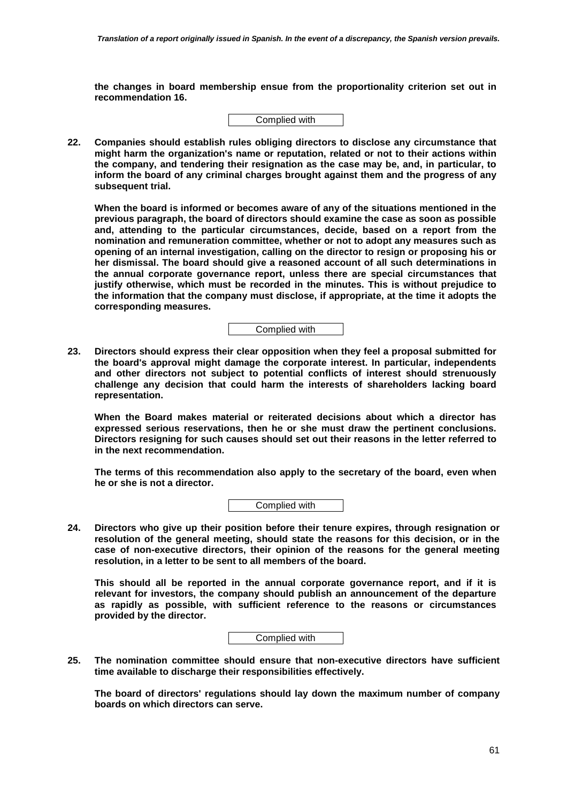**the changes in board membership ensue from the proportionality criterion set out in recommendation 16.** 



**22. Companies should establish rules obliging directors to disclose any circumstance that might harm the organization's name or reputation, related or not to their actions within the company, and tendering their resignation as the case may be, and, in particular, to inform the board of any criminal charges brought against them and the progress of any subsequent trial.** 

**When the board is informed or becomes aware of any of the situations mentioned in the previous paragraph, the board of directors should examine the case as soon as possible and, attending to the particular circumstances, decide, based on a report from the nomination and remuneration committee, whether or not to adopt any measures such as opening of an internal investigation, calling on the director to resign or proposing his or her dismissal. The board should give a reasoned account of all such determinations in the annual corporate governance report, unless there are special circumstances that justify otherwise, which must be recorded in the minutes. This is without prejudice to the information that the company must disclose, if appropriate, at the time it adopts the corresponding measures.** 

Complied with

**23. Directors should express their clear opposition when they feel a proposal submitted for the board's approval might damage the corporate interest. In particular, independents and other directors not subject to potential conflicts of interest should strenuously challenge any decision that could harm the interests of shareholders lacking board representation.** 

**When the Board makes material or reiterated decisions about which a director has expressed serious reservations, then he or she must draw the pertinent conclusions. Directors resigning for such causes should set out their reasons in the letter referred to in the next recommendation.** 

**The terms of this recommendation also apply to the secretary of the board, even when he or she is not a director.** 



**24. Directors who give up their position before their tenure expires, through resignation or resolution of the general meeting, should state the reasons for this decision, or in the case of non-executive directors, their opinion of the reasons for the general meeting resolution, in a letter to be sent to all members of the board.** 

**This should all be reported in the annual corporate governance report, and if it is relevant for investors, the company should publish an announcement of the departure as rapidly as possible, with sufficient reference to the reasons or circumstances provided by the director.** 

Complied with

**25. The nomination committee should ensure that non-executive directors have sufficient time available to discharge their responsibilities effectively.** 

**The board of directors' regulations should lay down the maximum number of company boards on which directors can serve.**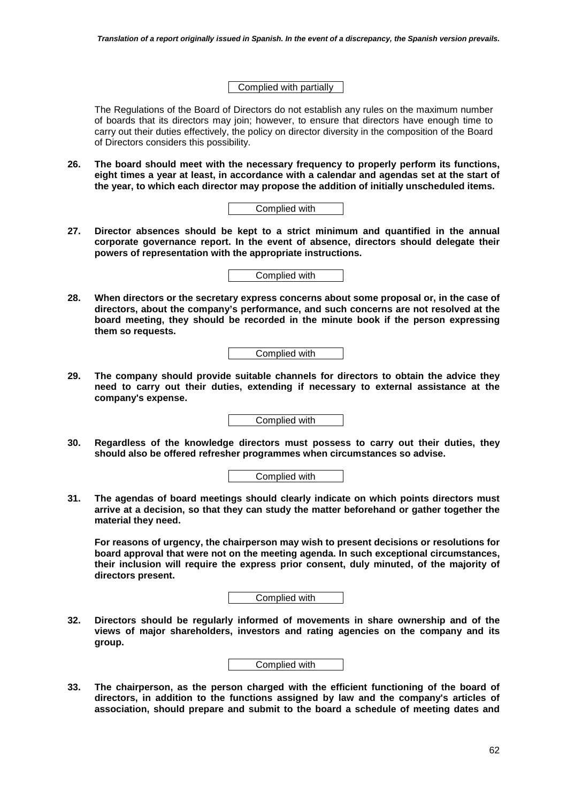#### Complied with partially

The Regulations of the Board of Directors do not establish any rules on the maximum number of boards that its directors may join; however, to ensure that directors have enough time to carry out their duties effectively, the policy on director diversity in the composition of the Board of Directors considers this possibility.

**26. The board should meet with the necessary frequency to properly perform its functions, eight times a year at least, in accordance with a calendar and agendas set at the start of the year, to which each director may propose the addition of initially unscheduled items.** 

| Complied with |
|---------------|
|---------------|

**27. Director absences should be kept to a strict minimum and quantified in the annual corporate governance report. In the event of absence, directors should delegate their powers of representation with the appropriate instructions.** 

Complied with

**28. When directors or the secretary express concerns about some proposal or, in the case of directors, about the company's performance, and such concerns are not resolved at the board meeting, they should be recorded in the minute book if the person expressing them so requests.** 

Complied with

**29. The company should provide suitable channels for directors to obtain the advice they need to carry out their duties, extending if necessary to external assistance at the company's expense.** 

Complied with

**30. Regardless of the knowledge directors must possess to carry out their duties, they should also be offered refresher programmes when circumstances so advise.** 

Complied with

**31. The agendas of board meetings should clearly indicate on which points directors must arrive at a decision, so that they can study the matter beforehand or gather together the material they need.** 

**For reasons of urgency, the chairperson may wish to present decisions or resolutions for board approval that were not on the meeting agenda. In such exceptional circumstances, their inclusion will require the express prior consent, duly minuted, of the majority of directors present.** 

Complied with

**32. Directors should be regularly informed of movements in share ownership and of the views of major shareholders, investors and rating agencies on the company and its group.** 



**33. The chairperson, as the person charged with the efficient functioning of the board of directors, in addition to the functions assigned by law and the company's articles of association, should prepare and submit to the board a schedule of meeting dates and**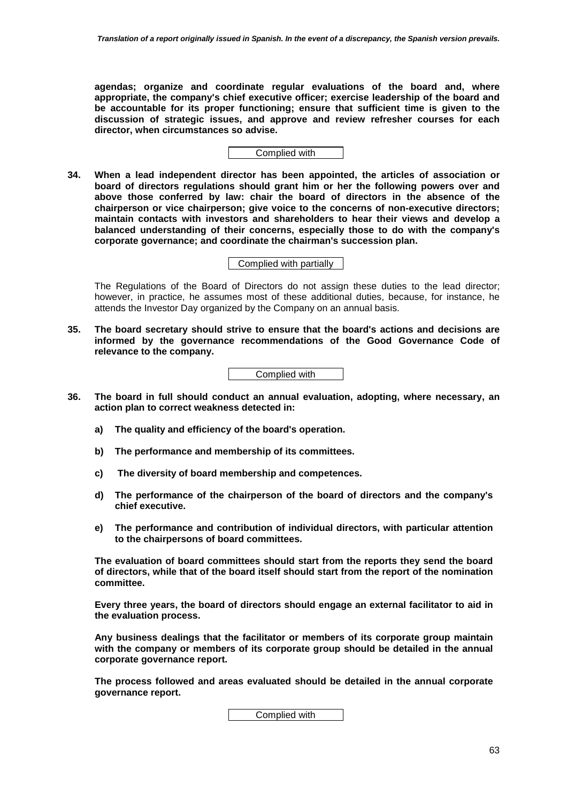**agendas; organize and coordinate regular evaluations of the board and, where appropriate, the company's chief executive officer; exercise leadership of the board and be accountable for its proper functioning; ensure that sufficient time is given to the discussion of strategic issues, and approve and review refresher courses for each director, when circumstances so advise.** 

Complied with

**34. When a lead independent director has been appointed, the articles of association or board of directors regulations should grant him or her the following powers over and above those conferred by law: chair the board of directors in the absence of the chairperson or vice chairperson; give voice to the concerns of non-executive directors; maintain contacts with investors and shareholders to hear their views and develop a balanced understanding of their concerns, especially those to do with the company's corporate governance; and coordinate the chairman's succession plan.** 

Complied with partially

The Regulations of the Board of Directors do not assign these duties to the lead director; however, in practice, he assumes most of these additional duties, because, for instance, he attends the Investor Day organized by the Company on an annual basis.

**35. The board secretary should strive to ensure that the board's actions and decisions are informed by the governance recommendations of the Good Governance Code of relevance to the company.** 

Complied with

- **36. The board in full should conduct an annual evaluation, adopting, where necessary, an action plan to correct weakness detected in:** 
	- **a) The quality and efficiency of the board's operation.**
	- **b) The performance and membership of its committees.**
	- **c) The diversity of board membership and competences.**
	- **d) The performance of the chairperson of the board of directors and the company's chief executive.**
	- **e) The performance and contribution of individual directors, with particular attention to the chairpersons of board committees.**

**The evaluation of board committees should start from the reports they send the board of directors, while that of the board itself should start from the report of the nomination committee.** 

**Every three years, the board of directors should engage an external facilitator to aid in the evaluation process.** 

**Any business dealings that the facilitator or members of its corporate group maintain with the company or members of its corporate group should be detailed in the annual corporate governance report.** 

**The process followed and areas evaluated should be detailed in the annual corporate governance report.**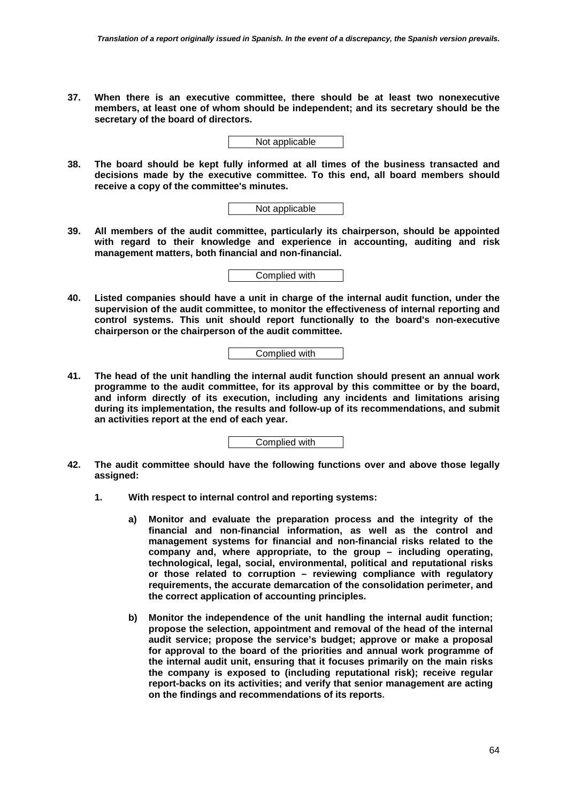**37. When there is an executive committee, there should be at least two nonexecutive members, at least one of whom should be independent; and its secretary should be the secretary of the board of directors.** 

Not applicable

**38. The board should be kept fully informed at all times of the business transacted and decisions made by the executive committee. To this end, all board members should receive a copy of the committee's minutes.** 

Not applicable

**39. All members of the audit committee, particularly its chairperson, should be appointed with regard to their knowledge and experience in accounting, auditing and risk management matters, both financial and non-financial.** 

Complied with

**40. Listed companies should have a unit in charge of the internal audit function, under the supervision of the audit committee, to monitor the effectiveness of internal reporting and control systems. This unit should report functionally to the board's non-executive chairperson or the chairperson of the audit committee.** 

Complied with

**41. The head of the unit handling the internal audit function should present an annual work programme to the audit committee, for its approval by this committee or by the board, and inform directly of its execution, including any incidents and limitations arising during its implementation, the results and follow-up of its recommendations, and submit an activities report at the end of each year.** 

- **42. The audit committee should have the following functions over and above those legally assigned:** 
	- **1. With respect to internal control and reporting systems:** 
		- **a) Monitor and evaluate the preparation process and the integrity of the financial and non-financial information, as well as the control and management systems for financial and non-financial risks related to the company and, where appropriate, to the group – including operating, technological, legal, social, environmental, political and reputational risks or those related to corruption – reviewing compliance with regulatory requirements, the accurate demarcation of the consolidation perimeter, and the correct application of accounting principles.**
		- **b) Monitor the independence of the unit handling the internal audit function; propose the selection, appointment and removal of the head of the internal audit service; propose the service's budget; approve or make a proposal for approval to the board of the priorities and annual work programme of the internal audit unit, ensuring that it focuses primarily on the main risks the company is exposed to (including reputational risk); receive regular report-backs on its activities; and verify that senior management are acting on the findings and recommendations of its reports.**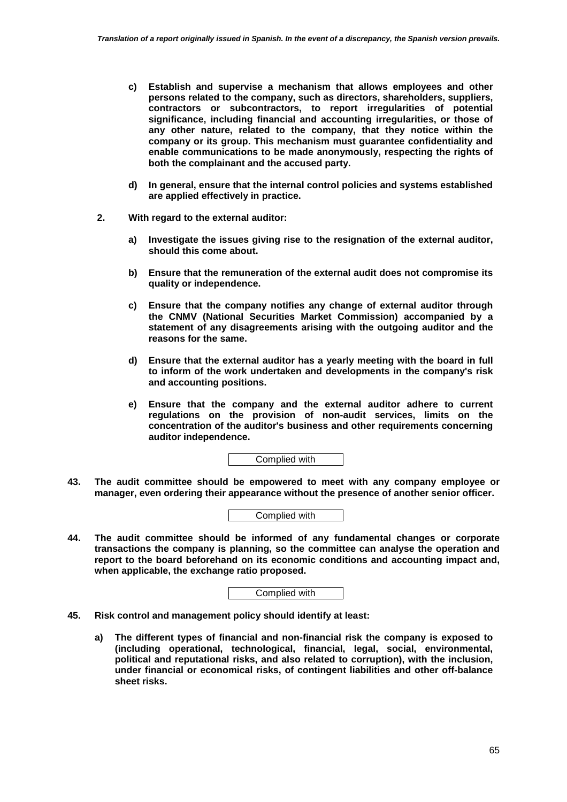- **c) Establish and supervise a mechanism that allows employees and other persons related to the company, such as directors, shareholders, suppliers, contractors or subcontractors, to report irregularities of potential significance, including financial and accounting irregularities, or those of any other nature, related to the company, that they notice within the company or its group. This mechanism must guarantee confidentiality and enable communications to be made anonymously, respecting the rights of both the complainant and the accused party.**
- **d) In general, ensure that the internal control policies and systems established are applied effectively in practice.**
- **2. With regard to the external auditor:** 
	- **a) Investigate the issues giving rise to the resignation of the external auditor, should this come about.**
	- **b) Ensure that the remuneration of the external audit does not compromise its quality or independence.**
	- **c) Ensure that the company notifies any change of external auditor through the CNMV (National Securities Market Commission) accompanied by a statement of any disagreements arising with the outgoing auditor and the reasons for the same.**
	- **d) Ensure that the external auditor has a yearly meeting with the board in full to inform of the work undertaken and developments in the company's risk and accounting positions.**
	- **e) Ensure that the company and the external auditor adhere to current regulations on the provision of non-audit services, limits on the concentration of the auditor's business and other requirements concerning auditor independence.**

Complied with

**43. The audit committee should be empowered to meet with any company employee or manager, even ordering their appearance without the presence of another senior officer.** 



**44. The audit committee should be informed of any fundamental changes or corporate transactions the company is planning, so the committee can analyse the operation and report to the board beforehand on its economic conditions and accounting impact and, when applicable, the exchange ratio proposed.** 

- **45. Risk control and management policy should identify at least:** 
	- **a) The different types of financial and non-financial risk the company is exposed to (including operational, technological, financial, legal, social, environmental, political and reputational risks, and also related to corruption), with the inclusion, under financial or economical risks, of contingent liabilities and other off-balance sheet risks.**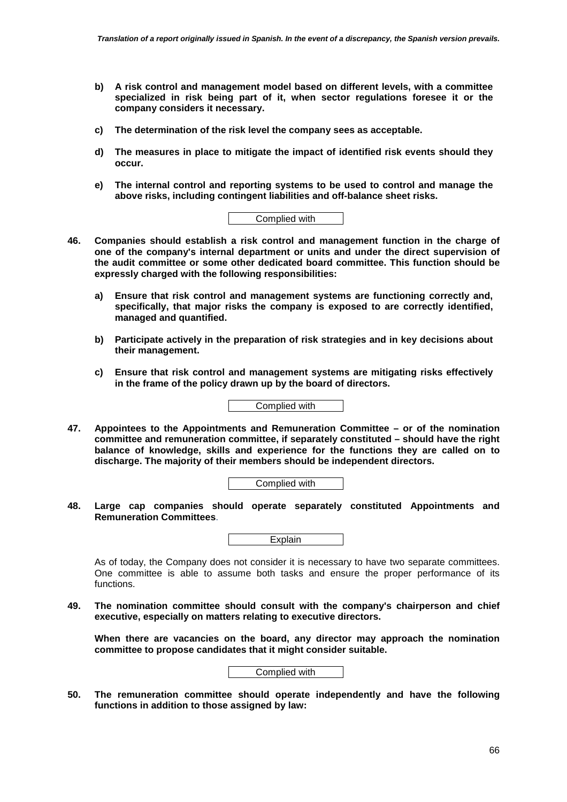- **b) A risk control and management model based on different levels, with a committee specialized in risk being part of it, when sector regulations foresee it or the company considers it necessary.**
- **c) The determination of the risk level the company sees as acceptable.**
- **d) The measures in place to mitigate the impact of identified risk events should they occur.**
- **e) The internal control and reporting systems to be used to control and manage the above risks, including contingent liabilities and off-balance sheet risks.**

- **46. Companies should establish a risk control and management function in the charge of one of the company's internal department or units and under the direct supervision of the audit committee or some other dedicated board committee. This function should be expressly charged with the following responsibilities:** 
	- **a) Ensure that risk control and management systems are functioning correctly and, specifically, that major risks the company is exposed to are correctly identified, managed and quantified.**
	- **b) Participate actively in the preparation of risk strategies and in key decisions about their management.**
	- **c) Ensure that risk control and management systems are mitigating risks effectively in the frame of the policy drawn up by the board of directors.**

Complied with

**47. Appointees to the Appointments and Remuneration Committee – or of the nomination committee and remuneration committee, if separately constituted – should have the right balance of knowledge, skills and experience for the functions they are called on to discharge. The majority of their members should be independent directors.** 

Complied with

**48. Large cap companies should operate separately constituted Appointments and Remuneration Committees**.

**Explain** 

As of today, the Company does not consider it is necessary to have two separate committees. One committee is able to assume both tasks and ensure the proper performance of its functions.

**49. The nomination committee should consult with the company's chairperson and chief executive, especially on matters relating to executive directors.** 

**When there are vacancies on the board, any director may approach the nomination committee to propose candidates that it might consider suitable.** 



**50. The remuneration committee should operate independently and have the following functions in addition to those assigned by law:**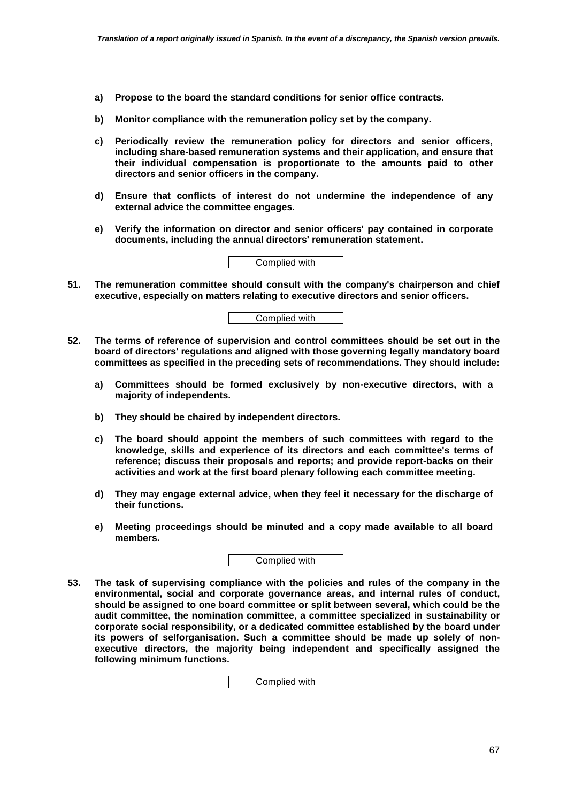- **a) Propose to the board the standard conditions for senior office contracts.**
- **b) Monitor compliance with the remuneration policy set by the company.**
- **c) Periodically review the remuneration policy for directors and senior officers, including share-based remuneration systems and their application, and ensure that their individual compensation is proportionate to the amounts paid to other directors and senior officers in the company.**
- **d) Ensure that conflicts of interest do not undermine the independence of any external advice the committee engages.**
- **e) Verify the information on director and senior officers' pay contained in corporate documents, including the annual directors' remuneration statement.**



**51. The remuneration committee should consult with the company's chairperson and chief executive, especially on matters relating to executive directors and senior officers.** 



- **52. The terms of reference of supervision and control committees should be set out in the board of directors' regulations and aligned with those governing legally mandatory board committees as specified in the preceding sets of recommendations. They should include:** 
	- **a) Committees should be formed exclusively by non-executive directors, with a majority of independents.**
	- **b) They should be chaired by independent directors.**
	- **c) The board should appoint the members of such committees with regard to the knowledge, skills and experience of its directors and each committee's terms of reference; discuss their proposals and reports; and provide report-backs on their activities and work at the first board plenary following each committee meeting.**
	- **d) They may engage external advice, when they feel it necessary for the discharge of their functions.**
	- **e) Meeting proceedings should be minuted and a copy made available to all board members.**

Complied with

**53. The task of supervising compliance with the policies and rules of the company in the environmental, social and corporate governance areas, and internal rules of conduct, should be assigned to one board committee or split between several, which could be the audit committee, the nomination committee, a committee specialized in sustainability or corporate social responsibility, or a dedicated committee established by the board under its powers of selforganisation. Such a committee should be made up solely of nonexecutive directors, the majority being independent and specifically assigned the following minimum functions.**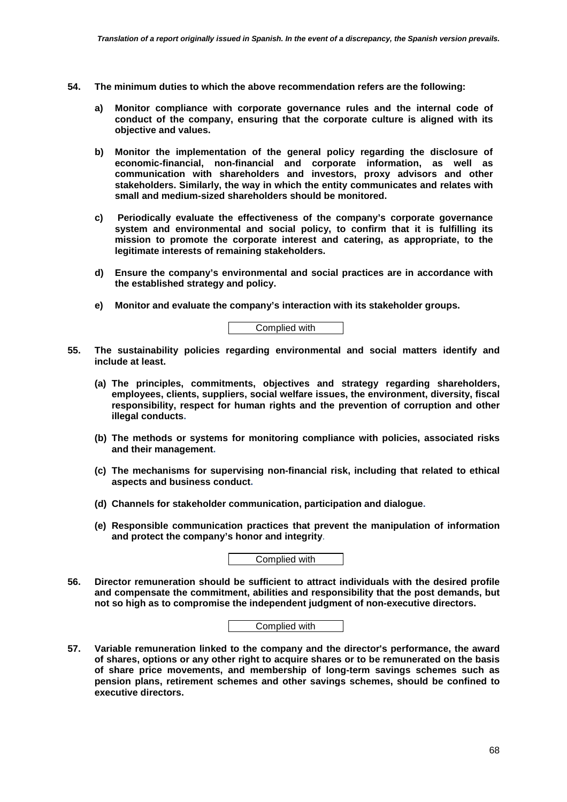- **54. The minimum duties to which the above recommendation refers are the following:** 
	- **a) Monitor compliance with corporate governance rules and the internal code of conduct of the company, ensuring that the corporate culture is aligned with its objective and values.**
	- **b) Monitor the implementation of the general policy regarding the disclosure of economic-financial, non-financial and corporate information, as well as communication with shareholders and investors, proxy advisors and other stakeholders. Similarly, the way in which the entity communicates and relates with small and medium-sized shareholders should be monitored.**
	- **c) Periodically evaluate the effectiveness of the company's corporate governance system and environmental and social policy, to confirm that it is fulfilling its mission to promote the corporate interest and catering, as appropriate, to the legitimate interests of remaining stakeholders.**
	- **d) Ensure the company's environmental and social practices are in accordance with the established strategy and policy.**
	- **e) Monitor and evaluate the company's interaction with its stakeholder groups.**

Complied with

- **55. The sustainability policies regarding environmental and social matters identify and include at least.** 
	- **(a) The principles, commitments, objectives and strategy regarding shareholders, employees, clients, suppliers, social welfare issues, the environment, diversity, fiscal responsibility, respect for human rights and the prevention of corruption and other illegal conducts.**
	- **(b) The methods or systems for monitoring compliance with policies, associated risks and their management.**
	- **(c) The mechanisms for supervising non-financial risk, including that related to ethical aspects and business conduct.**
	- **(d) Channels for stakeholder communication, participation and dialogue.**
	- **(e) Responsible communication practices that prevent the manipulation of information and protect the company's honor and integrity**.

Complied with

**56. Director remuneration should be sufficient to attract individuals with the desired profile and compensate the commitment, abilities and responsibility that the post demands, but not so high as to compromise the independent judgment of non-executive directors.** 

| Complied with |  |  |
|---------------|--|--|
|               |  |  |

**57. Variable remuneration linked to the company and the director's performance, the award of shares, options or any other right to acquire shares or to be remunerated on the basis of share price movements, and membership of long-term savings schemes such as pension plans, retirement schemes and other savings schemes, should be confined to executive directors.**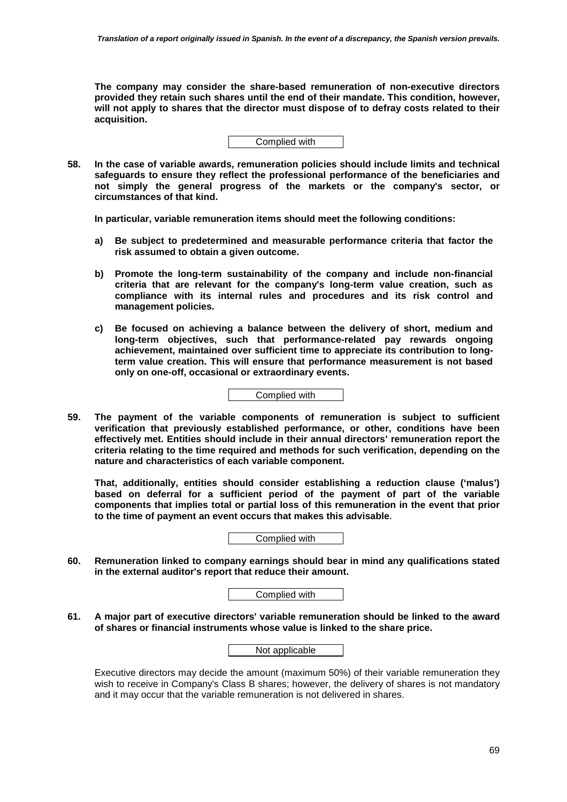**The company may consider the share-based remuneration of non-executive directors provided they retain such shares until the end of their mandate. This condition, however, will not apply to shares that the director must dispose of to defray costs related to their acquisition.** 



**58. In the case of variable awards, remuneration policies should include limits and technical safeguards to ensure they reflect the professional performance of the beneficiaries and not simply the general progress of the markets or the company's sector, or circumstances of that kind.** 

**In particular, variable remuneration items should meet the following conditions:** 

- **a) Be subject to predetermined and measurable performance criteria that factor the risk assumed to obtain a given outcome.**
- **b) Promote the long-term sustainability of the company and include non-financial criteria that are relevant for the company's long-term value creation, such as compliance with its internal rules and procedures and its risk control and management policies.**
- **c) Be focused on achieving a balance between the delivery of short, medium and long-term objectives, such that performance-related pay rewards ongoing achievement, maintained over sufficient time to appreciate its contribution to longterm value creation. This will ensure that performance measurement is not based only on one-off, occasional or extraordinary events.**

Complied with

**59. The payment of the variable components of remuneration is subject to sufficient verification that previously established performance, or other, conditions have been effectively met. Entities should include in their annual directors' remuneration report the criteria relating to the time required and methods for such verification, depending on the nature and characteristics of each variable component.** 

**That, additionally, entities should consider establishing a reduction clause ('malus') based on deferral for a sufficient period of the payment of part of the variable components that implies total or partial loss of this remuneration in the event that prior to the time of payment an event occurs that makes this advisable.** 

Complied with

**60. Remuneration linked to company earnings should bear in mind any qualifications stated in the external auditor's report that reduce their amount.** 

Complied with

**61. A major part of executive directors' variable remuneration should be linked to the award of shares or financial instruments whose value is linked to the share price.** 

Not applicable

Executive directors may decide the amount (maximum 50%) of their variable remuneration they wish to receive in Company's Class B shares; however, the delivery of shares is not mandatory and it may occur that the variable remuneration is not delivered in shares.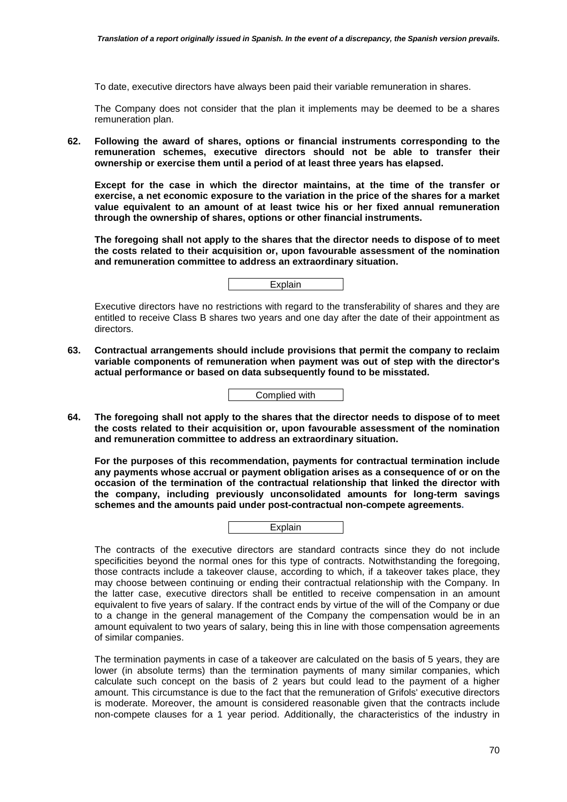To date, executive directors have always been paid their variable remuneration in shares.

The Company does not consider that the plan it implements may be deemed to be a shares remuneration plan.

**62. Following the award of shares, options or financial instruments corresponding to the remuneration schemes, executive directors should not be able to transfer their ownership or exercise them until a period of at least three years has elapsed.** 

**Except for the case in which the director maintains, at the time of the transfer or exercise, a net economic exposure to the variation in the price of the shares for a market value equivalent to an amount of at least twice his or her fixed annual remuneration through the ownership of shares, options or other financial instruments.** 

**The foregoing shall not apply to the shares that the director needs to dispose of to meet the costs related to their acquisition or, upon favourable assessment of the nomination and remuneration committee to address an extraordinary situation.** 

Explain

Executive directors have no restrictions with regard to the transferability of shares and they are entitled to receive Class B shares two years and one day after the date of their appointment as directors.

**63. Contractual arrangements should include provisions that permit the company to reclaim variable components of remuneration when payment was out of step with the director's actual performance or based on data subsequently found to be misstated.** 

**64. The foregoing shall not apply to the shares that the director needs to dispose of to meet the costs related to their acquisition or, upon favourable assessment of the nomination and remuneration committee to address an extraordinary situation.** 

**For the purposes of this recommendation, payments for contractual termination include any payments whose accrual or payment obligation arises as a consequence of or on the occasion of the termination of the contractual relationship that linked the director with the company, including previously unconsolidated amounts for long-term savings schemes and the amounts paid under post-contractual non-compete agreements.** 



The contracts of the executive directors are standard contracts since they do not include specificities beyond the normal ones for this type of contracts. Notwithstanding the foregoing, those contracts include a takeover clause, according to which, if a takeover takes place, they may choose between continuing or ending their contractual relationship with the Company. In the latter case, executive directors shall be entitled to receive compensation in an amount equivalent to five years of salary. If the contract ends by virtue of the will of the Company or due to a change in the general management of the Company the compensation would be in an amount equivalent to two years of salary, being this in line with those compensation agreements of similar companies.

The termination payments in case of a takeover are calculated on the basis of 5 years, they are lower (in absolute terms) than the termination payments of many similar companies, which calculate such concept on the basis of 2 years but could lead to the payment of a higher amount. This circumstance is due to the fact that the remuneration of Grifols' executive directors is moderate. Moreover, the amount is considered reasonable given that the contracts include non-compete clauses for a 1 year period. Additionally, the characteristics of the industry in